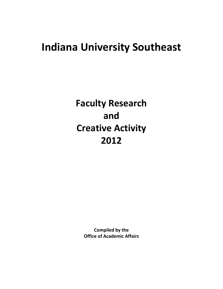# **Indiana University Southeast**

**Faculty Research and Creative Activity 2012**

> **Compiled by the Office of Academic Affairs**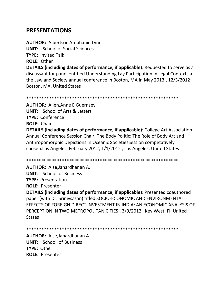## **PRESENTATIONS**

**AUTHOR:** Albertson,Stephanie Lynn

**UNIT**: School of Social Sciences

**TYPE:** Invited Talk

**ROLE:** Other

**DETAILS (including dates of performance, if applicable)**: Requested to serve as a discussant for panel entitled Understanding Lay Participation in Legal Contexts at the Law and Society annual conference in Boston, MA in May 2013., 12/3/2012 , Boston, MA, United States

\*\*\*\*\*\*\*\*\*\*\*\*\*\*\*\*\*\*\*\*\*\*\*\*\*\*\*\*\*\*\*\*\*\*\*\*\*\*\*\*\*\*\*\*\*\*\*\*\*\*\*\*\*\*\*\*\*\*\*\*

**AUTHOR:** Allen,Anne E Guernsey **UNIT**: School of Arts & Letters **TYPE:** Conference **ROLE:** Chair

**DETAILS (including dates of performance, if applicable)**: College Art Association Annual Conference Session Chair: The Body Politic: The Role of Body Art and Anthropomorphic Depictions in Oceanic SocietiesSession competatively chosen.Los Angeles, February 2012, 1/1/2012 , Los Angeles, United States

\*\*\*\*\*\*\*\*\*\*\*\*\*\*\*\*\*\*\*\*\*\*\*\*\*\*\*\*\*\*\*\*\*\*\*\*\*\*\*\*\*\*\*\*\*\*\*\*\*\*\*\*\*\*\*\*\*\*\*\*

**AUTHOR:** Alse,Janardhanan A.

**UNIT**: School of Business

**TYPE:** Presentation

**ROLE:** Presenter

**DETAILS (including dates of performance, if applicable)**: Presented coauthored paper (with Dr. Srinivsasan) titled SOCIO-ECONOMIC AND ENVIRONMENTAL EFFECTS OF FOREIGN DIRECT INVESTMENT IN INDIA: AN ECONOMIC ANALYSIS OF PERCEPTION IN TWO METROPOLITAN CITIES., 3/9/2012 , Key West, Fl, United **States** 

\*\*\*\*\*\*\*\*\*\*\*\*\*\*\*\*\*\*\*\*\*\*\*\*\*\*\*\*\*\*\*\*\*\*\*\*\*\*\*\*\*\*\*\*\*\*\*\*\*\*\*\*\*\*\*\*\*\*\*\*

**AUTHOR:** Alse,Janardhanan A. **UNIT**: School of Business **TYPE:** Other **ROLE:** Presenter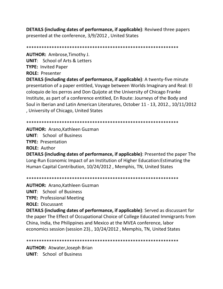**DETAILS (including dates of performance, if applicable)**: Reviwed three papers presented at the conference, 3/9/2012, United States

**AUTHOR: Ambrose, Timothy J. UNIT:** School of Arts & Letters **TYPE: Invited Paper ROLE: Presenter** 

**DETAILS (including dates of performance, if applicable)**: A twenty-five minute presentation of a paper entitled, Voyage between Worlds Imaginary and Real: El coloquio de los perros and Don Quijote at the University of Chicago Franke Institute, as part of a conference entitled, En Route: Journeys of the Body and Soul in Iberian and Latin American Literatures, October 11 - 13, 2012., 10/11/2012 , University of Chicago, United States

**AUTHOR: Arano, Kathleen Guzman UNIT:** School of Business **TYPE: Presentation ROLE: Author** 

**DETAILS (including dates of performance, if applicable)**: Presented the paper The Long-Run Economic Impact of an Institution of Higher Education: Estimating the Human Capital Contribution, 10/24/2012, Memphis, TN, United States

**AUTHOR: Arano, Kathleen Guzman UNIT:** School of Business **TYPE: Professional Meeting ROLE: Discussant** 

**DETAILS (including dates of performance, if applicable)**: Served as discussant for the paper The Effect of Occupational Choice of College Educated Immigrants from China, India, the Philippines and Mexico at the MVEA conference, labor economics session (session 23)., 10/24/2012, Memphis, TN, United States

**AUTHOR: Atwater, Joseph Brian UNIT:** School of Business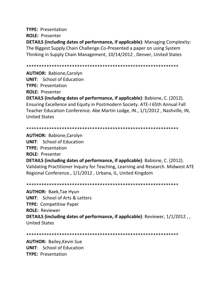**TYPE: Presentation ROLE: Presenter DETAILS (including dates of performance, if applicable):** Managing Complexity: The Biggest Supply Chain Challenge.Co-Presented a paper on using System Thinking in Supply Chain Management, 10/14/2012, Denver, United States

**AUTHOR: Babione, Carolyn UNIT:** School of Education **TYPE: Presentation ROLE: Presenter** 

**DETAILS (including dates of performance, if applicable)**: Babione, C. (2012). Ensuring Excellence and Equity in Postmodern Society. ATE-I 65th Annual Fall Teacher Education Conference. Abe Martin Lodge, IN., 1/1/2012, Nashville, IN. **United States** 

**AUTHOR: Babione, Carolyn UNIT:** School of Education **TYPE: Presentation ROLE: Presenter** DETAILS (including dates of performance, if applicable): Babione, C. (2012). Validating Practitioner Inquiry for Teaching, Learning and Research. Midwest ATE Regional Conference., 1/1/2012, Urbana, IL, United Kingdom

**AUTHOR: Baek, Tae Hyun UNIT:** School of Arts & Letters **TYPE:** Competitive Paper **ROLE: Reviewer** DETAILS (including dates of performance, if applicable): Reviewer, 1/1/2012, **United States** 

**AUTHOR: Bailey, Kevin Sue UNIT:** School of Education **TYPE: Presentation**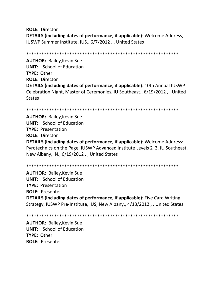**ROLE:** Director **DETAILS (including dates of performance, if applicable)**: Welcome Address, IUSWP Summer Institute, IUS., 6/7/2012 , , United States

\*\*\*\*\*\*\*\*\*\*\*\*\*\*\*\*\*\*\*\*\*\*\*\*\*\*\*\*\*\*\*\*\*\*\*\*\*\*\*\*\*\*\*\*\*\*\*\*\*\*\*\*\*\*\*\*\*\*\*\*

**AUTHOR:** Bailey,Kevin Sue **UNIT**: School of Education **TYPE:** Other **ROLE:** Director **DETAILS (including dates of performance, if applicable)**: 10th Annual IUSWP Celebration Night, Master of Ceremonies, IU Southeast., 6/19/2012 , , United States

```
************************************************************
```
**AUTHOR:** Bailey,Kevin Sue **UNIT**: School of Education **TYPE:** Presentation **ROLE:** Director **DETAILS (including dates of performance, if applicable)**: Welcome Address: Pyrotechnics on the Page, IUSWP Advanced Institute Levels 2 3, IU Southeast, New Albany, IN., 6/19/2012 , , United States

\*\*\*\*\*\*\*\*\*\*\*\*\*\*\*\*\*\*\*\*\*\*\*\*\*\*\*\*\*\*\*\*\*\*\*\*\*\*\*\*\*\*\*\*\*\*\*\*\*\*\*\*\*\*\*\*\*\*\*\*

**AUTHOR:** Bailey,Kevin Sue **UNIT**: School of Education **TYPE:** Presentation **ROLE:** Presenter **DETAILS (including dates of performance, if applicable)**: Five Card Writing Strategy, IUSWP Pre-Institute, IUS, New Albany., 4/13/2012 , , United States

```
************************************************************
```
**AUTHOR:** Bailey,Kevin Sue **UNIT**: School of Education **TYPE:** Other **ROLE:** Presenter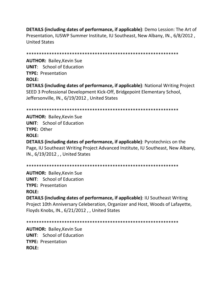**DETAILS (including dates of performance, if applicable)**: Demo Lession: The Art of Presentation, IUSWP Summer Institute, IU Southeast, New Albany, IN., 6/8/2012, **United States** 

**AUTHOR: Bailey, Kevin Sue UNIT:** School of Education **TYPE: Presentation ROLE: DETAILS (including dates of performance, if applicable)**: National Writing Project SEED 3 Professional Development Kick-Off, Bridgepoint Elementary School, Jeffersonville, IN., 6/19/2012, United States

**AUTHOR: Bailey, Kevin Sue UNIT:** School of Education TYPE: Other **ROLE:** 

**DETAILS (including dates of performance, if applicable)**: Pyrotechnics on the Page, IU Southeast Writing Project Advanced Institute, IU Southeast, New Albany, IN., 6/19/2012, United States

**AUTHOR: Bailey, Kevin Sue UNIT:** School of Education **TYPE: Presentation ROLE:** 

**DETAILS (including dates of performance, if applicable): IU Southeast Writing** Project 10th Anniversary Celeberation, Organizer and Host, Woods of Lafayette, Floyds Knobs, IN., 6/21/2012, United States

**AUTHOR: Bailey, Kevin Sue UNIT:** School of Education **TYPE: Presentation**  $ROIF:$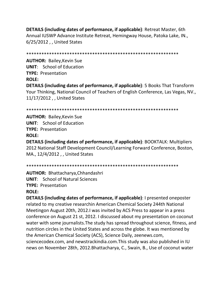**DETAILS (including dates of performance, if applicable)**: Retreat Master, 6th Annual IUSWP Advance Institute Retreat, Hemingway House, Patoka Lake, IN., 6/25/2012 , , United States

\*\*\*\*\*\*\*\*\*\*\*\*\*\*\*\*\*\*\*\*\*\*\*\*\*\*\*\*\*\*\*\*\*\*\*\*\*\*\*\*\*\*\*\*\*\*\*\*\*\*\*\*\*\*\*\*\*\*\*\*

**AUTHOR:** Bailey,Kevin Sue **UNIT**: School of Education **TYPE:** Presentation **ROLE: DETAILS (including dates of performance, if applicable)**: 5 Books That Transform Your Thinking, National Council of Teachers of English Conference, Las Vegas, NV., 11/17/2012 , , United States

\*\*\*\*\*\*\*\*\*\*\*\*\*\*\*\*\*\*\*\*\*\*\*\*\*\*\*\*\*\*\*\*\*\*\*\*\*\*\*\*\*\*\*\*\*\*\*\*\*\*\*\*\*\*\*\*\*\*\*\*

**AUTHOR:** Bailey,Kevin Sue **UNIT**: School of Education **TYPE:** Presentation **ROLE:**

**DETAILS (including dates of performance, if applicable)**: BOOKTALK: Multipliers 2012 National Staff Development Council/Learning Forward Conference, Boston, MA., 12/4/2012 , , United States

\*\*\*\*\*\*\*\*\*\*\*\*\*\*\*\*\*\*\*\*\*\*\*\*\*\*\*\*\*\*\*\*\*\*\*\*\*\*\*\*\*\*\*\*\*\*\*\*\*\*\*\*\*\*\*\*\*\*\*\*

**AUTHOR:** Bhattacharya,Chhandashri **UNIT**: School of Natural Sciences **TYPE:** Presentation

**ROLE:**

**DETAILS (including dates of performance, if applicable)**: I presented oneposter related to my creative researchin American Chemical Society 244th National Meetingon August 20th, 2012.I was invited by ACS Press to appear in a press conference on August 21 st, 2012. I discussed about my presentation on coconut water with some journalists.The study has spread throughout science, fitness, and nutrition circles in the United States and across the globe. It was mentioned by the American Chemical Society (ACS), Science Daily, zeenews.com, sciencecodex.com, and newstrackindia.com.This study was also published in IU news on November 28th, 2012.Bhattacharya, C., Swain, B., Use of coconut water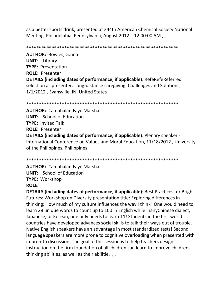as a better sports drink, presented at 244th American Chemical Society National Meeting, Philadelphia, Pennsylvania, August 2012 ., 12:00:00 AM , ,

\*\*\*\*\*\*\*\*\*\*\*\*\*\*\*\*\*\*\*\*\*\*\*\*\*\*\*\*\*\*\*\*\*\*\*\*\*\*\*\*\*\*\*\*\*\*\*\*\*\*\*\*\*\*\*\*\*\*\*\*

**AUTHOR:** Bowles,Donna **UNIT**: Library **TYPE:** Presentation **ROLE:** Presenter **DETAILS (including dates of performance, if applicable)**: RefeRefeReferred selection as presenter: Long-distance caregiving: Challenges and Solutions, 1/1/2012 , Evansville, IN, United States

\*\*\*\*\*\*\*\*\*\*\*\*\*\*\*\*\*\*\*\*\*\*\*\*\*\*\*\*\*\*\*\*\*\*\*\*\*\*\*\*\*\*\*\*\*\*\*\*\*\*\*\*\*\*\*\*\*\*\*\*

**AUTHOR:** Camahalan,Faye Marsha **UNIT**: School of Education **TYPE:** Invited Talk **ROLE:** Presenter **DETAILS (including dates of performance, if applicable)**: Plenary speaker - International Conference on Values and Moral Education, 11/18/2012 , University of the Philippines, Philippines

\*\*\*\*\*\*\*\*\*\*\*\*\*\*\*\*\*\*\*\*\*\*\*\*\*\*\*\*\*\*\*\*\*\*\*\*\*\*\*\*\*\*\*\*\*\*\*\*\*\*\*\*\*\*\*\*\*\*\*\*

**AUTHOR:** Camahalan,Faye Marsha **UNIT**: School of Education **TYPE:** Workshop **ROLE:**

**DETAILS (including dates of performance, if applicable)**: Best Practices for Bright Futures: Workshop on Diversity presentation title: Exploring differences in thinking: How much of my culture influences the way I think" One would need to learn 28 unique words to count up to 100 in English while inanyChinese dialect, Japanese, or Korean, one only needs to learn 11! Students in the first world countries have developed advances social skills to talk their ways out of trouble. Native English speakers have an advantage in most standardized tests! Second language speakers are more prone to cognitive overloading when presented with impromtu discussion. The goal of this session is to help teachers design instruction on the firm foundation of all children can learn to improve childrens thinking abilities, as well as their abilitie, , ,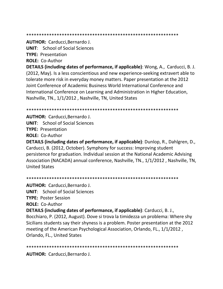\*\*\*\*\*\*\*\*\*\*\*\*\*\*\*\*\*\*\*\*\*\*\*\*\*\*\*\*\*\*\*\*\*\*\*\*\*\*\*\*\*\*\*\*\*\*\*\*\*\*\*\*\*\*\*\*\*\*\*\*

**AUTHOR:** Carducci,Bernardo J.

**UNIT**: School of Social Sciences

**TYPE:** Presentation

**ROLE:** Co-Author

**DETAILS (including dates of performance, if applicable)**: Wong, A., Carducci, B. J. (2012, May). Is a less conscientious and new experience-seeking extravert able to tolerate more risk in everyday money matters. Paper presentation at the 2012 Joint Conference of Academic Business World International Conference and International Conference on Learning and Administration in Higher Education, Nashville, TN., 1/1/2012 , Nashville, TN, United States

\*\*\*\*\*\*\*\*\*\*\*\*\*\*\*\*\*\*\*\*\*\*\*\*\*\*\*\*\*\*\*\*\*\*\*\*\*\*\*\*\*\*\*\*\*\*\*\*\*\*\*\*\*\*\*\*\*\*\*\*

**AUTHOR:** Carducci,Bernardo J.

**UNIT**: School of Social Sciences

**TYPE:** Presentation

**ROLE:** Co-Author

**DETAILS (including dates of performance, if applicable)**: Dunlop, R., Dahlgren, D., Carducci, B. (2012, October). Symphony for success: Improving student persistence for graduation. Individual session at the National Academic Advising Association (NACADA) annual conference, Nashville, TN., 1/1/2012 , Nashville, TN, United States

\*\*\*\*\*\*\*\*\*\*\*\*\*\*\*\*\*\*\*\*\*\*\*\*\*\*\*\*\*\*\*\*\*\*\*\*\*\*\*\*\*\*\*\*\*\*\*\*\*\*\*\*\*\*\*\*\*\*\*\*

**AUTHOR:** Carducci,Bernardo J.

**UNIT**: School of Social Sciences

**TYPE:** Poster Session

**ROLE:** Co-Author

**DETAILS (including dates of performance, if applicable)**: Carducci, B. J.,

Bocchiaro, P. (2012, August). Dove si trova la timidezza un problema: Where shy Sicilians students say their shyness is a problem. Poster presentation at the 2012 meeting of the American Psychological Association, Orlando, FL., 1/1/2012 , Orlando, FL., United States

\*\*\*\*\*\*\*\*\*\*\*\*\*\*\*\*\*\*\*\*\*\*\*\*\*\*\*\*\*\*\*\*\*\*\*\*\*\*\*\*\*\*\*\*\*\*\*\*\*\*\*\*\*\*\*\*\*\*\*\*

**AUTHOR:** Carducci,Bernardo J.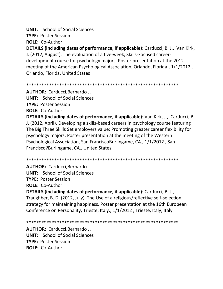**UNIT**: School of Social Sciences

**TYPE:** Poster Session

**ROLE:** Co-Author

**DETAILS (including dates of performance, if applicable)**: Carducci, B. J., Van Kirk, J. (2012, August). The evaluation of a five-week, Skills-Focused careerdevelopment course for psychology majors. Poster presentation at the 2012 meeting of the American Psychological Association, Orlando, Florida., 1/1/2012 , Orlando, Florida, United States

\*\*\*\*\*\*\*\*\*\*\*\*\*\*\*\*\*\*\*\*\*\*\*\*\*\*\*\*\*\*\*\*\*\*\*\*\*\*\*\*\*\*\*\*\*\*\*\*\*\*\*\*\*\*\*\*\*\*\*\*

**AUTHOR:** Carducci,Bernardo J.

**UNIT**: School of Social Sciences

**TYPE:** Poster Session

**ROLE:** Co-Author

**DETAILS (including dates of performance, if applicable)**: Van Kirk, J., Carducci, B. J. (2012, April). Developing a skills-based careers in psychology course featuring The Big Three Skills Set employers value: Promoting greater career flexibility for psychology majors. Poster presentation at the meeting of the Western Psychological Association, San FranciscoBurlingame, CA., 1/1/2012 , San Francisco?Burlingame, CA., United States

\*\*\*\*\*\*\*\*\*\*\*\*\*\*\*\*\*\*\*\*\*\*\*\*\*\*\*\*\*\*\*\*\*\*\*\*\*\*\*\*\*\*\*\*\*\*\*\*\*\*\*\*\*\*\*\*\*\*\*\*

**AUTHOR:** Carducci,Bernardo J. **UNIT**: School of Social Sciences **TYPE:** Poster Session

**ROLE:** Co-Author

**DETAILS (including dates of performance, if applicable)**: Carducci, B. J., Traughber, B. D. (2012, July). The Use of a religious/reflective self-selection strategy for maintaining happiness. Poster presentation at the 16th European Conference on Personality, Trieste, Italy., 1/1/2012 , Trieste, Italy, Italy

\*\*\*\*\*\*\*\*\*\*\*\*\*\*\*\*\*\*\*\*\*\*\*\*\*\*\*\*\*\*\*\*\*\*\*\*\*\*\*\*\*\*\*\*\*\*\*\*\*\*\*\*\*\*\*\*\*\*\*\*

**AUTHOR:** Carducci,Bernardo J. **UNIT**: School of Social Sciences **TYPE:** Poster Session **ROLE:** Co-Author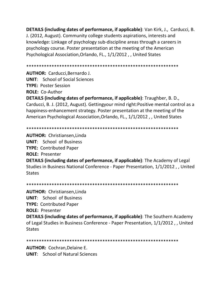**DETAILS (including dates of performance, if applicable)**: Van Kirk, J., Carducci, B. J. (2012, August). Community college students aspirations, interests and knowledge: Linkage of psychology sub-discipline areas through a careers in psychology course. Poster presentation at the meeting of the American Psychological Association,Orlando, FL., 1/1/2012 , , United States

\*\*\*\*\*\*\*\*\*\*\*\*\*\*\*\*\*\*\*\*\*\*\*\*\*\*\*\*\*\*\*\*\*\*\*\*\*\*\*\*\*\*\*\*\*\*\*\*\*\*\*\*\*\*\*\*\*\*\*\*

**AUTHOR:** Carducci,Bernardo J. **UNIT**: School of Social Sciences

**TYPE:** Poster Session

**ROLE:** Co-Author

**DETAILS (including dates of performance, if applicable)**: Traughber, B. D., Carducci, B. J. (2012, August). Gettingyour mind right:Positive mental control as a happiness-enhancement strategy. Poster presentation at the meeting of the American Psychological Association,Orlando, FL., 1/1/2012 , , United States

\*\*\*\*\*\*\*\*\*\*\*\*\*\*\*\*\*\*\*\*\*\*\*\*\*\*\*\*\*\*\*\*\*\*\*\*\*\*\*\*\*\*\*\*\*\*\*\*\*\*\*\*\*\*\*\*\*\*\*\*

**AUTHOR:** Christiansen,Linda **UNIT**: School of Business **TYPE:** Contributed Paper **ROLE:** Presenter **DETAILS (including dates of performance, if applicable)**: The Academy of Legal Studies in Business National Conference - Paper Presentation, 1/1/2012 , , United **States** 

\*\*\*\*\*\*\*\*\*\*\*\*\*\*\*\*\*\*\*\*\*\*\*\*\*\*\*\*\*\*\*\*\*\*\*\*\*\*\*\*\*\*\*\*\*\*\*\*\*\*\*\*\*\*\*\*\*\*\*\*

**AUTHOR:** Christiansen,Linda **UNIT**: School of Business **TYPE:** Contributed Paper **ROLE:** Presenter **DETAILS (including dates of performance, if applicable)**: The Southern Academy of Legal Studies in Business Conference - Paper Presentation, 1/1/2012 , , United **States** 

\*\*\*\*\*\*\*\*\*\*\*\*\*\*\*\*\*\*\*\*\*\*\*\*\*\*\*\*\*\*\*\*\*\*\*\*\*\*\*\*\*\*\*\*\*\*\*\*\*\*\*\*\*\*\*\*\*\*\*\*

**AUTHOR:** Cochran,Delaine E.

**UNIT**: School of Natural Sciences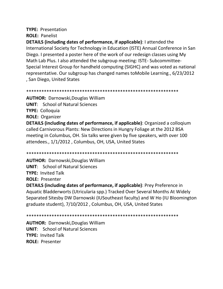### **TYPE: Presentation ROLE: Panelist**

**DETAILS (including dates of performance, if applicable):** I attended the International Society for Technology in Education (ISTE) Annual Conference in San Diego. I presented a poster here of the work of our redesign classes using My Math Lab Plus. I also attended the subgroup meeting: ISTE-Subcommittee-Special Interest Group for handheld computing (SIGHC) and was voted as national representative. Our subgroup has changed names to Mobile Learning., 6/23/2012 , San Diego, United States

**AUTHOR: Darnowski, Douglas William UNIT:** School of Natural Sciences **TYPE: Colloquia ROLE: Organizer** DETAILS (including dates of performance, if applicable): Organized a collogium called Carnivorous Plants: New Directions in Hungry Foliage at the 2012 BSA meeting in Columbus, OH. Six talks wree given by five speakers, with over 100 attendees., 1/1/2012, Columbus, OH, USA, United States

**AUTHOR: Darnowski, Douglas William UNIT:** School of Natural Sciences **TYPE: Invited Talk ROLE: Presenter** 

DETAILS (including dates of performance, if applicable): Prey Preference in Aquatic Bladderworts (Utricularia spp.) Tracked Over Several Months At Widely Separated Sitesby DW Darnowski (IUSoutheast faculty) and W Ho (IU Bloomington graduate student), 7/10/2012, Columbus, OH, USA, United States

**AUTHOR: Darnowski, Douglas William UNIT:** School of Natural Sciences **TYPE: Invited Talk ROLE: Presenter**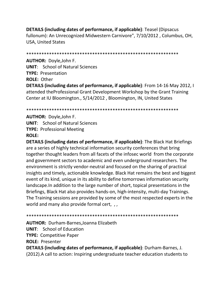**DETAILS (including dates of performance, if applicable)**: Teasel (Dipsacus fullonum): An Unrecognized Midwestern Carnivore", 7/10/2012, Columbus, OH, **USA, United States** 

**AUTHOR: Doyle, John F. UNIT:** School of Natural Sciences **TYPE: Presentation ROLE: Other** DETAILS (including dates of performance, if applicable): From 14-16 May 2012, I attended the Professional Grant Development Workshop by the Grant Training Center at IU Bloomington., 5/14/2012, Bloomington, IN, United States

**AUTHOR: Doyle, John F. UNIT:** School of Natural Sciences **TYPE: Professional Meeting ROLE:** 

**DETAILS (including dates of performance, if applicable)**: The Black Hat Briefings are a series of highly technical information security conferences that bring together thought leaders from all facets of the infosec world from the corporate and government sectors to academic and even underground researchers. The environment is strictly vendor-neutral and focused on the sharing of practical insights and timely, actionable knowledge. Black Hat remains the best and biggest event of its kind, unique in its ability to define tomorrows information security landscape. In addition to the large number of short, topical presentations in the Briefings, Black Hat also provides hands-on, high-intensity, multi-day Trainings. The Training sessions are provided by some of the most respected experts in the world and many also provide formal cert, , ,

**AUTHOR: Durham-Barnes, Joanna Elizabeth UNIT:** School of Education **TYPE: Competitive Paper ROLE: Presenter** DETAILS (including dates of performance, if applicable): Durham-Barnes, J. (2012). A call to action: Inspiring undergraduate teacher education students to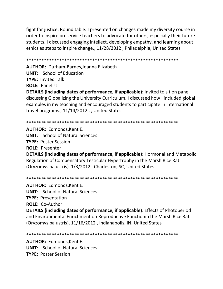fight for justice. Round table. I presented on changes made my diversity course in order to inspire preservice teachers to advocate for others, especially their future students. I discussed engaging intellect, developing empathy, and learning about ethics as steps to inspire change., 11/28/2012 , Philadelphia, United States

\*\*\*\*\*\*\*\*\*\*\*\*\*\*\*\*\*\*\*\*\*\*\*\*\*\*\*\*\*\*\*\*\*\*\*\*\*\*\*\*\*\*\*\*\*\*\*\*\*\*\*\*\*\*\*\*\*\*\*\* **AUTHOR:** Durham-Barnes,Joanna Elizabeth **UNIT**: School of Education **TYPE:** Invited Talk **ROLE:** Panelist **DETAILS (including dates of performance, if applicable)**: Invited to sit on panel discussing Globalizing the University Curriculum. I discussed how I included global examples in my teaching and encouraged students to participate in international travel programs., 11/14/2012 , , United States

\*\*\*\*\*\*\*\*\*\*\*\*\*\*\*\*\*\*\*\*\*\*\*\*\*\*\*\*\*\*\*\*\*\*\*\*\*\*\*\*\*\*\*\*\*\*\*\*\*\*\*\*\*\*\*\*\*\*\*\*

**AUTHOR:** Edmonds,Kent E. **UNIT**: School of Natural Sciences **TYPE:** Poster Session **ROLE:** Presenter **DETAILS (including dates of performance, if applicable)**: Hormonal and Metabolic

Regulation of Compensatory Testicular Hypertrophy in the Marsh Rice Rat (Oryzomys palustris), 1/3/2012 , Charleston, SC, United States

\*\*\*\*\*\*\*\*\*\*\*\*\*\*\*\*\*\*\*\*\*\*\*\*\*\*\*\*\*\*\*\*\*\*\*\*\*\*\*\*\*\*\*\*\*\*\*\*\*\*\*\*\*\*\*\*\*\*\*\*

**AUTHOR:** Edmonds,Kent E. **UNIT**: School of Natural Sciences **TYPE:** Presentation **ROLE:** Co-Author

**DETAILS (including dates of performance, if applicable)**: Effects of Photoperiod and Environmental Enrichment on Reproductive Functionin the Marsh Rice Rat (Oryzomys palustris), 11/16/2012 , Indianapolis, IN, United States

\*\*\*\*\*\*\*\*\*\*\*\*\*\*\*\*\*\*\*\*\*\*\*\*\*\*\*\*\*\*\*\*\*\*\*\*\*\*\*\*\*\*\*\*\*\*\*\*\*\*\*\*\*\*\*\*\*\*\*\*

**AUTHOR:** Edmonds,Kent E. **UNIT**: School of Natural Sciences **TYPE:** Poster Session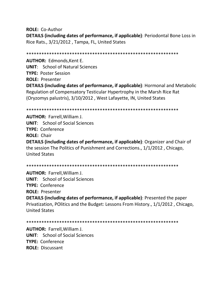**ROLE: Co-Author DETAILS (including dates of performance, if applicable)**: Periodontal Bone Loss in Rice Rats., 3/21/2012, Tampa, FL, United States

**AUTHOR: Edmonds, Kent E. UNIT:** School of Natural Sciences **TYPE: Poster Session ROLE: Presenter DETAILS (including dates of performance, if applicable)**: Hormonal and Metabolic Regulation of Compensatory Testicular Hypertrophy in the Marsh Rice Rat (Oryzomys palustris), 3/10/2012, West Lafayette, IN, United States

**AUTHOR: Farrell, William J. UNIT:** School of Social Sciences TYPE: Conference **ROLE: Chair DETAILS (including dates of performance, if applicable)**: Organizer and Chair of the session The Politics of Punishment and Corrections., 1/1/2012, Chicago, **United States** 

**AUTHOR: Farrell. William J. UNIT:** School of Social Sciences TYPE: Conference **ROLE: Presenter DETAILS (including dates of performance, if applicable)**: Presented the paper Privatization, POlitics and the Budget: Lessons From History., 1/1/2012, Chicago, **United States** 

**AUTHOR: Farrell, William J. UNIT:** School of Social Sciences **TYPE: Conference ROLE: Discussant**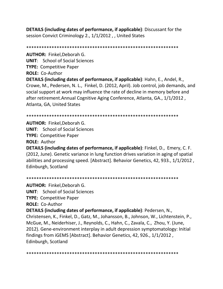**DETAILS (including dates of performance, if applicable)**: Discussant for the session Convict Criminology 2., 1/1/2012 , , United States

\*\*\*\*\*\*\*\*\*\*\*\*\*\*\*\*\*\*\*\*\*\*\*\*\*\*\*\*\*\*\*\*\*\*\*\*\*\*\*\*\*\*\*\*\*\*\*\*\*\*\*\*\*\*\*\*\*\*\*\* **AUTHOR:** Finkel,Deborah G. **UNIT**: School of Social Sciences **TYPE:** Competitive Paper **ROLE:** Co-Author **DETAILS (including dates of performance, if applicable)**: Hahn, E., Andel, R., Crowe, M., Pedersen, N. L., Finkel, D. (2012, April). Job control, job demands, and social support at work may influence the rate of decline in memory before and after retirement.Annual Cognitive Aging Conference, Atlanta, GA., 1/1/2012 , Atlanta, GA, United States

\*\*\*\*\*\*\*\*\*\*\*\*\*\*\*\*\*\*\*\*\*\*\*\*\*\*\*\*\*\*\*\*\*\*\*\*\*\*\*\*\*\*\*\*\*\*\*\*\*\*\*\*\*\*\*\*\*\*\*\*

**AUTHOR:** Finkel,Deborah G. **UNIT**: School of Social Sciences **TYPE:** Competitive Paper **ROLE:** Author

**DETAILS (including dates of performance, if applicable)**: Finkel, D., Emery, C. F. (2012, June). Genetic variance in lung function drives variation in aging of spatial abilities and processing speed. [Abstract]. Behavior Genetics, 42, 933., 1/1/2012 , Edinburgh, Scotland

\*\*\*\*\*\*\*\*\*\*\*\*\*\*\*\*\*\*\*\*\*\*\*\*\*\*\*\*\*\*\*\*\*\*\*\*\*\*\*\*\*\*\*\*\*\*\*\*\*\*\*\*\*\*\*\*\*\*\*\* **AUTHOR:** Finkel,Deborah G. **UNIT**: School of Social Sciences **TYPE:** Competitive Paper **ROLE:** Co-Author **DETAILS (including dates of performance, if applicable)**: Pedersen, N., Christensen, K., Finkel, D., Gatz, M., Johansson, B., Johnson, W., Lichtenstein, P., McGue, M., Neiderhiser, J., Reynolds, C., Hahn, C., Zavala, C., Zhou, Y. (June, 2012). Gene-environment interplay in adult depression symptomatology: Initial findings from iGEMS [Abstract]. Behavior Genetics, 42, 926., 1/1/2012 , Edinburgh, Scotland

\*\*\*\*\*\*\*\*\*\*\*\*\*\*\*\*\*\*\*\*\*\*\*\*\*\*\*\*\*\*\*\*\*\*\*\*\*\*\*\*\*\*\*\*\*\*\*\*\*\*\*\*\*\*\*\*\*\*\*\*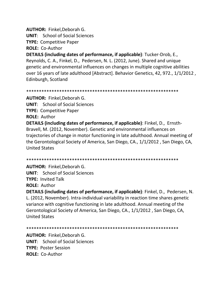## **AUTHOR:** Finkel,Deborah G.

**UNIT**: School of Social Sciences

**TYPE:** Competitive Paper

**ROLE:** Co-Author

**DETAILS (including dates of performance, if applicable)**: Tucker-Drob, E., Reynolds, C. A., Finkel, D., Pedersen, N. L. (2012, June). Shared and unique genetic and environmental influences on changes in multiple cognitive abilities over 16 years of late adulthood [Abstract]. Behavior Genetics, 42, 972., 1/1/2012 , Edinburgh, Scotland

\*\*\*\*\*\*\*\*\*\*\*\*\*\*\*\*\*\*\*\*\*\*\*\*\*\*\*\*\*\*\*\*\*\*\*\*\*\*\*\*\*\*\*\*\*\*\*\*\*\*\*\*\*\*\*\*\*\*\*\*

**AUTHOR:** Finkel,Deborah G. **UNIT**: School of Social Sciences **TYPE:** Competitive Paper **ROLE:** Author

**DETAILS (including dates of performance, if applicable)**: Finkel, D., Ernsth-Bravell, M. (2012, November). Genetic and environmental influences on trajectories of change in motor functioning in late adulthood. Annual meeting of the Gerontological Society of America, San Diego, CA., 1/1/2012 , San Diego, CA, United States

\*\*\*\*\*\*\*\*\*\*\*\*\*\*\*\*\*\*\*\*\*\*\*\*\*\*\*\*\*\*\*\*\*\*\*\*\*\*\*\*\*\*\*\*\*\*\*\*\*\*\*\*\*\*\*\*\*\*\*\*

**AUTHOR:** Finkel,Deborah G.

**UNIT**: School of Social Sciences

**TYPE:** Invited Talk

**ROLE:** Author

**DETAILS (including dates of performance, if applicable)**: Finkel, D., Pedersen, N. L. (2012, November). Intra-individual variability in reaction time shares genetic variance with cognitive functioning in late adulthood. Annual meeting of the Gerontological Society of America, San Diego, CA., 1/1/2012 , San Diego, CA, United States

\*\*\*\*\*\*\*\*\*\*\*\*\*\*\*\*\*\*\*\*\*\*\*\*\*\*\*\*\*\*\*\*\*\*\*\*\*\*\*\*\*\*\*\*\*\*\*\*\*\*\*\*\*\*\*\*\*\*\*\*

**AUTHOR:** Finkel,Deborah G. **UNIT**: School of Social Sciences **TYPE:** Poster Session **ROLE:** Co-Author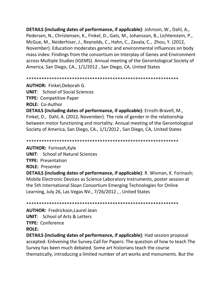**DETAILS (including dates of performance, if applicable)**: Johnson, W., Dahl, A., Pedersen, N., Christensen, K., Finkel, D., Gatz, M., Johansson, B., Lichtenstein, P., McGue, M., Neiderhiser, J., Reynolds, C., Hahn, C., Zavala, C., Zhou, Y. (2012, November). Education moderates genetic and environmental influences on body mass index: Findings from the consortium on Interplay of Genes and Environment across Multiple Studies (IGEMS). Annual meeting of the Gerontological Society of America, San Diego, CA., 1/1/2012 , San Diego, CA, United States

\*\*\*\*\*\*\*\*\*\*\*\*\*\*\*\*\*\*\*\*\*\*\*\*\*\*\*\*\*\*\*\*\*\*\*\*\*\*\*\*\*\*\*\*\*\*\*\*\*\*\*\*\*\*\*\*\*\*\*\*

**AUTHOR:** Finkel,Deborah G.

**UNIT**: School of Social Sciences **TYPE:** Competitive Paper

**ROLE:** Co-Author

**DETAILS (including dates of performance, if applicable)**: Ernsth-Bravell, M., Finkel, D., Dahl, A. (2012, November). The role of gender in the relationship between motor functioning and mortality. Annual meeting of the Gerontological Society of America, San Diego, CA., 1/1/2012 , San Diego, CA, United States

\*\*\*\*\*\*\*\*\*\*\*\*\*\*\*\*\*\*\*\*\*\*\*\*\*\*\*\*\*\*\*\*\*\*\*\*\*\*\*\*\*\*\*\*\*\*\*\*\*\*\*\*\*\*\*\*\*\*\*\*

**AUTHOR:** Forinash,Kyle

**UNIT**: School of Natural Sciences

**TYPE:** Presentation

**ROLE:** Presenter

**DETAILS (including dates of performance, if applicable)**: R. Wisman, K. Forinash; Mobile Electronic Devices as Science Laboratory Instruments, poster session at the 5th International Sloan Consortium Emerging Technologies for Online Learning, July 26, Las Vegas NV., 7/26/2012 , , United States

\*\*\*\*\*\*\*\*\*\*\*\*\*\*\*\*\*\*\*\*\*\*\*\*\*\*\*\*\*\*\*\*\*\*\*\*\*\*\*\*\*\*\*\*\*\*\*\*\*\*\*\*\*\*\*\*\*\*\*\*

**AUTHOR:** Fredrickson,Laurel Jean **UNIT**: School of Arts & Letters **TYPE:** Conference

**ROLE:**

**DETAILS (including dates of performance, if applicable)**: Had session proposal accepted: Enlivening the Survey.Call for Papers: The question of how to teach The Survey has been much debated. Some art historians teach the course thematically, introducing a limited number of art works and monuments. But the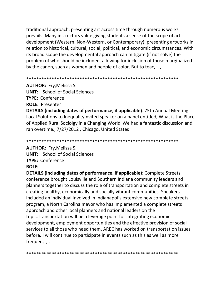traditional approach, presenting art across time through numerous works prevails. Many instructors value giving students a sense of the scope of art s development (Western, Non-Western, or Contemporary), presenting artworks in relation to historical, cultural, social, political, and economic circumstances. With its broad scope the developmental approach can mitigate (if not solve) the problem of who should be included, allowing for inclusion of those marginalized by the canon, such as women and people of color. But to teac, ,

#### 

**AUTHOR:** Fry, Melissa S.

**UNIT:** School of Social Sciences **TYPE: Conference ROLE: Presenter** 

**DETAILS (including dates of performance, if applicable)**: 75th Annual Meeting: Local Solutions to Inequality Invited speaker on a panel entitled, What is the Place of Applied Rural Sociolgy in a Changing World"We had a fantastic discussion and ran overtime., 7/27/2012, Chicago, United States

**AUTHOR:** Fry, Melissa S.

**UNIT:** School of Social Sciences **TYPE: Conference ROLE:** 

**DETAILS (including dates of performance, if applicable):** Complete Streets conference brought Louisville and Southern Indiana community leaders and planners together to discuss the role of transportation and complete streets in creating healthy, economically and socially vibrant communities. Speakers included an individual involved in Indianapolis extensive new complete streets program, a North Carolina mayor who has implemented a complete streets approach and other local planners and national leaders on the topic. Transportation will be a leverage point for integrating economic development, employment opportunities and the effective provision of social services to all those who need them. AREC has worked on transportation issues before. I will continue to participate in events such as this as well as more frequen,  $,$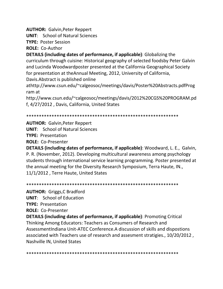**AUTHOR:** Galvin,Peter Reppert

**UNIT**: School of Natural Sciences

**TYPE:** Poster Session

**ROLE:** Co-Author

**DETAILS (including dates of performance, if applicable)**: Globalizing the curriculum through cuisine: Historical geography of selected foodsby Peter Galvin and Lucinda Woodwardposter presented at the California Geographical Society for presentation at theAnnual Meeting, 2012, University of California,

Davis.Abstract is published online

athttp://www.csun.edu/~calgeosoc/meetings/davis/Poster%20Abstracts.pdfProg ram at

http://www.csun.edu/~calgeosoc/meetings/davis/2012%20CGS%20PROGRAM.pd f, 4/27/2012 , Davis, California, United States

#### \*\*\*\*\*\*\*\*\*\*\*\*\*\*\*\*\*\*\*\*\*\*\*\*\*\*\*\*\*\*\*\*\*\*\*\*\*\*\*\*\*\*\*\*\*\*\*\*\*\*\*\*\*\*\*\*\*\*\*\*

## **AUTHOR:** Galvin,Peter Reppert

**UNIT**: School of Natural Sciences

**TYPE:** Presentation

**ROLE:** Co-Presenter

**DETAILS (including dates of performance, if applicable)**: Woodward, L. E., Galvin, P. R. (November, 2012). Developing multicultural awareness among psychology students through international service learning programming. Poster presented at the annual meeting for the Diversity Research Symposium, Terra Haute, IN., 11/1/2012 , Terre Haute, United States

\*\*\*\*\*\*\*\*\*\*\*\*\*\*\*\*\*\*\*\*\*\*\*\*\*\*\*\*\*\*\*\*\*\*\*\*\*\*\*\*\*\*\*\*\*\*\*\*\*\*\*\*\*\*\*\*\*\*\*\*

**AUTHOR:** Griggs,C Bradford

**UNIT**: School of Education

**TYPE:** Presentation

**ROLE:** Co-Presenter

**DETAILS (including dates of performance, if applicable)**: Promoting Critical Thinking Among Educators: Teachers as Consumers of Research and AssessmentIndiana Unit-ATEC Conference.A discussion of skills and dispostions associated with Teachers use of research and assesment stratigies., 10/20/2012 , Nashville IN, United States

\*\*\*\*\*\*\*\*\*\*\*\*\*\*\*\*\*\*\*\*\*\*\*\*\*\*\*\*\*\*\*\*\*\*\*\*\*\*\*\*\*\*\*\*\*\*\*\*\*\*\*\*\*\*\*\*\*\*\*\*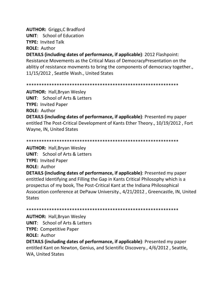**AUTHOR:** Griggs, C Bradford **UNIT:** School of Education **TYPE: Invited Talk ROLE: Author** 

**DETAILS (including dates of performance, if applicable): 2012 Flashpoint:** Resistance Movements as the Critical Mass of DemocracyPresentation on the ablitiy of resistance movments to bring the components of democracy together., 11/15/2012, Seattle Wash., United States

**AUTHOR:** Hall, Bryan Wesley **UNIT:** School of Arts & Letters **TYPE: Invited Paper ROLE: Author** 

**DETAILS (including dates of performance, if applicable)**: Presented my paper entitled The Post-Critical Development of Kants Ether Theory., 10/19/2012, Fort Wayne, IN, United States

**AUTHOR: Hall, Bryan Wesley UNIT:** School of Arts & Letters **TYPE: Invited Paper ROLE: Author DETAILS (including dates of performance, if applicable)**: Presented my paper entittled Identifying and Filling the Gap in Kants Critical Philosophy which is a prospectus of my book, The Post-Critical Kant at the Indiana Philosophical Assocation conference at DePauw University., 4/21/2012, Greencastle, IN, United

**States** 

**AUTHOR: Hall, Bryan Wesley** 

**UNIT:** School of Arts & Letters

**TYPE: Competitive Paper** 

**ROLE: Author** 

DETAILS (including dates of performance, if applicable): Presented my paper entitled Kant on Newton, Genius, and Scientific Discovery., 4/6/2012, Seattle, **WA, United States**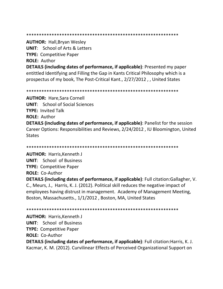#### 

**AUTHOR: Hall, Bryan Wesley** 

**UNIT:** School of Arts & Letters

**TYPE: Competitive Paper** 

**ROLE: Author** 

**DETAILS (including dates of performance, if applicable)**: Presented my paper entittled Identifying and Filling the Gap in Kants Critical Philosophy which is a prospectus of my book, The Post-Critical Kant., 2/27/2012, United States

**AUTHOR: Hare, Sara Cornell UNIT:** School of Social Sciences **TYPE: Invited Talk ROLE: Author DETAILS (including dates of performance, if applicable)**: Panelist for the session Career Options: Responsibilities and Reviews, 2/24/2012, IU Bloomington, United **States** 

**AUTHOR: Harris, Kenneth J UNIT:** School of Business **TYPE: Competitive Paper ROLE: Co-Author** 

**DETAILS (including dates of performance, if applicable)**: Full citation:Gallagher, V. C., Meurs, J., Harris, K. J. (2012). Political skill reduces the negative impact of employees having distrust in management. Academy of Management Meeting, Boston, Massachusetts., 1/1/2012, Boston, MA, United States

**AUTHOR: Harris, Kenneth J UNIT:** School of Business **TYPE: Competitive Paper ROLE: Co-Author DETAILS (including dates of performance, if applicable)**: Full citation: Harris, K. J. Kacmar, K. M. (2012). Curvilinear Effects of Perceived Organizational Support on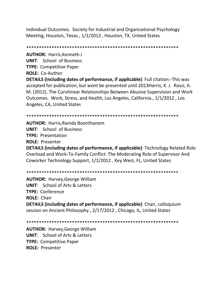Individual Outcomes. Society for Industrial and Organizational Psychology Meeting, Houston, Texas., 1/1/2012 , Houston, TX, United States

\*\*\*\*\*\*\*\*\*\*\*\*\*\*\*\*\*\*\*\*\*\*\*\*\*\*\*\*\*\*\*\*\*\*\*\*\*\*\*\*\*\*\*\*\*\*\*\*\*\*\*\*\*\*\*\*\*\*\*\*

**AUTHOR:** Harris,Kenneth J **UNIT**: School of Business

**TYPE:** Competitive Paper

**ROLE:** Co-Author

**DETAILS (including dates of performance, if applicable)**: Full citation:-This was accepted for publication, but wont be presented until 2013Harris, K. J. Rossi, A. M. (2012). The Curvilinear Relationships Between Abusive Supervision and Work Outcomes. Work, Stress, and Health, Los Angeles, California., 1/1/2012 , Los Angeles, CA, United States

\*\*\*\*\*\*\*\*\*\*\*\*\*\*\*\*\*\*\*\*\*\*\*\*\*\*\*\*\*\*\*\*\*\*\*\*\*\*\*\*\*\*\*\*\*\*\*\*\*\*\*\*\*\*\*\*\*\*\*\*

**AUTHOR:** Harris,Ranida Boonthanom **UNIT**: School of Business **TYPE:** Presentation **ROLE:** Presenter **DETAILS (including dates of performance, if applicable)**: Technology Related Role

Overload and Work-To-Family Conflict: The Moderating Role of Supervisor And Coworker Technology Support, 1/1/2012 , Key West, FL, United States

\*\*\*\*\*\*\*\*\*\*\*\*\*\*\*\*\*\*\*\*\*\*\*\*\*\*\*\*\*\*\*\*\*\*\*\*\*\*\*\*\*\*\*\*\*\*\*\*\*\*\*\*\*\*\*\*\*\*\*\*

**AUTHOR:** Harvey,George William **UNIT**: School of Arts & Letters **TYPE:** Conference **ROLE:** Chair **DETAILS (including dates of performance, if applicable)**: Chair, colloquium session on Ancient Philosophy., 2/17/2012 , Chicago, IL, United States

\*\*\*\*\*\*\*\*\*\*\*\*\*\*\*\*\*\*\*\*\*\*\*\*\*\*\*\*\*\*\*\*\*\*\*\*\*\*\*\*\*\*\*\*\*\*\*\*\*\*\*\*\*\*\*\*\*\*\*\*

**AUTHOR:** Harvey,George William **UNIT**: School of Arts & Letters **TYPE:** Competitive Paper **ROLE:** Presenter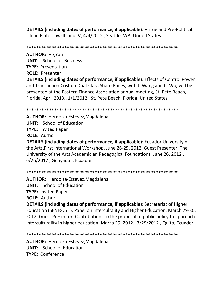**DETAILS (including dates of performance, if applicable)**: Virtue and Pre-Political Life in PlatosLawsIII and IV, 4/4/2012 , Seattle, WA, United States

\*\*\*\*\*\*\*\*\*\*\*\*\*\*\*\*\*\*\*\*\*\*\*\*\*\*\*\*\*\*\*\*\*\*\*\*\*\*\*\*\*\*\*\*\*\*\*\*\*\*\*\*\*\*\*\*\*\*\*\*

**AUTHOR:** He,Yan **UNIT**: School of Business **TYPE:** Presentation **ROLE:** Presenter **DETAILS (including dates of performance, if applicable)**: Effects of Control Power and Transaction Cost on Dual-Class Share Prices, with J. Wang and C. Wu, will be presented at the Eastern Finance Association annual meeting, St. Pete Beach, Florida, April 2013., 1/1/2012 , St. Pete Beach, Florida, United States

\*\*\*\*\*\*\*\*\*\*\*\*\*\*\*\*\*\*\*\*\*\*\*\*\*\*\*\*\*\*\*\*\*\*\*\*\*\*\*\*\*\*\*\*\*\*\*\*\*\*\*\*\*\*\*\*\*\*\*\*

**AUTHOR:** Herdoiza-Estevez,Magdalena **UNIT**: School of Education **TYPE:** Invited Paper **ROLE:** Author **DETAILS (including dates of performance, if applicable)**: Ecuador University of the Arts,First International Workshop, June 26-29, 2012. Guest Presenter: The University of the Arts Academic an Pedagogical Foundations. June 26, 2012., 6/26/2012 , Guayaquil, Ecuador

\*\*\*\*\*\*\*\*\*\*\*\*\*\*\*\*\*\*\*\*\*\*\*\*\*\*\*\*\*\*\*\*\*\*\*\*\*\*\*\*\*\*\*\*\*\*\*\*\*\*\*\*\*\*\*\*\*\*\*\*

**AUTHOR:** Herdoiza-Estevez,Magdalena **UNIT**: School of Education **TYPE:** Invited Paper **ROLE:** Author

**DETAILS (including dates of performance, if applicable)**: Secretariat of Higher Education (SENESCYT), Panel on Interculrality and Higher Education, March 29-30, 2012. Guest Presenter: Contributions to the proposal of public policy to approach interculturality in higher education, Marzo 29, 2012., 3/29/2012 , Quito, Ecuador

\*\*\*\*\*\*\*\*\*\*\*\*\*\*\*\*\*\*\*\*\*\*\*\*\*\*\*\*\*\*\*\*\*\*\*\*\*\*\*\*\*\*\*\*\*\*\*\*\*\*\*\*\*\*\*\*\*\*\*\*

**AUTHOR:** Herdoiza-Estevez,Magdalena **UNIT**: School of Education **TYPE:** Conference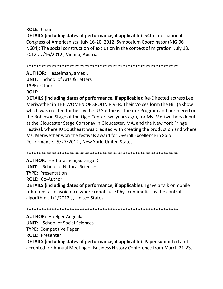## **ROLE: Chair**

**DETAILS (including dates of performance, if applicable)**: 54th International Congress of Americanists, July 16-20, 2012. Symposium Coordinator (NIG 06 N604): The social construction of exclusion in the context of migration. July 18, 2012., 7/16/2012, Vienna, Austria

**AUTHOR: Hesselman.James L UNIT:** School of Arts & Letters **TYPE: Other ROLE:** 

**DETAILS (including dates of performance, if applicable)**: Re-Directed actress Lee Meriwether in THE WOMEN OF SPOON RIVER: Their Voices form the Hill (a show which was created for her by the IU Southeast Theatre Program and premiered on the Robinson Stage of the Ogle Center two years ago), for Ms. Meriwethers debut at the Gloucester Stage Compnay in Gloucester, MA, and the New York Fringe Festival, where IU Southeast was credited with creating the production and where Ms. Meriwether won the festivals award for Overall Excellence in Solo Performance., 5/27/2012, New York, United States

**AUTHOR: Hettiarachchi, Suranga D UNIT:** School of Natural Sciences **TYPE: Presentation ROLE: Co-Author** 

**DETAILS (including dates of performance, if applicable)**: I gave a talk onmobile robot obstacle avoidance where robots use Physicomimetics as the control algorithm., 1/1/2012, , United States

**AUTHOR: Hoelger, Angelika UNIT:** School of Social Sciences **TYPE: Competitive Paper ROLE: Presenter** 

**DETAILS (including dates of performance, if applicable)**: Paper submitted and accepted for Annual Meeting of Business History Conference from March 21-23,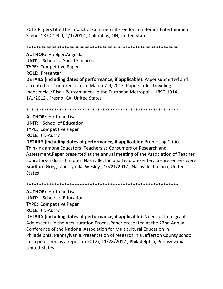2013.Papers title The Impact of Commercial Freedom on Berlins Entertainment Scene, 1830-1900, 1/1/2012 , Columbus, OH, United States

\*\*\*\*\*\*\*\*\*\*\*\*\*\*\*\*\*\*\*\*\*\*\*\*\*\*\*\*\*\*\*\*\*\*\*\*\*\*\*\*\*\*\*\*\*\*\*\*\*\*\*\*\*\*\*\*\*\*\*\* **AUTHOR:** Hoelger,Angelika **UNIT**: School of Social Sciences **TYPE:** Competitive Paper **ROLE:** Presenter **DETAILS (including dates of performance, if applicable)**: Paper submitted and accepted for Conference from March 7-9, 2013. Papers title: Traveling Indecencies: Risqu Performances in the European Metropolis, 1890-1914,

1/1/2012 , Fresno, CA, United States

\*\*\*\*\*\*\*\*\*\*\*\*\*\*\*\*\*\*\*\*\*\*\*\*\*\*\*\*\*\*\*\*\*\*\*\*\*\*\*\*\*\*\*\*\*\*\*\*\*\*\*\*\*\*\*\*\*\*\*\*

**AUTHOR:** Hoffman,Lisa **UNIT**: School of Education **TYPE:** Competitive Paper **ROLE:** Co-Author

**DETAILS (including dates of performance, if applicable)**: Promoting Critical Thinking among Educators: Teachers as Consumers or Research and Assessment.Paper presented at the annual meeting of the Association of Teacher Educators-Indiana Chapter, Nashville, Indiana.Lead presenter. Co-presenters were Bradford Griggs and Tymika Wesley., 10/21/2012 , Nashville, Indiana, United States

\*\*\*\*\*\*\*\*\*\*\*\*\*\*\*\*\*\*\*\*\*\*\*\*\*\*\*\*\*\*\*\*\*\*\*\*\*\*\*\*\*\*\*\*\*\*\*\*\*\*\*\*\*\*\*\*\*\*\*\*

**AUTHOR:** Hoffman,Lisa

**UNIT**: School of Education

**TYPE:** Competitive Paper

**ROLE:** Co-Author

**DETAILS (including dates of performance, if applicable)**: Needs of Immigrant Adolescents in the Acculturation ProcessPaper presented at the 22nd Annual Conference of the National Association for Multicultural Education in Philadelphia, Pennsylvania.Presentation of research in a Jefferson County school (also published as a report in 2012), 11/28/2012 , Philadelphia, Pennsylvania, United States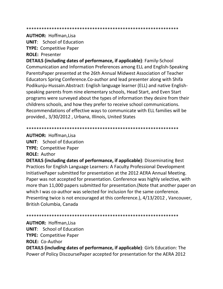**AUTHOR: Hoffman, Lisa** 

**UNIT:** School of Education

**TYPE: Competitive Paper** 

**ROLE: Presenter** 

**DETAILS (including dates of performance, if applicable)**: Family-School Communication and Information Preferences among ELL and English-Speaking ParentsPaper presented at the 26th Annual Midwest Association of Teacher Educators Spring Conference. Co-author and lead presenter along with Shifa Podikunju-Hussain. Abstract: English language learner (ELL) and native Englishspeaking parents from nine elementary schools, Head Start, and Even Start programs were surveyed about the types of information they desire from their childrens schools, and how they prefer to receive school communications. Recommendations of effective ways to communicate with ELL families will be provided., 3/30/2012, Urbana, Illinois, United States

**AUTHOR: Hoffman.Lisa** 

**UNIT:** School of Education **TYPE: Competitive Paper** 

**ROLE: Author** 

**DETAILS (including dates of performance, if applicable)**: Disseminating Best Practices for English Language Learners: A Faculty Professional Development Initiative Paper submitted for presentation at the 2012 AERA Annual Meeting. Paper was not accepted for presentation. Conference was highly selective, with more than 11,000 papers submitted for presentation. (Note that another paper on which I was co-author was selected for inclusion for the same conference. Presenting twice is not encouraged at this conference.), 4/13/2012, Vancouver, British Columbia, Canada

**AUTHOR: Hoffman, Lisa** 

**UNIT:** School of Education

**TYPE: Competitive Paper** 

**ROLE: Co-Author** 

**DETAILS (including dates of performance, if applicable):** Girls Education: The Power of Policy DiscoursePaper accepted for presentation for the AERA 2012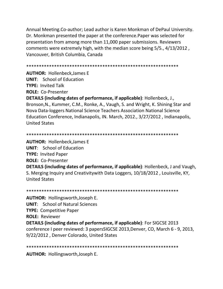Annual Meeting.Co-author; Lead author is Karen Monkman of DePaul University. Dr. Monkman presented the paper at the conference.Paper was selected for presentation from among more than 11,000 paper submissions. Reviewers comments were extremely high, with the median score being 5/5., 4/13/2012 , Vancouver, British Columbia, Canada

```
************************************************************
```
**AUTHOR:** Hollenbeck,James E **UNIT**: School of Education **TYPE:** Invited Talk **ROLE:** Co-Presenter

**DETAILS (including dates of performance, if applicable)**: Hollenbeck, J., Bronson,N., Kummer, C.M., Ronke, A., Vaugh, S. and Wright, K. Shining Star and Nova Data-loggers National Science Teachers Association National Science Education Conference, Indianapolis, IN. March, 2012., 3/27/2012 , Indianapolis, United States

## \*\*\*\*\*\*\*\*\*\*\*\*\*\*\*\*\*\*\*\*\*\*\*\*\*\*\*\*\*\*\*\*\*\*\*\*\*\*\*\*\*\*\*\*\*\*\*\*\*\*\*\*\*\*\*\*\*\*\*\*

**AUTHOR:** Hollenbeck,James E **UNIT**: School of Education **TYPE:** Invited Paper **ROLE:** Co-Presenter

**DETAILS (including dates of performance, if applicable)**: Hollenbeck, J and Vaugh, S. Merging Inquiry and Creativitywith Data Loggers, 10/18/2012 , Louisville, KY, United States

```
************************************************************
```
**AUTHOR:** Hollingsworth,Joseph E. **UNIT**: School of Natural Sciences **TYPE:** Competitive Paper **ROLE:** Reviewer

**DETAILS (including dates of performance, if applicable)**: For SIGCSE 2013 conference I peer reviewed: 3 papersSIGCSE 2013,Denver, CO, March 6 - 9, 2013, 9/22/2012 , Denver Colorado, United States

\*\*\*\*\*\*\*\*\*\*\*\*\*\*\*\*\*\*\*\*\*\*\*\*\*\*\*\*\*\*\*\*\*\*\*\*\*\*\*\*\*\*\*\*\*\*\*\*\*\*\*\*\*\*\*\*\*\*\*\*

**AUTHOR:** Hollingsworth,Joseph E.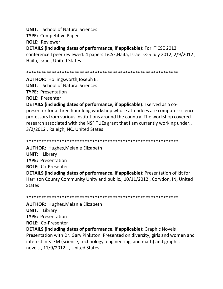**UNIT**: School of Natural Sciences

**TYPE:** Competitive Paper

**ROLE:** Reviewer

**DETAILS (including dates of performance, if applicable)**: For ITiCSE 2012

conference I peer reviewed: 4 papersITiCSE,Haifa, Israel -3-5 July 2012, 2/9/2012 , Haifa, Israel, United States

\*\*\*\*\*\*\*\*\*\*\*\*\*\*\*\*\*\*\*\*\*\*\*\*\*\*\*\*\*\*\*\*\*\*\*\*\*\*\*\*\*\*\*\*\*\*\*\*\*\*\*\*\*\*\*\*\*\*\*\*

**AUTHOR:** Hollingsworth,Joseph E.

**UNIT**: School of Natural Sciences

**TYPE:** Presentation

**ROLE:** Presenter

**DETAILS (including dates of performance, if applicable)**: I served as a copresenter for a three hour long workshop whose attendees are computer science professors from various institutions around the country. The workshop covered research associated with the NSF TUEs grant that I am currently working under., 3/2/2012 , Raleigh, NC, United States

\*\*\*\*\*\*\*\*\*\*\*\*\*\*\*\*\*\*\*\*\*\*\*\*\*\*\*\*\*\*\*\*\*\*\*\*\*\*\*\*\*\*\*\*\*\*\*\*\*\*\*\*\*\*\*\*\*\*\*\*

**AUTHOR:** Hughes,Melanie Elizabeth

**UNIT**: Library

**TYPE:** Presentation

**ROLE:** Co-Presenter

**DETAILS (including dates of performance, if applicable)**: Presentation of kit for Harrison County Community Unity and public., 10/11/2012 , Corydon, IN, United **States** 

\*\*\*\*\*\*\*\*\*\*\*\*\*\*\*\*\*\*\*\*\*\*\*\*\*\*\*\*\*\*\*\*\*\*\*\*\*\*\*\*\*\*\*\*\*\*\*\*\*\*\*\*\*\*\*\*\*\*\*\*

**AUTHOR:** Hughes,Melanie Elizabeth

**UNIT**: Library

**TYPE:** Presentation

**ROLE:** Co-Presenter

**DETAILS (including dates of performance, if applicable)**: Graphic Novels Presentation with Dr. Gary Pinkston. Presented on diversity, girls and women and interest in STEM (science, technology, engineering, and math) and graphic novels., 11/9/2012 , , United States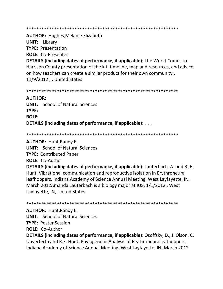\*\*\*\*\*\*\*\*\*\*\*\*\*\*\*\*\*\*\*\*\*\*\*\*\*\*\*\*\*\*\*\*\*\*\*\*\*\*\*\*\*\*\*\*\*\*\*\*\*\*\*\*\*\*\*\*\*\*\*\*

**AUTHOR:** Hughes,Melanie Elizabeth

**UNIT**: Library

**TYPE:** Presentation

**ROLE:** Co-Presenter

**DETAILS (including dates of performance, if applicable)**: The World Comes to Harrison County presentation of the kit, timeline, map and resources, and advice on how teachers can create a similar product for their own community., 11/9/2012 , , United States

\*\*\*\*\*\*\*\*\*\*\*\*\*\*\*\*\*\*\*\*\*\*\*\*\*\*\*\*\*\*\*\*\*\*\*\*\*\*\*\*\*\*\*\*\*\*\*\*\*\*\*\*\*\*\*\*\*\*\*\*

## **AUTHOR:**

**UNIT**: School of Natural Sciences **TYPE: ROLE: DETAILS (including dates of performance, if applicable)**: , , ,

\*\*\*\*\*\*\*\*\*\*\*\*\*\*\*\*\*\*\*\*\*\*\*\*\*\*\*\*\*\*\*\*\*\*\*\*\*\*\*\*\*\*\*\*\*\*\*\*\*\*\*\*\*\*\*\*\*\*\*\*

**AUTHOR:** Hunt,Randy E.

**UNIT**: School of Natural Sciences

**TYPE:** Contributed Paper

**ROLE:** Co-Author

**DETAILS (including dates of performance, if applicable)**: Lauterbach, A. and R. E. Hunt. Vibrational communication and reproductive isolation in Erythroneura leafhoppers. Indiana Academy of Science Annual Meeting. West Layfayette, IN. March 2012Amanda Lauterbach is a biology major at IUS, 1/1/2012 , West Layfayette, IN, United States

\*\*\*\*\*\*\*\*\*\*\*\*\*\*\*\*\*\*\*\*\*\*\*\*\*\*\*\*\*\*\*\*\*\*\*\*\*\*\*\*\*\*\*\*\*\*\*\*\*\*\*\*\*\*\*\*\*\*\*\*

**AUTHOR:** Hunt,Randy E.

**UNIT**: School of Natural Sciences

**TYPE:** Poster Session

**ROLE:** Co-Author

**DETAILS (including dates of performance, if applicable)**: Osoffsky, D., J. Olson, C. Unverferth and R.E. Hunt. Phylogenetic Analysis of Erythroneura leafhoppers. Indiana Academy of Science Annual Meeting. West Layfayette, IN. March 2012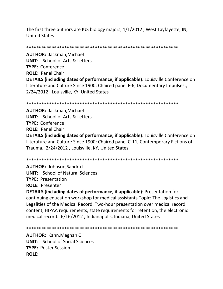The first three authors are IUS biology majors, 1/1/2012 , West Layfayette, IN, United States

\*\*\*\*\*\*\*\*\*\*\*\*\*\*\*\*\*\*\*\*\*\*\*\*\*\*\*\*\*\*\*\*\*\*\*\*\*\*\*\*\*\*\*\*\*\*\*\*\*\*\*\*\*\*\*\*\*\*\*\*

**AUTHOR:** Jackman,Michael **UNIT**: School of Arts & Letters **TYPE:** Conference **ROLE:** Panel Chair **DETAILS (including dates of performance, if applicable)**: Louisville Conference on Literature and Culture Since 1900: Chaired panel F-6, Documentary Impulses., 2/24/2012 , Louisville, KY, United States

\*\*\*\*\*\*\*\*\*\*\*\*\*\*\*\*\*\*\*\*\*\*\*\*\*\*\*\*\*\*\*\*\*\*\*\*\*\*\*\*\*\*\*\*\*\*\*\*\*\*\*\*\*\*\*\*\*\*\*\*

**AUTHOR:** Jackman,Michael **UNIT**: School of Arts & Letters **TYPE:** Conference **ROLE:** Panel Chair

**DETAILS (including dates of performance, if applicable)**: Louisville Conference on Literature and Culture Since 1900: Chaired panel C-11, Contemporary Fictions of Trauma., 2/24/2012 , Louisville, KY, United States

\*\*\*\*\*\*\*\*\*\*\*\*\*\*\*\*\*\*\*\*\*\*\*\*\*\*\*\*\*\*\*\*\*\*\*\*\*\*\*\*\*\*\*\*\*\*\*\*\*\*\*\*\*\*\*\*\*\*\*\*

**AUTHOR:** Johnson,Sandra L **UNIT**: School of Natural Sciences **TYPE:** Presentation **ROLE:** Presenter

**DETAILS (including dates of performance, if applicable)**: Presentation for continuing education workshop for medical assistants.Topic: The Logistics and Legalities of the Medical Record. Two-hour presentation over medical record content, HIPAA requirements, state requirements for retention, the electronic medical record., 6/16/2012 , Indianapolis, Indiana, United States

\*\*\*\*\*\*\*\*\*\*\*\*\*\*\*\*\*\*\*\*\*\*\*\*\*\*\*\*\*\*\*\*\*\*\*\*\*\*\*\*\*\*\*\*\*\*\*\*\*\*\*\*\*\*\*\*\*\*\*\*

**AUTHOR:** Kahn,Meghan C **UNIT**: School of Social Sciences **TYPE:** Poster Session **ROLE:**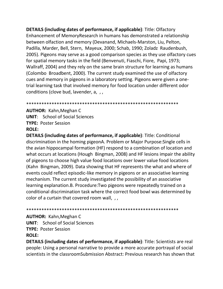**DETAILS (including dates of performance, if applicable):** Title: Olfactory Enhancement of MemoryResearch in humans has demonstrated a relationship between olfaction and memory (Devanand, Michaels-Marston, Liu, Pelton, Padilla, Marder, Bell, Stern, Mayeux, 2000; Schab, 1990; Zoladz Raudenbush, 2005). Pigeons may serve as a good comparison species as they use olfactory cues for spatial memory tasks in the field (Benvenuti, Fiaschi, Fiore, Papi, 1973; Wallraff, 2004) and they rely on the same brain structure for learning as humans (Colombo Broadbent, 2000). The current study examined the use of olfactory cues and memory in pigeons in a laboratory setting. Pigeons were given a onetrial learning task that involved memory for food location under different odor conditions (clove bud, lavender, a, ,,

**AUTHOR: Kahn, Meghan C UNIT:** School of Social Sciences **TYPE: Poster Session** ROLF:

**DETAILS (including dates of performance, if applicable)**: Title: Conditional discrimination in the homing pigeonA. Problem or Major Purpose: Single cells in the avian hippocampal formation (HF) respond to a combination of location and what occurs at locations (Hough Bingman, 2008) and HF lesions impair the ability of pigeons to choose high value food locations over lower value food locations (Kahn Bingman, 2009). Data showing that HF represents the what and where of events could reflect episodic-like memory in pigeons or an associative learning mechanism. The current study investigated the possibility of an associative learning explanation.B. Procedure: Two pigeons were repeatedly trained on a conditional discrimination task where the correct food bowl was determined by color of a curtain that covered room wall, , ,

## **AUTHOR: Kahn, Meghan C**

**UNIT:** School of Social Sciences

**TYPE: Poster Session** 

## **ROLE:**

DETAILS (including dates of performance, if applicable): Title: Scientists are real people: Using a personal narrative to provide a more accurate portrayal of social scientists in the classroomSubmission Abstract: Previous research has shown that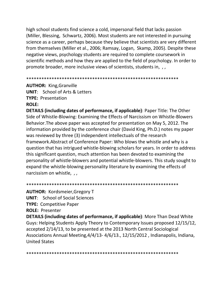high school students find science a cold, impersonal field that lacks passion (Miller, Blessing, Schwartz, 2006). Most students are not interested in pursuing science as a career, perhaps because they believe that scientists are very different from themselves (Miller et al., 2006; Ramsay, Logan, Skamp, 2005). Despite these negative views, psychology students are required to complete coursework in scientific methods and how they are applied to the field of psychology. In order to promote broader, more inclusive views of scientists, students in, , ,

\*\*\*\*\*\*\*\*\*\*\*\*\*\*\*\*\*\*\*\*\*\*\*\*\*\*\*\*\*\*\*\*\*\*\*\*\*\*\*\*\*\*\*\*\*\*\*\*\*\*\*\*\*\*\*\*\*\*\*\*

**AUTHOR:** King,Granville **UNIT**: School of Arts & Letters **TYPE:** Presentation **ROLE:**

**DETAILS (including dates of performance, if applicable)**: Paper Title: The Other Side of Whistle-Blowing: Examining the Effects of Narcissism on Whistle-Blowers Behavior.The above paper was accepted for presentation on May 5, 2012. The information provided by the conference chair (David King, Ph.D.) notes my paper was reviewed by three (3) independent intellectuals of the research framework.Abstract of Conference Paper: Who blows the whistle and why is a question that has intrigued whistle-blowing scholars for years. In order to address this significant question, much attention has been devoted to examining the personality of whistle-blowers and potential whistle-blowers. This study sought to expand the whistle-blowing personality literature by examining the effects of narcissism on whistle, , ,

**AUTHOR:** Kordsmeier,Gregory T **UNIT**: School of Social Sciences

**TYPE:** Competitive Paper

**ROLE:** Presenter

**DETAILS (including dates of performance, if applicable)**: More Than Dead White Guys: Helping Students Apply Theory to Contemporary Issues proposed 12/15/12, accepted 2/14/13, to be presented at the 2013 North Central Sociological Associations Annual Meeting,4/4/13- 4/6/13., 12/15/2012 , Indianapolis, Indiana, United States

\*\*\*\*\*\*\*\*\*\*\*\*\*\*\*\*\*\*\*\*\*\*\*\*\*\*\*\*\*\*\*\*\*\*\*\*\*\*\*\*\*\*\*\*\*\*\*\*\*\*\*\*\*\*\*\*\*\*\*\*

\*\*\*\*\*\*\*\*\*\*\*\*\*\*\*\*\*\*\*\*\*\*\*\*\*\*\*\*\*\*\*\*\*\*\*\*\*\*\*\*\*\*\*\*\*\*\*\*\*\*\*\*\*\*\*\*\*\*\*\*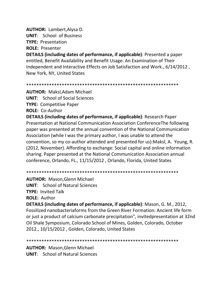**AUTHOR:** Lambert,Alysa D. **UNIT**: School of Business **TYPE:** Presentation **ROLE:** Presenter

**DETAILS (including dates of performance, if applicable)**: Presented a paper entitled, Benefit Availability and Benefit Usage: An Examination of Their Independent and Interactive Effects on Job Satisfaction and Work., 6/14/2012 , New York, NY, United States

\*\*\*\*\*\*\*\*\*\*\*\*\*\*\*\*\*\*\*\*\*\*\*\*\*\*\*\*\*\*\*\*\*\*\*\*\*\*\*\*\*\*\*\*\*\*\*\*\*\*\*\*\*\*\*\*\*\*\*\*

**AUTHOR:** Maksl,Adam Michael **UNIT**: School of Social Sciences **TYPE:** Competitive Paper

**ROLE:** Co-Author

**DETAILS (including dates of performance, if applicable)**: Research Paper Presentation at National Communication Association ConferenceThe following paper was presented at the annual convention of the National Communication Association (while I was the primary author, I was unable to attend the convention, so my co-author attended and presented for us):Maksl, A. Young, R. (2012, November). Affording to exchange: Social capital and online information sharing. Paper presented at the National Communication Association annual conference, Orlando, FL., 11/15/2012 , Orlando, Florida, United States

\*\*\*\*\*\*\*\*\*\*\*\*\*\*\*\*\*\*\*\*\*\*\*\*\*\*\*\*\*\*\*\*\*\*\*\*\*\*\*\*\*\*\*\*\*\*\*\*\*\*\*\*\*\*\*\*\*\*\*\*

**AUTHOR:** Mason,Glenn Michael **UNIT**: School of Natural Sciences **TYPE:** Invited Talk **ROLE:** Author

**DETAILS (including dates of performance, if applicable)**: Mason, G. M., 2012, Fossilized nanobacteriaforms from the Green River Formation: Ancient life form or just a product of calcium carbonate precipitation", invitedpresentation at 32nd Oil Shale Symposium, Colorado School of Mines, Golden, Colorado, October 2012., 10/15/2012 , Golden, Colorado, United States

#### \*\*\*\*\*\*\*\*\*\*\*\*\*\*\*\*\*\*\*\*\*\*\*\*\*\*\*\*\*\*\*\*\*\*\*\*\*\*\*\*\*\*\*\*\*\*\*\*\*\*\*\*\*\*\*\*\*\*\*\*

**AUTHOR:** Mason,Glenn Michael **UNIT**: School of Natural Sciences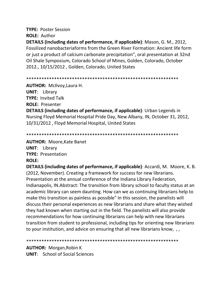**TYPE:** Poster Session **ROLE:** Author **DETAILS (including dates of performance, if applicable)**: Mason, G. M., 2012, Fossilized nanobacteriaforms from the Green River Formation: Ancient life form or just a product of calcium carbonate precipitation", oral presentation at 32nd Oil Shale Symposium, Colorado School of Mines, Golden, Colorado, October 2012., 10/15/2012 , Golden, Colorado, United States

\*\*\*\*\*\*\*\*\*\*\*\*\*\*\*\*\*\*\*\*\*\*\*\*\*\*\*\*\*\*\*\*\*\*\*\*\*\*\*\*\*\*\*\*\*\*\*\*\*\*\*\*\*\*\*\*\*\*\*\*

**AUTHOR:** McIlvoy,Laura H. **UNIT**: Library

**TYPE:** Invited Talk **ROLE:** Presenter

**DETAILS (including dates of performance, if applicable)**: Urban Legends in Nursing Floyd Memorial Hospital Pride Day, New Albany, IN, October 31, 2012, 10/31/2012 , Floyd Memorial Hospital, United States

\*\*\*\*\*\*\*\*\*\*\*\*\*\*\*\*\*\*\*\*\*\*\*\*\*\*\*\*\*\*\*\*\*\*\*\*\*\*\*\*\*\*\*\*\*\*\*\*\*\*\*\*\*\*\*\*\*\*\*\*

**AUTHOR:** Moore,Kate Banet

**UNIT**: Library **TYPE:** Presentation **ROLE:**

**DETAILS (including dates of performance, if applicable)**: Accardi, M. Moore, K. B. (2012, November). Creating a framework for success for new librarians. Presentation at the annual conference of the Indiana Library Federation, Indianapolis, IN.Abstract: The transition from library school to faculty status at an academic library can seem daunting. How can we as continuing librarians help to make this transition as painless as possible" In this session, the panelists will discuss their personal experiences as new librarians and share what they wished they had known when starting out in the field. The panelists will also provide recommendations for how continuing librarians can help with new librarians transition from student to professional, including tips for orienting new librarians to your institution, and advice on ensuring that all new librarians know, , ,

\*\*\*\*\*\*\*\*\*\*\*\*\*\*\*\*\*\*\*\*\*\*\*\*\*\*\*\*\*\*\*\*\*\*\*\*\*\*\*\*\*\*\*\*\*\*\*\*\*\*\*\*\*\*\*\*\*\*\*\*

**AUTHOR:** Morgan,Robin K **UNIT**: School of Social Sciences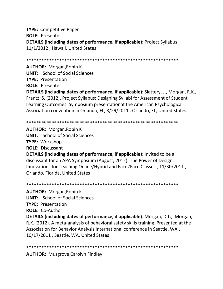**TYPE:** Competitive Paper **ROLE:** Presenter **DETAILS (including dates of performance, if applicable)**: Project Syllabus, 11/1/2012 , Hawaii, United States

\*\*\*\*\*\*\*\*\*\*\*\*\*\*\*\*\*\*\*\*\*\*\*\*\*\*\*\*\*\*\*\*\*\*\*\*\*\*\*\*\*\*\*\*\*\*\*\*\*\*\*\*\*\*\*\*\*\*\*\*

**AUTHOR:** Morgan,Robin K **UNIT**: School of Social Sciences **TYPE:** Presentation **ROLE:** Presenter

**DETAILS (including dates of performance, if applicable)**: Slattery, J., Morgan, R.K., Frantz, S. (2012). Project Syllabus: Designing Syllabi for Assessment of Student Learning Outcomes. Symposium presentationat the American Psychological Association convention in Orlando, FL, 8/29/2011 , Orlando, FL, United States

\*\*\*\*\*\*\*\*\*\*\*\*\*\*\*\*\*\*\*\*\*\*\*\*\*\*\*\*\*\*\*\*\*\*\*\*\*\*\*\*\*\*\*\*\*\*\*\*\*\*\*\*\*\*\*\*\*\*\*\*

**AUTHOR:** Morgan,Robin K **UNIT**: School of Social Sciences **TYPE:** Workshop **ROLE:** Discussant **DETAILS (including dates of performance, if applicable)**: Invited to be a discussant for an APA Symposium (August, 2012): The Power of Design: Innovations for Teaching Online/Hybrid and Face2Face Classes., 11/30/2011 , Orlando, Florida, United States

\*\*\*\*\*\*\*\*\*\*\*\*\*\*\*\*\*\*\*\*\*\*\*\*\*\*\*\*\*\*\*\*\*\*\*\*\*\*\*\*\*\*\*\*\*\*\*\*\*\*\*\*\*\*\*\*\*\*\*\* **AUTHOR:** Morgan,Robin K **UNIT**: School of Social Sciences **TYPE:** Presentation **ROLE:** Co-Author **DETAILS (including dates of performance, if applicable)**: Morgan, D.L., Morgan, R.K. (2012). A meta-analysis of behavioral safety skills training. Presented at the Association for Behavior Analysis International conference in Seattle, WA., 10/17/2011 , Seattle, WA, United States

\*\*\*\*\*\*\*\*\*\*\*\*\*\*\*\*\*\*\*\*\*\*\*\*\*\*\*\*\*\*\*\*\*\*\*\*\*\*\*\*\*\*\*\*\*\*\*\*\*\*\*\*\*\*\*\*\*\*\*\*

**AUTHOR:** Musgrove,Carolyn Findley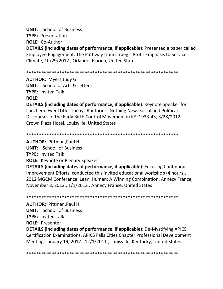**UNIT**: School of Business

**TYPE:** Presentation

**ROLE:** Co-Author

**DETAILS (including dates of performance, if applicable)**: Presented a paper called Employee Engagement: The Pathway from straegic Profit Emphasis to Service Climate, 10/29/2012 , Orlando, Florida, United States

\*\*\*\*\*\*\*\*\*\*\*\*\*\*\*\*\*\*\*\*\*\*\*\*\*\*\*\*\*\*\*\*\*\*\*\*\*\*\*\*\*\*\*\*\*\*\*\*\*\*\*\*\*\*\*\*\*\*\*\*

**AUTHOR:** Myers,Judy G. **UNIT**: School of Arts & Letters **TYPE:** Invited Talk **ROLE:**

**DETAILS (including dates of performance, if applicable)**: Keynote Speaker for Luncheon EventTitle: Todays Rhetoric is Nothing New: Social and Political Discourses of the Early Birth Control Movement in KY: 1933-43, 3/28/2012 , Crown Plaza Hotel, Louisville, United States

\*\*\*\*\*\*\*\*\*\*\*\*\*\*\*\*\*\*\*\*\*\*\*\*\*\*\*\*\*\*\*\*\*\*\*\*\*\*\*\*\*\*\*\*\*\*\*\*\*\*\*\*\*\*\*\*\*\*\*\*

**AUTHOR:** Pittman,Paul H.

**UNIT**: School of Business

**TYPE:** Invited Talk

**ROLE:** Keynote or Plenary Speaker

**DETAILS (including dates of performance, if applicable)**: Focusing Continuous Improvement Efforts, conducted this invited educational workshop (4 hours), 2012 MGCM Conference Lean Human: A Winning Combination, Annecy France, November 8, 2012., 1/1/2012 , Annecy France, United States

\*\*\*\*\*\*\*\*\*\*\*\*\*\*\*\*\*\*\*\*\*\*\*\*\*\*\*\*\*\*\*\*\*\*\*\*\*\*\*\*\*\*\*\*\*\*\*\*\*\*\*\*\*\*\*\*\*\*\*\*

**AUTHOR:** Pittman,Paul H. **UNIT**: School of Business **TYPE:** Invited Talk **ROLE:** Presenter **DETAILS (including dates of performance, if applicable)**: De-Mystifying APICS Certification Examinations, APICS Falls Cities Chapter Professional Development Meeting, January 19, 2012., 12/1/2011 , Louisville, Kentucky, United States

\*\*\*\*\*\*\*\*\*\*\*\*\*\*\*\*\*\*\*\*\*\*\*\*\*\*\*\*\*\*\*\*\*\*\*\*\*\*\*\*\*\*\*\*\*\*\*\*\*\*\*\*\*\*\*\*\*\*\*\*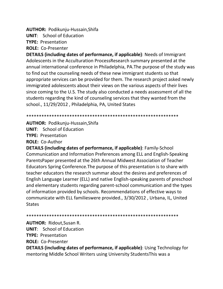**AUTHOR:** Podikunju-Hussain,Shifa

**UNIT**: School of Education

**TYPE:** Presentation

**ROLE:** Co-Presenter

**DETAILS (including dates of performance, if applicable)**: Needs of Immigrant Adolescents in the Acculturation ProcessResearch summary presented at the annual international conference in Philadelphia, PA.The purpose of the study was to find out the counseling needs of these new immigrant students so that appropriate services can be provided for them. The research project asked newly immigrated adolescents about their views on the various aspects of their lives since coming to the U.S. The study also conducted a needs assessment of all the students regarding the kind of counseling services that they wanted from the school., 11/29/2012 , Philadelphia, PA, United States

\*\*\*\*\*\*\*\*\*\*\*\*\*\*\*\*\*\*\*\*\*\*\*\*\*\*\*\*\*\*\*\*\*\*\*\*\*\*\*\*\*\*\*\*\*\*\*\*\*\*\*\*\*\*\*\*\*\*\*\*

**AUTHOR:** Podikunju-Hussain,Shifa

**UNIT**: School of Education

**TYPE:** Presentation

**ROLE:** Co-Author

**DETAILS (including dates of performance, if applicable)**: Family-School Communication and Information Preferences among ELL and English-Speaking ParentsPaper presented at the 26th Annual Midwest Association of Teacher Educators Spring Conference.The purpose of this presentation is to share with teacher educators the research summar about the desires and preferences of English Language Learner (ELL) and native English-speaking parents of preschool and elementary students regarding parent-school communication and the types of information provided by schools. Recommendations of effective ways to communicate with ELL familieswere provided., 3/30/2012 , Urbana, IL, United **States** 

\*\*\*\*\*\*\*\*\*\*\*\*\*\*\*\*\*\*\*\*\*\*\*\*\*\*\*\*\*\*\*\*\*\*\*\*\*\*\*\*\*\*\*\*\*\*\*\*\*\*\*\*\*\*\*\*\*\*\*\*

**AUTHOR:** Ridout,Susan R.

**UNIT**: School of Education

**TYPE:** Presentation

**ROLE:** Co-Presenter

**DETAILS (including dates of performance, if applicable)**: Using Technology for mentoring Middle School Writers using University StudentsThis was a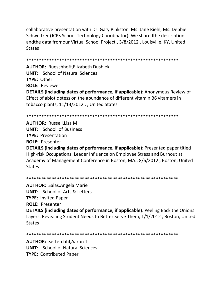collaborative presentation with Dr. Gary Pinkston, Ms. Jane Riehl, Ms. Debbie Schweitzer (JCPS School Technology Coordinator). We sharedthe description andthe data fromour Virtual School Project., 3/8/2012, Louisville, KY, United **States** 

**AUTHOR: Rueschhoff.Elizabeth Dushlek UNIT:** School of Natural Sciences **TYPE: Other ROLE: Reviewer DETAILS (including dates of performance, if applicable)**: Anonymous Review of Effect of abiotic stess on the abundance of different vitamin B6 vitamers in tobacco plants, 11/13/2012, United States

**AUTHOR: Russell, Lisa M UNIT:** School of Business **TYPE: Presentation ROLE: Presenter** 

**DETAILS (including dates of performance, if applicable)**: Presented paper titled High-risk Occupations: Leader Influence on Employee Stress and Burnout at Academy of Management Conference in Boston, MA., 8/6/2012, Boston, United **States** 

**AUTHOR: Salas, Angela Marie UNIT:** School of Arts & Letters **TYPE: Invited Paper ROLE: Presenter** 

**DETAILS (including dates of performance, if applicable)**: Peeling Back the Onions Lavers: Revealing Student Needs to Better Serve Them, 1/1/2012, Boston, United **States** 

**AUTHOR: Setterdahl, Aaron T UNIT:** School of Natural Sciences **TYPE: Contributed Paper**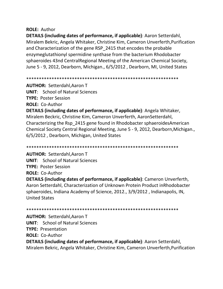# **ROLE: Author**

**DETAILS (including dates of performance, if applicable)**: Aaron Setterdahl, Miralem Bekric, Angela Whitaker, Christine Kim, Cameron Unverferth, Purification and Characterization of the gene RSP 2415 that encodes the probable enzymeglutathionyl spermidine synthase from the bacterium Rhodobacter sphaeroides 43nd CentralRegional Meeting of the American Chemical Society, June 5 - 9, 2012, Dearborn, Michigan., 6/5/2012, Dearborn, MI, United States

**AUTHOR: Setterdahl, Aaron T UNIT:** School of Natural Sciences **TYPE: Poster Session ROLE: Co-Author** DETAILS (including dates of performance, if applicable): Angela Whitaker, Miralem Beckric, Christine Kim, Cameron Unverferth, AaronSetterdahl, Characterizing the Rsp 2415 gene found in Rhodobacter sphaeroides American Chemical Society Central Regional Meeting, June 5 - 9, 2012, Dearborn, Michigan., 6/5/2012, Dearborn, Michigan, United States

**AUTHOR: Setterdahl, Aaron T UNIT:** School of Natural Sciences **TYPE: Poster Session ROLE: Co-Author** 

**DETAILS (including dates of performance, if applicable)**: Cameron Unverferth, Aaron Setterdahl, Characterization of Unknown Protein Product inRhodobacter sphaeroides, Indiana Academy of Science, 2012., 3/9/2012, Indianapolis, IN, **United States** 

**AUTHOR: Setterdahl, Aaron T UNIT:** School of Natural Sciences **TYPE: Presentation ROLE: Co-Author DETAILS (including dates of performance, if applicable)**: Aaron Setterdahl, Miralem Bekric, Angela Whitaker, Christine Kim, Cameron Unverferth, Purification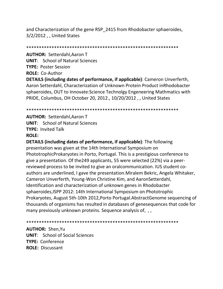and Characterization of the gene RSP\_2415 from Rhodobacter sphaeroides, 3/2/2012 , , United States

\*\*\*\*\*\*\*\*\*\*\*\*\*\*\*\*\*\*\*\*\*\*\*\*\*\*\*\*\*\*\*\*\*\*\*\*\*\*\*\*\*\*\*\*\*\*\*\*\*\*\*\*\*\*\*\*\*\*\*\*

**AUTHOR:** Setterdahl,Aaron T **UNIT**: School of Natural Sciences **TYPE:** Poster Session **ROLE:** Co-Author

**DETAILS (including dates of performance, if applicable)**: Cameron Unverferth, Aaron Setterdahl, Characterization of Unknown Protein Product inRhodobacter sphaeroides, OUT to Innovate:Science Technolgy Engeneering Mathmatics with PRIDE, Columbus, OH October 20, 2012., 10/20/2012 , , United States

\*\*\*\*\*\*\*\*\*\*\*\*\*\*\*\*\*\*\*\*\*\*\*\*\*\*\*\*\*\*\*\*\*\*\*\*\*\*\*\*\*\*\*\*\*\*\*\*\*\*\*\*\*\*\*\*\*\*\*\*

**AUTHOR:** Setterdahl,Aaron T **UNIT**: School of Natural Sciences **TYPE:** Invited Talk **ROLE:**

**DETAILS (including dates of performance, if applicable)**: The following presentation was given at the 14th International Symposium on PhototrophicProkaryotes in Porto, Portugal. This is a prestigious conference to give a presentation. Of the249 applicants, 55 were selected (22%) via a peerreviewed process to be invited to give an oralcommunication. IUS student coauthors are underlined, I gave the presentation.Miralem Bekric, Angela Whitaker, Cameron Unverferth, Young-Won Christine Kim, and AaronSetterdahl, Identification and characterization of unknown genes in Rhodobacter sphaeroides,ISPP 2012: 14th International Symposium on Phototrophic Prokaryotes, August 5th-10th 2012,Porto Portugal.AbstractGenome sequencing of thousands of organisms has resulted in databases of genesequences that code for many previously unknown proteins. Sequence analysis of, ,,

\*\*\*\*\*\*\*\*\*\*\*\*\*\*\*\*\*\*\*\*\*\*\*\*\*\*\*\*\*\*\*\*\*\*\*\*\*\*\*\*\*\*\*\*\*\*\*\*\*\*\*\*\*\*\*\*\*\*\*\*

**AUTHOR:** Shen,Yu **UNIT**: School of Social Sciences **TYPE:** Conference **ROLE:** Discussant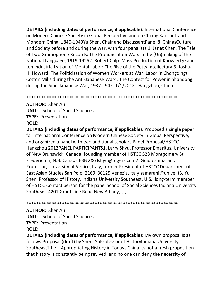**DETAILS (including dates of performance, if applicable):** International Conference on Modern Chinese Society in Global Perspective and on Chiang Kai-shek and Mondern China, 1840-1949Yu Shen, Chair and DiscussantPanel 8: ChinasCulture and Society before and during the war, with four panalists:1. Janet Chen: The Tale of Two Gramophone Records: The Pronunciation Wars in the (Un)making of the National Language, 1919-19252. Robert Culp: Mass Production of Knowledge and teh Industrialization of Mental Labor: The Rise of the Petty Intellectural3. Joshua H. Howard: The Politicization of Women Workers at War: Labor in Chonggings Cotton Mills during the Anti-Japanese War4. The Contest for Power in Shandong during the Sino-Japanese War, 1937-1945, 1/1/2012, Hangzhou, China

**AUTHOR: Shen, Yu UNIT:** School of Social Sciences **TYPE: Presentation ROLE:** 

**DETAILS (including dates of performance, if applicable)**: Proposed a single paper for International Conference on Modern Chinese Society in Global Perspective, and organized a panel with two additional scholars. Panel Proposal/HSTCC Hangzhou 2012PANEL PARTICIPANTS1. Larry Shyu, Professor Emeritus, University of New Brunswick, Canada; founding member of HSTCC 523 Montgomery St Fredericton, N.B. Canada E3B 2X6 Ishyu@rogers.com2. Guido Samarani, Professor, University of Venice, Italy; former President of HSTCC Department of East Asian Studies San Polo, 2169 30125 Venezia, Italy samarani@unive.it3. Yu Shen, Professor of History, Indiana University Southeast, U.S.; long-term member of HSTCC Contact person for the panel School of Social Sciences Indiana University Southeast 4201 Grant Line Road New Albany, ,,

**AUTHOR: Shen, Yu UNIT:** School of Social Sciences **TYPE: Presentation ROLE:** 

**DETAILS (including dates of performance, if applicable)**: My own proposal is as follows: Proposal (draft) by Shen, YuProfessor of HistoryIndiana University Southeast Title: Appropriating History in Todays China Its not a fresh proposition that history is constantly being revived, and no one can deny the necessity of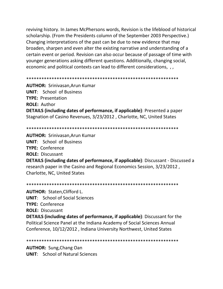reviving history. In James McPhersons words, Revision is the lifeblood of historical scholarship. (From the Presidents column of the September 2003 Perspective.) Changing interpretations of the past can be due to new evidence that may broaden, sharpen and even alter the existing narrative and understanding of a certain event or period. Revision can also occur because of passage of time with younger generations asking different questions. Additionally, changing social, economic and political contexts can lead to different considerations, , ,

**AUTHOR: Srinivasan, Arun Kumar UNIT:** School of Business **TYPE: Presentation ROLE: Author DETAILS (including dates of performance, if applicable)**: Presented a paper Stagnation of Casino Revenues, 3/23/2012, Charlotte, NC, United States

**AUTHOR: Srinivasan.Arun Kumar UNIT:** School of Business **TYPE: Conference ROLE: Discussant DETAILS (including dates of performance, if applicable)**: Discussant - Discussed a research paper in the Casino and Regional Economics Session, 3/23/2012, Charlotte, NC, United States

**AUTHOR: Staten, Clifford L. UNIT:** School of Social Sciences **TYPE: Conference ROLE: Discussant DETAILS (including dates of performance, if applicable)**: Discussant for the Political Science Panel at the Indiana Academy of Social Sciences Annual Conference, 10/12/2012, Indiana University Northwest, United States

**AUTHOR: Sung, Chang Oan UNIT:** School of Natural Sciences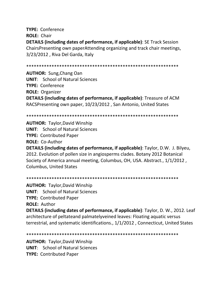**TYPE:** Conference **ROLE:** Chair **DETAILS (including dates of performance, if applicable)**: SE Track Session ChairsPresenting own paperAttending organizing and track chair meetings, 3/23/2012 , Riva Del Garda, Italy

\*\*\*\*\*\*\*\*\*\*\*\*\*\*\*\*\*\*\*\*\*\*\*\*\*\*\*\*\*\*\*\*\*\*\*\*\*\*\*\*\*\*\*\*\*\*\*\*\*\*\*\*\*\*\*\*\*\*\*\*

**AUTHOR:** Sung,Chang Oan **UNIT**: School of Natural Sciences **TYPE:** Conference **ROLE:** Organizer **DETAILS (including dates of performance, if applicable)**: Treasure of ACM RACSPresenting own paper, 10/23/2012 , San Antonio, United States

\*\*\*\*\*\*\*\*\*\*\*\*\*\*\*\*\*\*\*\*\*\*\*\*\*\*\*\*\*\*\*\*\*\*\*\*\*\*\*\*\*\*\*\*\*\*\*\*\*\*\*\*\*\*\*\*\*\*\*\*

**AUTHOR:** Taylor,David Winship **UNIT**: School of Natural Sciences **TYPE:** Contributed Paper **ROLE:** Co-Author **DETAILS (including dates of performance, if applicable)**: Taylor, D.W. J. Bilyeu, 2012. Evolution of pollen size in angiosperms clades. Botany 2012 Botanical Society of America annual meeting, Columbus, OH, USA. Abstract., 1/1/2012 ,

Columbus, United States

\*\*\*\*\*\*\*\*\*\*\*\*\*\*\*\*\*\*\*\*\*\*\*\*\*\*\*\*\*\*\*\*\*\*\*\*\*\*\*\*\*\*\*\*\*\*\*\*\*\*\*\*\*\*\*\*\*\*\*\* **AUTHOR:** Taylor,David Winship **UNIT**: School of Natural Sciences **TYPE:** Contributed Paper **ROLE:** Author **DETAILS (including dates of performance, if applicable)**: Taylor, D. W., 2012. Leaf architecture of peltateand palmatelyveined leaves: Floating aquatic versus terrestrial, and systematic identifications., 1/1/2012 , Connecticut, United States

\*\*\*\*\*\*\*\*\*\*\*\*\*\*\*\*\*\*\*\*\*\*\*\*\*\*\*\*\*\*\*\*\*\*\*\*\*\*\*\*\*\*\*\*\*\*\*\*\*\*\*\*\*\*\*\*\*\*\*\*

**AUTHOR:** Taylor,David Winship **UNIT**: School of Natural Sciences **TYPE:** Contributed Paper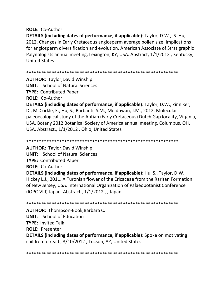# **ROLE:** Co-Author

**DETAILS (including dates of performance, if applicable)**: Taylor, D.W., S. Hu, 2012. Changes in Early Cretaceous angiosperm average pollen size: Implications for angiosperm diversification and evolution. American Associate of Stratigraphic Palynologists annual meeting, Lexington, KY, USA. Abstract, 1/1/2012 , Kentucky, United States

\*\*\*\*\*\*\*\*\*\*\*\*\*\*\*\*\*\*\*\*\*\*\*\*\*\*\*\*\*\*\*\*\*\*\*\*\*\*\*\*\*\*\*\*\*\*\*\*\*\*\*\*\*\*\*\*\*\*\*\*

**AUTHOR:** Taylor,David Winship

**UNIT**: School of Natural Sciences

**TYPE:** Contributed Paper

**ROLE:** Co-Author

**DETAILS (including dates of performance, if applicable)**: Taylor, D.W., Zinniker, D., McCorkle, E., Hu, S., Barbanti, S.M., Moldowan, J.M., 2012. Molecular paleoecological study of the Aptian (Early Cretaceous) Dutch Gap locality, Virginia, USA. Botany 2012 Botanical Society of America annual meeting, Columbus, OH, USA. Abstract., 1/1/2012 , Ohio, United States

\*\*\*\*\*\*\*\*\*\*\*\*\*\*\*\*\*\*\*\*\*\*\*\*\*\*\*\*\*\*\*\*\*\*\*\*\*\*\*\*\*\*\*\*\*\*\*\*\*\*\*\*\*\*\*\*\*\*\*\*

**AUTHOR:** Taylor,David Winship **UNIT**: School of Natural Sciences **TYPE:** Contributed Paper **ROLE:** Co-Author

**DETAILS (including dates of performance, if applicable)**: Hu, S., Taylor, D.W., Hickey L.J., 2011. A Turonian flower of the Ericaceae from the Raritan Formation of New Jersey, USA. International Organization of Palaeobotanist Conference (IOPC-VIII) Japan. Abstract., 1/1/2012 , , Japan

\*\*\*\*\*\*\*\*\*\*\*\*\*\*\*\*\*\*\*\*\*\*\*\*\*\*\*\*\*\*\*\*\*\*\*\*\*\*\*\*\*\*\*\*\*\*\*\*\*\*\*\*\*\*\*\*\*\*\*\*

**AUTHOR:** Thompson-Book,Barbara C. **UNIT**: School of Education

**TYPE:** Invited Talk

**ROLE:** Presenter

**DETAILS (including dates of performance, if applicable)**: Spoke on motivating children to read., 3/10/2012 , Tucson, AZ, United States

\*\*\*\*\*\*\*\*\*\*\*\*\*\*\*\*\*\*\*\*\*\*\*\*\*\*\*\*\*\*\*\*\*\*\*\*\*\*\*\*\*\*\*\*\*\*\*\*\*\*\*\*\*\*\*\*\*\*\*\*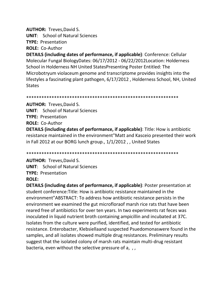## **AUTHOR: Treves, David S.**

**UNIT:** School of Natural Sciences

**TYPE: Presentation** 

**ROLE: Co-Author** 

**DETAILS (including dates of performance, if applicable):** Conference: Cellular Molecular Fungal BiologyDates: 06/17/2012 - 06/22/2012Location: Holderness School in Holderness NH United States Presenting Poster Entitled: The Microbotryum violaceum genome and transcriptome provides insights into the lifestyles a fascinating plant pathogen, 6/17/2012, Holderness School, NH, United **States** 

**AUTHOR: Treves, David S. UNIT:** School of Natural Sciences **TYPE: Presentation ROLE: Co-Author** 

**DETAILS (including dates of performance, if applicable)**: Title: How is antibiotic resistance maintained in the environment"Matt and Kasceio presented their work in Fall 2012 at our BORG lunch group., 1/1/2012, , United States

**AUTHOR: Treves, David S.** 

**UNIT:** School of Natural Sciences

**TYPE: Presentation** 

# **ROLE:**

**DETAILS (including dates of performance, if applicable)**: Poster presentation at student conference: Title: How is antibiotic resistance maintained in the environment"ABSTRACT: To address how antibiotic resistance persists in the environment we examined the gut microfloraof marsh rice rats that have been reared free of antibiotics for over ten years. In two experiments rat feces was inoculated in liquid nutrient broth containing ampicillin and incubated at 37C. Isolates from the culture were purified, identified, and tested for antibiotic resistance. Enterobacter, Klebsiellaand suspected Psuedomonaswere found in the samples, and all isolates showed multiple drug resistances. Preliminary results suggest that the isolated colony of marsh rats maintain multi-drug resistant bacteria, even without the selective pressure of a, ,,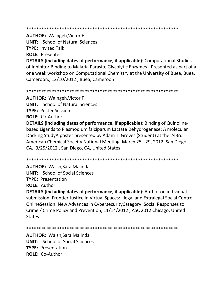#### 

**AUTHOR: Waingeh, Victor F** 

**UNIT:** School of Natural Sciences **TYPE: Invited Talk** 

**ROLE: Presenter** 

**DETAILS (including dates of performance, if applicable)**: Computational Studies of Inhibitor Binding to Malaria Parasite Glycolytic Enzymes - Presented as part of a one week workshop on Computational Chemistry at the University of Buea, Buea, Cameroon., 12/10/2012, Buea, Cameroon

**AUTHOR: Waingeh, Victor F UNIT:** School of Natural Sciences **TYPE: Poster Session ROLE: Co-Author** 

**DETAILS (including dates of performance, if applicable)**: Binding of Quinolinebased Ligands to Plasmodium falciparum Lactate Dehydrogenase: A molecular Docking StudyA poster presented by Adam T. Groves (Student) at the 243rd American Chemical Soceity National Meeting, March 25 - 29, 2012, San Diego, CA., 3/25/2012, San Diego, CA, United States

**AUTHOR: Walsh.Sara Malinda UNIT:** School of Social Sciences **TYPE: Presentation** 

**ROLE: Author** 

DETAILS (including dates of performance, if applicable): Author on individual submission: Frontier Justice in Virtual Spaces: Illegal and Extralegal Social Control OnlineSession: New Advances in CybersecurityCategory: Social Responses to Crime / Crime Policy and Prevention, 11/14/2012, ASC 2012 Chicago, United **States** 

**AUTHOR: Walsh, Sara Malinda UNIT:** School of Social Sciences **TYPE: Presentation ROLE: Co-Author**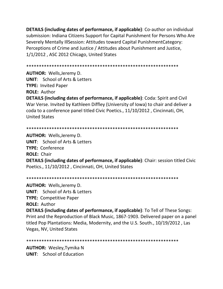**DETAILS (including dates of performance, if applicable)**: Co-author on individual submission: Indiana Citizens Support for Capital Punishment for Persons Who Are Severely Mentally IllSession: Attitudes toward Capital PunishmentCategory: Perceptions of Crime and Justice / Attitudes about Punishment and Justice, 1/1/2012, ASC 2012 Chicago, United States

**AUTHOR: Wells, Jeremy D. UNIT:** School of Arts & Letters **TYPE: Invited Paper ROLE: Author** 

**DETAILS (including dates of performance, if applicable)**: Coda: Spirit and Civil War Verse. Invited by Kathleen Diffley (University of Iowa) to chair and deliver a coda to a conference panel titled Civic Poetics., 11/10/2012, Cincinnati, OH, **United States** 

**AUTHOR: Wells, Jeremy D. UNIT:** School of Arts & Letters **TYPE: Conference ROLE: Chair DETAILS (including dates of performance, if applicable):** Chair: session titled Civic Poetics., 11/10/2012, Cincinnati, OH, United States

**AUTHOR: Wells, Jeremy D. UNIT:** School of Arts & Letters **TYPE: Competitive Paper ROLE: Author DETAILS (including dates of performance, if applicable)**: To Tell of These Songs: Print and the Reproduction of Black Music, 1867-1903. Delivered paper on a panel titled Pop Plantations: Media, Modernity, and the U.S. South., 10/19/2012, Las Vegas, NV, United States

**AUTHOR: Wesley, Tymika N UNIT:** School of Education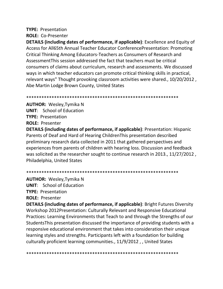# **TYPE:** Presentation

# **ROLE:** Co-Presenter

**DETAILS (including dates of performance, if applicable)**: Excellence and Equity of Access for All65th Annual Teacher Educator ConferencePresentation: Promoting Critical Thinking Among Educators-Teachers as Consumers of Research and AssessmentThis session addressed the fact that teachers must be critical consumers of claims about curriculum, research and assessments. We discussed ways in which teacher educators can promote critical thinking skills in practical, relevant ways" Thought provoking classroom activities were shared., 10/20/2012 , Abe Martin Lodge Brown County, United States

\*\*\*\*\*\*\*\*\*\*\*\*\*\*\*\*\*\*\*\*\*\*\*\*\*\*\*\*\*\*\*\*\*\*\*\*\*\*\*\*\*\*\*\*\*\*\*\*\*\*\*\*\*\*\*\*\*\*\*\*

**AUTHOR:** Wesley,Tymika N **UNIT**: School of Education **TYPE:** Presentation **ROLE:** Presenter

**DETAILS (including dates of performance, if applicable)**: Presentation: Hispanic Parents of Deaf and Hard of Hearing ChildrenThis presentation described preliminary research data collected in 2011 that gathered perspectives and experiences from parents of children with hearing loss. Discussion and feedback was solicited as the researcher sought to continue research in 2013., 11/27/2012, Philadelphia, United States

\*\*\*\*\*\*\*\*\*\*\*\*\*\*\*\*\*\*\*\*\*\*\*\*\*\*\*\*\*\*\*\*\*\*\*\*\*\*\*\*\*\*\*\*\*\*\*\*\*\*\*\*\*\*\*\*\*\*\*\*

**AUTHOR:** Wesley,Tymika N

**UNIT**: School of Education

**TYPE:** Presentation

**ROLE:** Presenter

**DETAILS (including dates of performance, if applicable)**: Bright Futures Diversity Workshop 2012Presentation: Culturally Relevant and Responsive Educational Practices: Learning Environments that Teach to and through the Strengths of our StudentsThis presentation discussed the importance of providing students with a responsive educational environment that takes into consideration their unique learning styles and strengths. Participants left with a foundation for building culturally proficient learning communities., 11/9/2012 , , United States

\*\*\*\*\*\*\*\*\*\*\*\*\*\*\*\*\*\*\*\*\*\*\*\*\*\*\*\*\*\*\*\*\*\*\*\*\*\*\*\*\*\*\*\*\*\*\*\*\*\*\*\*\*\*\*\*\*\*\*\*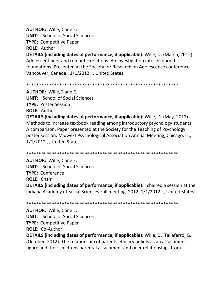**AUTHOR:** Wille,Diane E.

**UNIT**: School of Social Sciences

**TYPE:** Competitive Paper

**ROLE:** Author

**DETAILS (including dates of performance, if applicable)**: Wille, D. (March, 2012). Adolescent peer and romantic relations: An investigation into childhood foundations. Presented at the Society for Research on Adolescence conference, Vancouver, Canada., 1/1/2012 , , United States

\*\*\*\*\*\*\*\*\*\*\*\*\*\*\*\*\*\*\*\*\*\*\*\*\*\*\*\*\*\*\*\*\*\*\*\*\*\*\*\*\*\*\*\*\*\*\*\*\*\*\*\*\*\*\*\*\*\*\*\*

**AUTHOR:** Wille,Diane E. **UNIT**: School of Social Sciences **TYPE:** Poster Session **ROLE:** Author **DETAILS (including dates of performance, if applicable)**: Wille, D. (May, 2012). Methods to increase textbook reading among introductory psychology students: A comparison. Paper presented at the Society for the Teaching of Psychology poster session, Midwest Psychological Association Annual Meeting, Chicago, IL., 1/1/2012 , , United States

\*\*\*\*\*\*\*\*\*\*\*\*\*\*\*\*\*\*\*\*\*\*\*\*\*\*\*\*\*\*\*\*\*\*\*\*\*\*\*\*\*\*\*\*\*\*\*\*\*\*\*\*\*\*\*\*\*\*\*\*

**AUTHOR:** Wille,Diane E.

**UNIT**: School of Social Sciences

**TYPE:** Conference

**ROLE:** Chair

**DETAILS (including dates of performance, if applicable)**: I chaired a session at the Indiana Academy of Social Sciences Fall meeting, 2012, 1/1/2012 , , United States

\*\*\*\*\*\*\*\*\*\*\*\*\*\*\*\*\*\*\*\*\*\*\*\*\*\*\*\*\*\*\*\*\*\*\*\*\*\*\*\*\*\*\*\*\*\*\*\*\*\*\*\*\*\*\*\*\*\*\*\*

**AUTHOR:** Wille,Diane E. **UNIT**: School of Social Sciences **TYPE:** Competitive Paper **ROLE:** Co-Author **DETAILS (including dates of performance, if applicable)**: Wille, D. Taliaferro, G. (October, 2012). The relationship of parents efficacy beliefs as an attachment figure and their childrens parental attachment and peer relationships from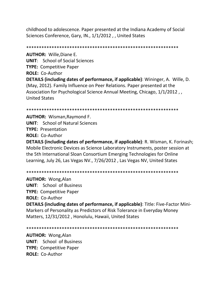childhood to adolescence. Paper presented at the Indiana Academy of Social Sciences Conference, Gary, IN., 1/1/2012 , , United States

\*\*\*\*\*\*\*\*\*\*\*\*\*\*\*\*\*\*\*\*\*\*\*\*\*\*\*\*\*\*\*\*\*\*\*\*\*\*\*\*\*\*\*\*\*\*\*\*\*\*\*\*\*\*\*\*\*\*\*\*

**AUTHOR:** Wille,Diane E. **UNIT**: School of Social Sciences **TYPE:** Competitive Paper **ROLE:** Co-Author **DETAILS (including dates of performance, if applicable)**: Wininger, A. Wille, D. (May, 2012). Family Influence on Peer Relations. Paper presented at the Association for Psychological Science Annual Meeting, Chicago, 1/1/2012 , , United States

\*\*\*\*\*\*\*\*\*\*\*\*\*\*\*\*\*\*\*\*\*\*\*\*\*\*\*\*\*\*\*\*\*\*\*\*\*\*\*\*\*\*\*\*\*\*\*\*\*\*\*\*\*\*\*\*\*\*\*\*

**AUTHOR:** Wisman,Raymond F. **UNIT**: School of Natural Sciences **TYPE:** Presentation **ROLE:** Co-Author

**DETAILS (including dates of performance, if applicable)**: R. Wisman, K. Forinash; Mobile Electronic Devices as Science Laboratory Instruments, poster session at the 5th International Sloan Consortium Emerging Technologies for Online Learning, July 26, Las Vegas NV., 7/26/2012 , Las Vegas NV, United States

\*\*\*\*\*\*\*\*\*\*\*\*\*\*\*\*\*\*\*\*\*\*\*\*\*\*\*\*\*\*\*\*\*\*\*\*\*\*\*\*\*\*\*\*\*\*\*\*\*\*\*\*\*\*\*\*\*\*\*\*

**AUTHOR:** Wong,Alan **UNIT**: School of Business **TYPE:** Competitive Paper **ROLE:** Co-Author

**DETAILS (including dates of performance, if applicable)**: Title: Five-Factor Mini-Markers of Personality as Predictors of Risk Tolerance in Everyday Money Matters, 12/31/2012 , Honolulu, Hawaii, United States

\*\*\*\*\*\*\*\*\*\*\*\*\*\*\*\*\*\*\*\*\*\*\*\*\*\*\*\*\*\*\*\*\*\*\*\*\*\*\*\*\*\*\*\*\*\*\*\*\*\*\*\*\*\*\*\*\*\*\*\*

**AUTHOR:** Wong,Alan **UNIT**: School of Business **TYPE:** Competitive Paper **ROLE:** Co-Author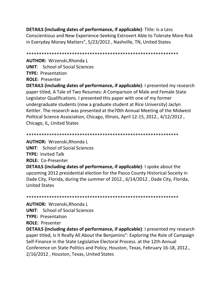**DETAILS (including dates of performance, if applicable)**: Title: Is a Less Conscientious and New Experience-Seeking Extrovert Able to Tolerate More Risk in Everyday Money Matters", 5/23/2012 , Nashville, TN, United States

\*\*\*\*\*\*\*\*\*\*\*\*\*\*\*\*\*\*\*\*\*\*\*\*\*\*\*\*\*\*\*\*\*\*\*\*\*\*\*\*\*\*\*\*\*\*\*\*\*\*\*\*\*\*\*\*\*\*\*\*

**AUTHOR:** Wrzenski,Rhonda L **UNIT**: School of Social Sciences **TYPE:** Presentation **ROLE:** Presenter

**DETAILS (including dates of performance, if applicable)**: I presented my research paper titled, A Tale of Two Resumes: A Comparison of Male and Female State Legislator Qualifications. I presented this paper with one of my former undergraduate students (now a graduate student at Rice University) Jaclyn Kettler. The research was presented at the70th Annual Meeting of the Midwest Political Science Association, Chicago, Illinois, April 12-15, 2012., 4/12/2012 , Chicago, IL, United States

\*\*\*\*\*\*\*\*\*\*\*\*\*\*\*\*\*\*\*\*\*\*\*\*\*\*\*\*\*\*\*\*\*\*\*\*\*\*\*\*\*\*\*\*\*\*\*\*\*\*\*\*\*\*\*\*\*\*\*\*

**AUTHOR:** Wrzenski,Rhonda L **UNIT**: School of Social Sciences **TYPE:** Invited Talk **ROLE:** Co-Presenter

**DETAILS (including dates of performance, if applicable)**: I spoke about the upcoming 2012 presidential election for the Pasco County Historical Soceity in Dade City, Florida, during the summer of 2012., 6/14/2012 , Dade City, Florida, United States

\*\*\*\*\*\*\*\*\*\*\*\*\*\*\*\*\*\*\*\*\*\*\*\*\*\*\*\*\*\*\*\*\*\*\*\*\*\*\*\*\*\*\*\*\*\*\*\*\*\*\*\*\*\*\*\*\*\*\*\*

**AUTHOR:** Wrzenski,Rhonda L **UNIT**: School of Social Sciences **TYPE:** Presentation

**ROLE:** Presenter

**DETAILS (including dates of performance, if applicable)**: I presented my research paper titled, Is It Really All About the Benjamins": Exploring the Role of Campaign Self-Finance in the State Legislative Electoral Process. at the 12th Annual Conference on State Politics and Policy, Houston, Texas, February 16-18, 2012., 2/16/2012 , Houston, Texas, United States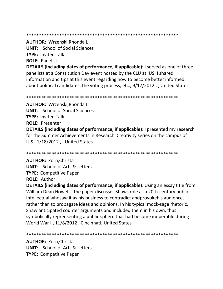#### 

## **AUTHOR: Wrzenski, Rhonda L**

**UNIT:** School of Social Sciences

**TYPE: Invited Talk** 

**ROLE: Panelist** 

**DETAILS (including dates of performance, if applicable):** I served as one of three panelists at a Constitution Day event hosted by the CLU at IUS. I shared information and tips at this event regarding how to become better informed about political candidates, the voting process, etc., 9/17/2012, J United States

**AUTHOR: Wrzenski, Rhonda L UNIT:** School of Social Sciences **TYPE: Invited Talk ROLE: Presenter DETAILS (including dates of performance, if applicable):** I presented my research for the Summer Achievements in Research Creativity series on the campus of IUS., 1/18/2012, , United States

# **AUTHOR: Zorn, Christa**

**UNIT:** School of Arts & Letters **TYPE: Competitive Paper** 

**ROLE: Author** 

**DETAILS (including dates of performance, if applicable)**: Using an essay title from William Dean Howells, the paper discusses Shaws role as a 20th-century public intellectual whosaw it as his business to contradict and provokehis audience, rather than to propagate ideas and opinions. In his typical mock-sage rhetoric, Shaw anticipated counter arguments and included them in his own, thus symbolically reprensenting a public sphere that had become inoperable during World War I., 11/8/2012, Cincinnati, United States

**AUTHOR: Zorn, Christa UNIT:** School of Arts & Letters **TYPE: Competitive Paper**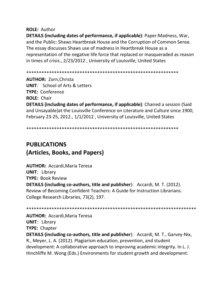**ROLE:** Author

**DETAILS (including dates of performance, if applicable)**: Paper:Madness, War, and the Public: Shaws Heartbreak House and the Corruption of Common Sense. The essay discusses Shaws use of madness in Heartbreak House as a representation of the negative life force that replaced or masqueraded as reason in times of crisis., 2/23/2012 , University of Louisville, United States

\*\*\*\*\*\*\*\*\*\*\*\*\*\*\*\*\*\*\*\*\*\*\*\*\*\*\*\*\*\*\*\*\*\*\*\*\*\*\*\*\*\*\*\*\*\*\*\*\*\*\*\*\*\*\*\*\*\*\*\*

**AUTHOR:** Zorn,Christa **UNIT**: School of Arts & Letters **TYPE:** Conference **ROLE:** Chair **DETAILS (including dates of performance, if applicable)**: Chaired a session (Said and Unsayable)at the Louisville Conference on Literature and Culture since 1900, February 23-25, 2012., 1/1/2012 , University of Louisville, United States

\*\*\*\*\*\*\*\*\*\*\*\*\*\*\*\*\*\*\*\*\*\*\*\*\*\*\*\*\*\*\*\*\*\*\*\*\*\*\*\*\*\*\*\*\*\*\*\*\*\*\*\*\*\*\*\*\*\*\*\*

# **PUBLICATIONS (Articles, Books, and Papers)**

**AUTHOR:** Accardi,Maria Teresa **UNIT**: Library **TYPE:** Book Review **DETAILS (including co-authors, title and publisher**): Accardi, M. T. (2012). Review of Becoming Confident Teachers: A Guide for Instruction Librarians. College Research Libraries, 73(2), 197.

\*\*\*\*\*\*\*\*\*\*\*\*\*\*\*\*\*\*\*\*\*\*\*\*\*\*\*\*\*\*\*\*\*\*\*\*\*\*\*\*\*\*\*\*\*\*\*\*\*\*\*\*\*\*\*\*\*\*\*\*\*\*\*\*\*\*\* **AUTHOR:** Accardi,Maria Teresa **UNIT**: Library **TYPE:** Chapter **DETAILS (including co-authors, title and publisher**): Accardi, M. T., Garvey-Nix, R., Meyer, L. A. (2012). Plagiarism education, prevention, and student development: A collaborative approach to improving academic integrity. In L. J. Hinchliffe M. Wong (Eds.) Environments for student growth and development: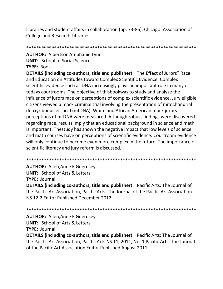Libraries and student affairs in collaboration (pp. 73-86). Chicago: Association of College and Research Libraries.

**AUTHOR: Albertson, Stephanie Lynn UNIT:** School of Social Sciences TYPE: Book

**DETAILS (including co-authors, title and publisher):** The Effect of Jurors? Race and Education on Attitudes toward Complex Scientific Evidence, Complex scientific evidence such as DNA increasingly plays an important role in many of todays courtrooms. The objective of thisbookwas to study and analyze the influence of jurors race on perceptions of complex scientific evidence. Jury eligible citizens viewed a mock criminal trial involving the presentation of mitochondrial deoxyribonucleic acid (mtDNA). White and African American mock jurors perceptions of mtDNA were measured. Although robust findings were discovered regarding race, results imply that an educational background in science and math is important. Thestudy has shown the negative impact that low levels of science and math courses have on perceptions of scientific evidence. Courtroom evidence will only continue to become even more complex in the future. The importance of scientific literacy and jury reform is discussed.

**AUTHOR: Allen, Anne E Guernsey** 

**UNIT: School of Arts & Letters** 

**TYPE: Journal** 

**DETAILS (including co-authors, title and publisher):** Pacific Arts: The Journal of the Pacific Art Association, Pacific Arts: The Journal of the Pacific Art Association NS 12-2 Editor Published December 2012

**AUTHOR: Allen, Anne E Guernsey UNIT:** School of Arts & Letters **TYPE: Journal** 

**DETAILS (including co-authors, title and publisher):** Pacific Arts: The Journal of the Pacific Art Association, Pacific Arts NS 11, 2011, No. 1 Pacific Arts: The Journal of the Pacific Art Association Editor Published August 2011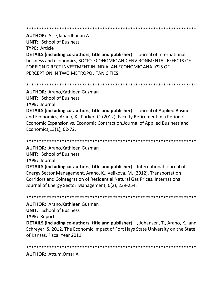AUTHOR: Alse, Janardhanan A.

**UNIT: School of Business** 

**TYPE: Article** 

**DETAILS (including co-authors, title and publisher):** Journal of international business and economics, SOCIO-ECONOMIC AND ENVIRONMENTAL EFFECTS OF FOREIGN DIRECT INVESTMENT IN INDIA: AN ECONOMIC ANALYSIS OF PERCEPTION IN TWO METROPOLITAN CITIES

**AUTHOR: Arano, Kathleen Guzman UNIT: School of Business** 

**TYPE: Journal** 

**DETAILS (including co-authors, title and publisher):** Journal of Applied Business and Economics, Arano, K., Parker, C. (2012). Faculty Retirement in a Period of Economic Expansion vs. Economic Contraction. Journal of Applied Business and Economics, 13(1), 62-72.

**AUTHOR: Arano, Kathleen Guzman** 

**UNIT:** School of Business

**TYPE: Journal** 

**DETAILS (including co-authors, title and publisher):** International Journal of Energy Sector Management, Arano, K., Velikova, M. (2012). Transportation Corridors and Cointegration of Residential Natural Gas Prices. International Journal of Energy Sector Management, 6(2), 239-254.

**AUTHOR: Arano.Kathleen Guzman UNIT: School of Business** 

**TYPE: Report** 

**DETAILS (including co-authors, title and publisher):** , Johansen, T., Arano, K., and Schreyer, S. 2012. The Economic Impact of Fort Hays State University on the State of Kansas, Fiscal Year 2011.

**AUTHOR: Attum, Omar A**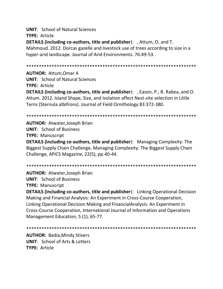**UNIT: School of Natural Sciences TYPE: Article** DETAILS (including co-authors, title and publisher): , Attum, O. and T. Mahmoud. 2012. Dorcas gazelle and livestock use of trees according to size in a hyper-arid landscape. Journal of Arid Environments. 76:49-53.

**AUTHOR: Attum.Omar A UNIT:** School of Natural Sciences **TYPE: Article DETAILS (including co-authors, title and publisher):** , Eason, P., B. Rabea, and O. Attum. 2012. Island Shape, Size, and Isolation affect Nest-site selection in Little Terns (Sternula albifrons). Journal of Field Ornithology 83:372-380.

**AUTHOR: Atwater, Joseph Brian UNIT: School of Business TYPE: Manuscript DETAILS (including co-authors, title and publisher):** Managing Complexity: The Biggest Supply Chain Challenge, Managing Complexity: The Biggest Supply Chain Challenge, APICS Magazine, 22(5), pp.40-44.

**AUTHOR: Atwater Joseph Brian UNIT: School of Business** 

**TYPE: Manuscript** 

**DETAILS (including co-authors, title and publisher):** Linking Operational Decision Making and Financial Analysis: An Experiment in Cross-Course Cooperation, Linking Operational Decision Making and FinancialAnalysis: An Experiment in Cross-Course Cooperation, International Journal of Information and Operations Management Education, 5 (1), 65-77.

**AUTHOR: Badia, Mindy Stivers UNIT:** School of Arts & Letters TYPF: Article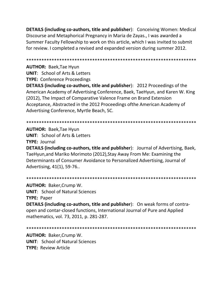**DETAILS (including co-authors, title and publisher):** Conceiving Women: Medical Discourse and Metaphorical Pregnancy in Maria de Zayas., I was awarded a Summer Faculty Fellowship to work on this article, which I was invited to submit for review. I completed a revised and expanded version during summer 2012.

**AUTHOR: Baek, Tae Hyun** 

**UNIT: School of Arts & Letters** 

**TYPE: Conference Proceedings** 

**DETAILS (including co-authors, title and publisher): 2012 Proceedings of the** American Academy of Advertising Conference, Baek, TaeHyun, and Karen W. King (2012), The Impact of Comparative Valence Frame on Brand Extension Acceptance, Abstracted in the 2012 Proceedings of the American Academy of Advertising Conference, Myrtle Beach, SC.

**AUTHOR: Baek, Tae Hyun UNIT:** School of Arts & Letters **TYPE: Journal** 

**DETAILS (including co-authors, title and publisher)**: Journal of Advertising, Baek, TaeHyun, and Mariko Morimoto (2012), Stay Away From Me: Examining the Determinants of Consumer Avoidance to Personalized Advertising, Journal of Advertising, 41(1), 59-76..

**AUTHOR: Baker, Crump W. UNIT:** School of Natural Sciences **TYPE: Paper** 

**DETAILS (including co-authors, title and publisher):** On weak forms of contraopen and contar-closed functions, International Journal of Pure and Applied mathematics, vol. 73, 2011, p. 281-287.

**AUTHOR: Baker, Crump W. UNIT: School of Natural Sciences TYPE: Review Article**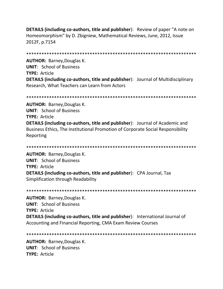**DETAILS (including co-authors, title and publisher):** Review of paper "A note on Homeomorphism" by D. Zbigniew, Mathematical Reviews, June, 2012, Issue 2012F, p.7154

**AUTHOR:** Barney, Douglas K. **UNIT:** School of Business TYPE: Article **DETAILS (including co-authors, title and publisher):** Journal of Multidisciplinary Research, What Teachers can Learn from Actors

**AUTHOR: Barney, Douglas K. UNIT: School of Business TYPE: Article DETAILS (including co-authors, title and publisher):** Journal of Academic and Business Ethics, The Institutional Promotion of Corporate Social Responsibility Reporting

**AUTHOR: Barney, Douglas K. UNIT: School of Business TYPE: Article DETAILS (including co-authors, title and publisher):** CPA Journal, Tax Simplification through Readability

**AUTHOR: Barney, Douglas K. UNIT: School of Business TYPE: Article DETAILS (including co-authors, title and publisher):** International Journal of Accounting and Financial Reporting, CMA Exam Review Courses

**AUTHOR: Barney, Douglas K. UNIT:** School of Business **TYPE: Article**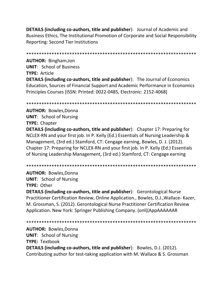**DETAILS (including co-authors, title and publisher**): Journal of Academic and Business Ethics, The Institutional Promotion of Corporate and Social Responsibility Reporting: Second Tier Institutions

\*\*\*\*\*\*\*\*\*\*\*\*\*\*\*\*\*\*\*\*\*\*\*\*\*\*\*\*\*\*\*\*\*\*\*\*\*\*\*\*\*\*\*\*\*\*\*\*\*\*\*\*\*\*\*\*\*\*\*\*\*\*\*\*\*\*\*

**AUTHOR:** Bingham,Jon **UNIT**: School of Business **TYPE:** Article **DETAILS (including co-authors, title and publisher**): The Journal of Economics Education, Sources of Financial Support and Academic Performance in Economics Principles Courses [ISSN: Printed: 0022-0485, Electronic: 2152-4068]

\*\*\*\*\*\*\*\*\*\*\*\*\*\*\*\*\*\*\*\*\*\*\*\*\*\*\*\*\*\*\*\*\*\*\*\*\*\*\*\*\*\*\*\*\*\*\*\*\*\*\*\*\*\*\*\*\*\*\*\*\*\*\*\*\*\*\*

**AUTHOR:** Bowles,Donna **UNIT**: School of Nursing **TYPE:** Chapter **DETAILS (including co-authors, title and publisher**): Chapter 17: Preparing for NCLEX-RN and your first job. In P. Kelly (Ed.) Essentials of Nursing Leadership & Management, (3rd ed.) Stamford, CT: Cengage earning, Bowles, D. J. (2012). Chapter 17: Preparing for NCLEX-RN and your first job. In P. Kelly (Ed.) Essentials of Nursing Leadership Management, (3rd ed.) Stamford, CT: Cengage earning

\*\*\*\*\*\*\*\*\*\*\*\*\*\*\*\*\*\*\*\*\*\*\*\*\*\*\*\*\*\*\*\*\*\*\*\*\*\*\*\*\*\*\*\*\*\*\*\*\*\*\*\*\*\*\*\*\*\*\*\*\*\*\*\*\*\*\*

**AUTHOR:** Bowles,Donna **UNIT**: School of Nursing **TYPE:** Other

**DETAILS (including co-authors, title and publisher**): Gerontological Nurse Practitioner Certification Review, Online Application., Bowles, D.J.,Wallace- Kazer, M. Grossman, S. (2012). Gerontological Nurse Practitioner Certification Review Application. New York: Springer Publishing Company. (onl((AppAAAAAAR

\*\*\*\*\*\*\*\*\*\*\*\*\*\*\*\*\*\*\*\*\*\*\*\*\*\*\*\*\*\*\*\*\*\*\*\*\*\*\*\*\*\*\*\*\*\*\*\*\*\*\*\*\*\*\*\*\*\*\*\*\*\*\*\*\*\*\* **AUTHOR:** Bowles,Donna **UNIT**: School of Nursing **TYPE:** Textbook **DETAILS (including co-authors, title and publisher**): Bowles, D.J. (2012). Contributing author for test-taking application with M. Wallace & S. Grossman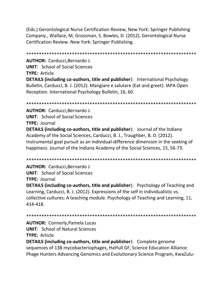(Eds.) Gerontological Nurse Certification Review, New York: Springer Publishing Company., Wallace, M, Grossman, S. Bowles, D. (2012). Gerontological Nurse Certification Review. New York: Springer Publishing.

**AUTHOR:** Carducci, Bernardo J.

**UNIT:** School of Social Sciences

TYPE: Article

**DETAILS (including co-authors, title and publisher):** International Psychology Bulletin, Carducci, B. J. (2012). Mangiare e salutare (Eat and greet): IAPA Open Reception. International Psychology Bulletin, 16, 60.

**AUTHOR: Carducci, Bernardo J. UNIT:** School of Social Sciences **TYPE: Journal** 

**DETAILS (including co-authors, title and publisher):** Journal of the Indiana Academy of the Social Sciences, Carducci, B. J., Traughber, B. D. (2012). Instrumental goal pursuit as an individual-difference dimension in the seeking of happiness. Journal of the Indiana Academy of the Social Sciences, 15, 56-73.

**AUTHOR: Carducci.Bernardo J.** 

**UNIT:** School of Social Sciences

**TYPE: Journal** 

**DETAILS (including co-authors, title and publisher):** Psychology of Teaching and Learning, Carducci, B. J. (2012). Expressions of the self in individualistic vs. collective cultures: A teaching module. Psychology of Teaching and Learning, 11, 414-418.

**AUTHOR: Connerly, Pamela Lucas** 

**UNIT: School of Natural Sciences** 

**TYPE: Article** 

**DETAILS (including co-authors, title and publisher):** Complete genome sequences of 138 mycobacteriophages, Hatfull GF, Science Education Alliance Phage Hunters Advancing Genomics and Evolutionary Science Program, KwaZulu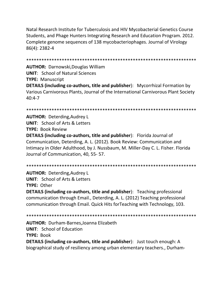Natal Research Institute for Tuberculosis and HIV Mycobacterial Genetics Course Students, and Phage Hunters Integrating Research and Education Program. 2012. Complete genome sequences of 138 mycobacteriophages. Journal of Virology 86(4): 2382-4

**AUTHOR: Darnowski, Douglas William UNIT: School of Natural Sciences TYPE: Manuscript DETAILS (including co-authors, title and publisher):** Mycorrhizal Formation by Various Carnivorous Plants, Journal of the International Carnivorous Plant Society  $40:4 - 7$ 

**AUTHOR: Deterding, Audrey L UNIT:** School of Arts & Letters **TYPE: Book Review** 

**DETAILS (including co-authors, title and publisher):** Florida Journal of Communication, Deterding, A. L. (2012). Book Review: Communication and Intimacy in Older Adulthood, by J. Nussbaum, M. Miller-Day C. L. Fisher. Florida Journal of Communication, 40, 55-57.

**AUTHOR: Deterding, Audrey L UNIT:** School of Arts & Letters TYPE: Other

**DETAILS (including co-authors, title and publisher):** Teaching professional communication through Email., Deterding, A. L. (2012) Teaching professional communication through Email. Quick Hits for Teaching with Technology, 103.

**AUTHOR: Durham-Barnes, Joanna Elizabeth UNIT:** School of Education **TYPE: Book DETAILS (including co-authors, title and publisher)**: Just touch enough: A biographical study of resiliency among urban elementary teachers., Durham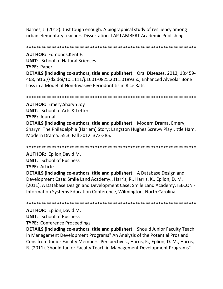Barnes, J. (2012). Just tough enough: A biographical study of resiliency among urban elementary teachers.Dissertation. LAP LAMBERT Academic Publishing.

\*\*\*\*\*\*\*\*\*\*\*\*\*\*\*\*\*\*\*\*\*\*\*\*\*\*\*\*\*\*\*\*\*\*\*\*\*\*\*\*\*\*\*\*\*\*\*\*\*\*\*\*\*\*\*\*\*\*\*\*\*\*\*\*\*\*\*

**AUTHOR:** Edmonds,Kent E.

**UNIT**: School of Natural Sciences

**TYPE:** Paper

**DETAILS (including co-authors, title and publisher**): Oral Diseases, 2012, 18:459- 468, http://dx.doi/10.1111/j.1601-0825.2011.01893.x., Enhanced Alveolar Bone Loss in a Model of Non-Invasive Periodontitis in Rice Rats.

\*\*\*\*\*\*\*\*\*\*\*\*\*\*\*\*\*\*\*\*\*\*\*\*\*\*\*\*\*\*\*\*\*\*\*\*\*\*\*\*\*\*\*\*\*\*\*\*\*\*\*\*\*\*\*\*\*\*\*\*\*\*\*\*\*\*\*

**AUTHOR:** Emery,Sharyn Joy **UNIT**: School of Arts & Letters **TYPE:** Journal **DETAILS (including co-authors, title and publisher**): Modern Drama, Emery, Sharyn. The Philadelphia [Harlem] Story: Langston Hughes Screwy Play Little Ham. Modern Drama. 55.3, Fall 2012. 373-385.

\*\*\*\*\*\*\*\*\*\*\*\*\*\*\*\*\*\*\*\*\*\*\*\*\*\*\*\*\*\*\*\*\*\*\*\*\*\*\*\*\*\*\*\*\*\*\*\*\*\*\*\*\*\*\*\*\*\*\*\*\*\*\*\*\*\*\*

**AUTHOR:** Eplion,David M. **UNIT**: School of Business **TYPE:** Article **DETAILS (including co-authors, title and publisher**): A Database Design and Development Case: Smile Land Academy., Harris, R., Harris, K., Eplion, D. M. (2011). A Database Design and Development Case: Smile Land Academy. ISECON - Information Systems Education Conference, Wilmington, North Carolina.

\*\*\*\*\*\*\*\*\*\*\*\*\*\*\*\*\*\*\*\*\*\*\*\*\*\*\*\*\*\*\*\*\*\*\*\*\*\*\*\*\*\*\*\*\*\*\*\*\*\*\*\*\*\*\*\*\*\*\*\*\*\*\*\*\*\*\*

**AUTHOR:** Eplion,David M.

**UNIT**: School of Business

**TYPE:** Conference Proceedings

**DETAILS (including co-authors, title and publisher**): Should Junior Faculty Teach in Management Development Programs" An Analysis of the Potential Pros and Cons from Junior Faculty Members' Perspectives., Harris, K., Eplion, D. M., Harris, R. (2011). Should Junior Faculty Teach in Management Development Programs"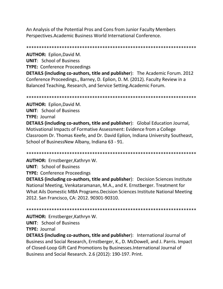An Analysis of the Potential Pros and Cons from Junior Faculty Members Perspectives. Academic Business World International Conference.

**AUTHOR: Eplion, David M.** 

**UNIT: School of Business** 

**TYPE: Conference Proceedings** 

**DETAILS (including co-authors, title and publisher):** The Academic Forum. 2012 Conference Proceedings., Barney, D. Eplion, D. M. (2012). Faculty Review in a Balanced Teaching, Research, and Service Setting. Academic Forum.

**AUTHOR: Eplion, David M.** 

**UNIT: School of Business** 

**TYPE: Journal** 

**DETAILS (including co-authors, title and publisher):** Global Education Journal, Motivational Impacts of Formative Assessment: Evidence from a College Classroom Dr. Thomas Keefe, and Dr. David Eplion, Indiana University Southeast, School of BusinessNew Albany, Indiana 63 - 91.

AUTHOR: Ernstberger, Kathryn W.

**UNIT: School of Business** 

**TYPE: Conference Proceedings** 

**DETAILS (including co-authors, title and publisher):** Decision Sciences Institute National Meeting, Venkataramanan, M.A., and K. Ernstberger. Treatment for What Ails Domestic MBA Programs. Decision Sciences Institute National Meeting 2012. San Francisco, CA: 2012. 90301-90310.

AUTHOR: Ernstberger, Kathryn W.

**UNIT:** School of Business

**TYPE: Journal** 

**DETAILS (including co-authors, title and publisher):** International Journal of Business and Social Research, Ernstberger, K., D. McDowell, and J. Parris. Impact of Closed-Loop Gift Card Promotions by Businesses. International Journal of Business and Social Research. 2.6 (2012): 190-197. Print.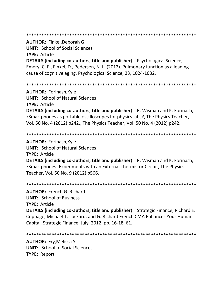#### 

**AUTHOR: Finkel, Deborah G.** 

**UNIT:** School of Social Sciences

**TYPE: Article** 

**DETAILS (including co-authors, title and publisher):** Psychological Science, Emery, C. F., Finkel, D., Pedersen, N. L. (2012). Pulmonary function as a leading cause of cognitive aging. Psychological Science, 23, 1024-1032.

**AUTHOR: Forinash, Kyle UNIT: School of Natural Sciences** TYPE: Article

**DETAILS (including co-authors, title and publisher):** R. Wisman and K. Forinash, ?Smartphones as portable oscilloscopes for physics labs?, The Physics Teacher, Vol. 50 No. 4 (2012) p242., The Physics Teacher, Vol. 50 No. 4 (2012) p242.

**AUTHOR: Forinash, Kyle** 

**UNIT: School of Natural Sciences** 

**TYPE: Article** 

**DETAILS (including co-authors, title and publisher):** R. Wisman and K. Forinash, ?Smartphones-Experiments with an External Thermistor Circuit, The Physics Teacher, Vol. 50 No. 9 (2012) p566.

**AUTHOR: French, G. Richard UNIT: School of Business** 

**TYPE: Article** 

**DETAILS (including co-authors, title and publisher):** Strategic Finance, Richard E. Coppage, Michael T. Lockard, and G. Richard French CMA Enhances Your Human Capital, Strategic Finance, July, 2012. pp. 16-18, 61.

**AUTHOR: Fry, Melissa S. UNIT:** School of Social Sciences **TYPE: Report**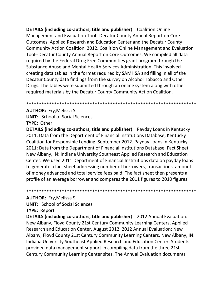**DETAILS (including co-authors, title and publisher):** Coalition Online Management and Evaluation Tool--Decatur County Annual Report on Core Outcomes, Applied Research and Education Center and the Decatur County Community Action Coalition. 2012. Coalition Online Management and Evaluation Tool--Decatur County Annual Report on Core Outcomes. We compiled all data required by the Federal Drug Free Communities grant program through the Substance Abuse and Mental Health Services Administration. This involved creating data tables in the format required by SAMHSA and filling in all of the Decatur County data findings from the survey on Alcohol Tobacco and Other Drugs. The tables were submitted through an online system along with other required materials by the Decatur County Community Action Coalition.

### 

# **AUTHOR: Fry, Melissa S.**

**UNIT:** School of Social Sciences **TYPE: Other** 

**DETAILS (including co-authors, title and publisher):** Payday Loans in Kentucky 2011: Data from the Department of Financial Institutions Database, Kentucky Coalition for Responsible Lending. September 2012. Payday Loans in Kentucky 2011: Data from the Department of Financial Institutions Database. Fact Sheet. New Albany, IN: Indiana University Southeast Applied Research and Education Center. We used 2011 Department of Financial Institutions data on payday loans to generate a fact sheet addressing number of borrowers, transactions, amount of money advanced and total service fees paid. The fact sheet then presents a profile of an average borrower and compares the 2011 figures to 2010 figures.

# **AUTHOR: Fry, Melissa S.**

**UNIT:** School of Social Sciences

# **TYPE: Report**

**DETAILS (including co-authors, title and publisher): 2012 Annual Evaluation:** New Albany, Floyd County 21st Century Community Learning Centers, Applied Research and Education Center. August 2012. 2012 Annual Evaluation: New Albany, Floyd County 21st Century Community Learning Centers. New Albany, IN: Indiana University Southeast Applied Research and Education Center. Students provided data management support in compiling data from the three 21st Century Community Learning Center sites. The Annual Evaluation documents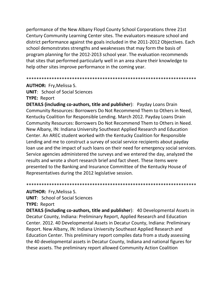performance of the New Albany Floyd County School Corporations three 21st Century Community Learning Center sites. The evaluators measure school and district performance against the goals included in the 2011-2012 Objectives. Each school demonstrates strengths and weaknesses that may form the basis of program planning for the 2012-2013 school year. The evaluation recommends that sites that performed particularly well in an area share their knowledge to help other sites improve performance in the coming year.

#### \*\*\*\*\*\*\*\*\*\*\*\*\*\*\*\*\*\*\*\*\*\*\*\*\*\*\*\*\*\*\*\*\*\*\*\*\*\*\*\*\*\*\*\*\*\*\*\*\*\*\*\*\*\*\*\*\*\*\*\*\*\*\*\*\*\*\*

**AUTHOR:** Fry,Melissa S.

**UNIT**: School of Social Sciences **TYPE:** Report

**DETAILS (including co-authors, title and publisher**): Payday Loans Drain Community Resources: Borrowers Do Not Recommend Them to Others in Need, Kentucky Coalition for Responsible Lending. March 2012. Payday Loans Drain Community Resources: Borrowers Do Not Recommend Them to Others in Need. New Albany, IN: Indiana University Southeast Applied Research and Education Center. An AREC student worked with the Kentucky Coalition for Responsible Lending and me to construct a survey of social service recipients about payday loan use and the impact of such loans on their need for emergency social services. Service agencies administered the surveys and we entered the day, analyzed the results and wrote a short research brief and fact sheet. These items were presented to the Banking and Insurance Committee of the Kentucky House of Representatives during the 2012 legislative session.

\*\*\*\*\*\*\*\*\*\*\*\*\*\*\*\*\*\*\*\*\*\*\*\*\*\*\*\*\*\*\*\*\*\*\*\*\*\*\*\*\*\*\*\*\*\*\*\*\*\*\*\*\*\*\*\*\*\*\*\*\*\*\*\*\*\*\*

## **AUTHOR:** Fry,Melissa S.

**UNIT**: School of Social Sciences

**TYPE:** Report

**DETAILS (including co-authors, title and publisher**): 40 Developmental Assets in Decatur County, Indiana: Preliminary Report, Applied Research and Education Center. 2012. 40 Developmental Assets in Decatur County, Indiana: Preliminary Report. New Albany, IN: Indiana University Southeast Applied Research and Education Center. This preliminary report compiles data from a study assessing the 40 developmental assets in Decatur County, Indiana and national figures for these assets. The preliminary report allowed Community Action Coalition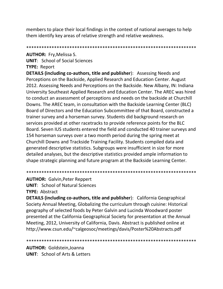members to place their local findings in the context of national averages to help them identify key areas of relative strength and relative weakness.

# **AUTHOR: Fry, Melissa S.**

**UNIT:** School of Social Sciences **TYPE: Report** 

**DETAILS (including co-authors, title and publisher):** Assessing Needs and Perceptions on the Backside, Applied Research and Education Center. August 2012. Assessing Needs and Perceptions on the Backside. New Albany, IN: Indiana University Southeast Applied Research and Education Center. The AREC was hired to conduct an assessment of perceptions and needs on the backside at Churchill Downs. The AREC team, in consultation with the Backside Learning Center (BLC) Board of Directors and the Education Subcommittee of that Board, constructed a trainer survey and a horseman survey. Students did background research on services provided at other racetracks to provide reference points for the BLC Board. Seven IUS students entered the field and conducted 40 trainer surveys and 154 horseman surveys over a two month period during the spring meet at Churchill Downs and Trackside Training Facility. Students compiled data and generated descriptive statistics. Subgroups were insufficient in size for more detailed analyses, but the descriptive statistics provided ample information to shape strategic planning and future program at the Backside Learning Center.

**AUTHOR: Galvin, Peter Reppert UNIT: School of Natural Sciences** TYPE: Abstract

**DETAILS (including co-authors, title and publisher):** California Geographical Society Annual Meeting, Globalizing the curriculum through cuisine: Historical geography of selected foods by Peter Galvin and Lucinda Woodward poster presented at the California Geographical Society for presentation at the Annual Meeting, 2012, University of California, Davis. Abstract is published online at http://www.csun.edu/~calgeosoc/meetings/davis/Poster%20Abstracts.pdf

**AUTHOR: Goldstein, Joanna UNIT:** School of Arts & Letters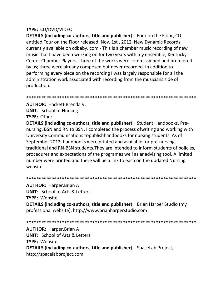# **TYPE: CD/DVD/VIDEO**

**DETAILS (including co-authors, title and publisher):** Four on the Floor, CD entitled Four on the Floor released, Nov. 1st, 2012, New Dynamic Records, currently available on cdbaby, com - This is a chamber music recording of new music that I have been working on for two years with my ensemble, Kentucky Center Chamber Players. Three of the works were commissioned and premiered by us; three were already composed but never recorded. In addition to performing every piece on the recording I was largely responsible for all the administration work associated with recording from the musicians side of production.

**AUTHOR: Hackett, Brenda V. UNIT:** School of Nursing **TYPE: Other** 

**DETAILS (including co-authors, title and publisher):** Student Handbooks, Prenursing, BSN and RN to BSN, I completed the process of writing and working with University Communications topublishhandbooks for nursing students. As of September 2012, handbooks were printed and available for pre-nursing, traditional and RN-BSN students. They are intended to inform students of policies, procedures and expectations of the programas well as anadvising tool. A limited number were printed and there will be a link to each on the updated Nursing website.

## 

**AUTHOR: Harper, Brian A UNIT:** School of Arts & Letters **TYPE: Website DETAILS (including co-authors, title and publisher):** Brian Harper Studio (my professional website), http://www.brianharperstudio.com

**AUTHOR: Harper, Brian A UNIT: School of Arts & Letters TYPE: Website** DETAILS (including co-authors, title and publisher): SpaceLab Project, http://spacelabproject.com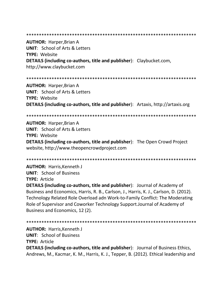**AUTHOR: Harper, Brian A UNIT:** School of Arts & Letters **TYPE: Website DETAILS (including co-authors, title and publisher):** Claybucket.com, http://www.claybucket.com

**AUTHOR: Harper, Brian A UNIT:** School of Arts & Letters **TYPE: Website DETAILS (including co-authors, title and publisher):** Artaxis, http://artaxis.org

**AUTHOR: Harper, Brian A UNIT:** School of Arts & Letters **TYPE: Website DETAILS (including co-authors, title and publisher):** The Open Crowd Project website, http://www.theopencrowdproject.com

**AUTHOR: Harris, Kenneth J UNIT: School of Business TYPE: Article** 

**DETAILS (including co-authors, title and publisher):** Journal of Academy of Business and Economics, Harris, R. B., Carlson, J., Harris, K. J., Carlson, D. (2012). Technology Related Role Overload adn Work-to-Family Conflict: The Moderating Role of Supervisor and Coworker Technology Support. Journal of Academy of Business and Economics, 12 (2).

**AUTHOR: Harris.Kenneth J UNIT: School of Business TYPE: Article DETAILS (including co-authors, title and publisher):** Journal of Business Ethics,

Andrews, M., Kacmar, K. M., Harris, K. J., Tepper, B. (2012). Ethical leadership and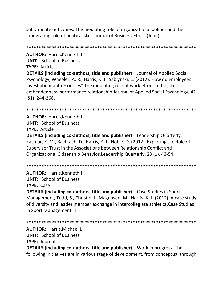subordinate outcomes: The mediating role of organizational politics and the moderating role of political skill.Journal of Business Ethics (June).

\*\*\*\*\*\*\*\*\*\*\*\*\*\*\*\*\*\*\*\*\*\*\*\*\*\*\*\*\*\*\*\*\*\*\*\*\*\*\*\*\*\*\*\*\*\*\*\*\*\*\*\*\*\*\*\*\*\*\*\*\*\*\*\*\*\*\* **AUTHOR:** Harris,Kenneth J **UNIT**: School of Business **TYPE:** Article **DETAILS (including co-authors, title and publisher**): Journal of Applied Social Psychology, Wheeler, A. R., Harris, K. J., Sablynski, C. (2012). How do employees invest abundant resources" The mediating role of work effort in the job embeddedness-performance relationship.Journal of Applied Social Psychology, 42 (S1), 244-266.

\*\*\*\*\*\*\*\*\*\*\*\*\*\*\*\*\*\*\*\*\*\*\*\*\*\*\*\*\*\*\*\*\*\*\*\*\*\*\*\*\*\*\*\*\*\*\*\*\*\*\*\*\*\*\*\*\*\*\*\*\*\*\*\*\*\*\*

**AUTHOR:** Harris,Kenneth J **UNIT**: School of Business **TYPE:** Article

**DETAILS (including co-authors, title and publisher**): Leadership Quarterly, Kacmar, K. M., Bachrach, D., Harris, K. J., Noble, D. (2012). Exploring the Role of Supervisor Trust in the Associations between Relationship Conflict and Organizational Citizenship Behavior.Leadership Quarterly, 23 (1), 43-54.

\*\*\*\*\*\*\*\*\*\*\*\*\*\*\*\*\*\*\*\*\*\*\*\*\*\*\*\*\*\*\*\*\*\*\*\*\*\*\*\*\*\*\*\*\*\*\*\*\*\*\*\*\*\*\*\*\*\*\*\*\*\*\*\*\*\*\*

**AUTHOR:** Harris,Kenneth J **UNIT**: School of Business **TYPE:** Case

**DETAILS (including co-authors, title and publisher**): Case Studies in Sport Management, Todd, S., Christie, I., Magnusen, M., Harris, K. J. (2012). A case study of diversity and leader member exchange in intercollegiate athletics.Case Studies in Sport Management, 1.

\*\*\*\*\*\*\*\*\*\*\*\*\*\*\*\*\*\*\*\*\*\*\*\*\*\*\*\*\*\*\*\*\*\*\*\*\*\*\*\*\*\*\*\*\*\*\*\*\*\*\*\*\*\*\*\*\*\*\*\*\*\*\*\*\*\*\*

**AUTHOR:** Harris,Michael L **UNIT**: School of Business **TYPE:** Journal

**DETAILS (including co-authors, title and publisher**): Work in progress. The following initiatives are in various stage of development, from conceptual through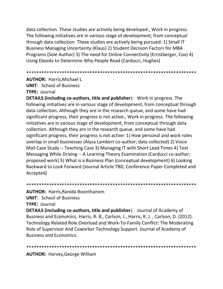data collection. These studies are actively being developed., Work in progress. The following initiatives are in various stage of development, from conceptual through data collection. These studies are actively being pursued: 1) Small IT Business Managing Uncertainty (Klaus) 2) Student Decision Factors for MBA Programs (Sole Author) 3) The need for Online Connectivity (Ernstberger, Cox) 4) Using Ebooks to Determine Why People Read (Carducci, Hughes)

\*\*\*\*\*\*\*\*\*\*\*\*\*\*\*\*\*\*\*\*\*\*\*\*\*\*\*\*\*\*\*\*\*\*\*\*\*\*\*\*\*\*\*\*\*\*\*\*\*\*\*\*\*\*\*\*\*\*\*\*\*\*\*\*\*\*\*

**AUTHOR:** Harris,Michael L

**UNIT**: School of Business

**TYPE:** Journal

**DETAILS (including co-authors, title and publisher**): Work in progress. The following initiatives are in various stage of development, from conceptual through data collection. Although they are in the research queue, and some have had significant progress, their progress is not active., Work in progress. The following initiatives are in various stage of development, from conceptual through data collection. Although they are in the research queue, and some have had significant progress, their progress is not active: 1) How personal and work roles overlap in small businesses (Alysa Lambert co-author; data collected) 2) Voice Mail Case Study -- Teaching Case 3) Managing IT with Short Lead Times 4) Text Messaging While Driving -- A Learning Theory Examination (Carducci co-author; proposed work) 5) What is a Business Plan (conceptual development) 6) Looking Backward to Look Forward (Journal Article TBD, Conference Paper Completed and Accepted)

\*\*\*\*\*\*\*\*\*\*\*\*\*\*\*\*\*\*\*\*\*\*\*\*\*\*\*\*\*\*\*\*\*\*\*\*\*\*\*\*\*\*\*\*\*\*\*\*\*\*\*\*\*\*\*\*\*\*\*\*\*\*\*\*\*\*\*

**AUTHOR:** Harris,Ranida Boonthanom

**UNIT**: School of Business

**TYPE:** Journal

**DETAILS (including co-authors, title and publisher**): Journal of Academy of Business and Economics, Harris, R. B., Carlson, J., Harris, K. J. , Carlson, D. (2012). Technology Related Role Overload and Work-To-Family Conflict: The Moderating Role of Supervisor And Coworker Technology Support. Journal of Academy of Business and Economics.

\*\*\*\*\*\*\*\*\*\*\*\*\*\*\*\*\*\*\*\*\*\*\*\*\*\*\*\*\*\*\*\*\*\*\*\*\*\*\*\*\*\*\*\*\*\*\*\*\*\*\*\*\*\*\*\*\*\*\*\*\*\*\*\*\*\*\*

**AUTHOR:** Harvey,George William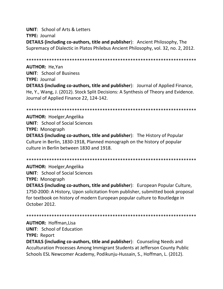**UNIT:** School of Arts & Letters **TYPE: Journal DETAILS (including co-authors, title and publisher):** Ancient Philosophy, The Supremacy of Dialectic in Platos Philebus Ancient Philosophy, vol. 32, no. 2, 2012.

**AUTHOR: He.Yan UNIT:** School of Business **TYPE: Journal DETAILS (including co-authors, title and publisher):** Journal of Applied Finance, He, Y., Wang, J. (2012). Stock Split Decisions: A Synthesis of Theory and Evidence. Journal of Applied Finance 22, 124-142.

**AUTHOR: Hoelger, Angelika UNIT:** School of Social Sciences **TYPE: Monograph** DETAILS (including co-authors, title and publisher): The History of Popular Culture in Berlin, 1830-1918, Planned monograph on the history of popular culture in Berlin between 1830 and 1918.

**AUTHOR: Hoelger, Angelika UNIT:** School of Social Sciences **TYPE:** Monograph

**DETAILS (including co-authors, title and publisher):** European Popular Culture, 1750-2000: A History, Upon solicitation from publisher, submitted book proposal for textbook on history of modern European popular culture to Routledge in October 2012.

**AUTHOR: Hoffman, Lisa** 

**UNIT:** School of Education

**TYPE: Report** 

**DETAILS (including co-authors, title and publisher):** Counseling Needs and Acculturation Processes Among Immigrant Students at Jefferson County Public Schools ESL Newcomer Academy, Podikunju-Hussain, S., Hoffman, L. (2012).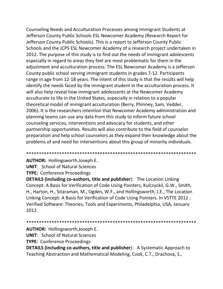Counseling Needs and Acculturation Processes among Immigrant Students at Jefferson County Public Schools ESL Newcomer Academy (Research Report for Jefferson County Public Schools). This is a report to Jefferson County Public Schools and the JCPS ESL Newcomer Academy of a research project undertaken in 2012. The purpose of this study is to find out the needs of immigrant adolescents especially in regard to areas they feel are most problematic for them in the adjustment and acculturation process. The ESL Newcomer Academy is a Jefferson County public school serving immigrant students in grades 7-12. Participants range in age from 12-18 years. The intent of this study is that the results will help identify the needs faced by the immigrant student in the acculturation process. It will also help reveal how immigrant adolescents at the Newcomer Academy acculturate to life in the United States, especially in relation to a popular theoretical model of immigrant acculturation (Berry, Phinney, Sam, Vedder, 2006). It is the researchers intention that Newcomer Academy administration and planning teams can use any data from this study to inform future school counseling services, interventions and advocacy for students, and other partnership opportunities. Results will also contribute to the field of counselor preparation and help school counselors as they expand their knowledge about the problems of and need for interventions about this group of minority individuals.

\*\*\*\*\*\*\*\*\*\*\*\*\*\*\*\*\*\*\*\*\*\*\*\*\*\*\*\*\*\*\*\*\*\*\*\*\*\*\*\*\*\*\*\*\*\*\*\*\*\*\*\*\*\*\*\*\*\*\*\*\*\*\*\*\*\*\*

**AUTHOR:** Hollingsworth,Joseph E. **UNIT**: School of Natural Sciences **TYPE:** Conference Proceedings

**DETAILS (including co-authors, title and publisher**): The Location Linking Concept: A Basis for Verification of Code Using Pointers, Kulczyckil, G.W., Smith, H., Harton, H., Sitaraman, M., Ogden, W.F., and Hollingsworth, J.E., The Location Linking Concept: A Basis for Verification of Code Using Pointers. In VSTTE 2012 : Verified Software: Theories, Tools and Experiments, Philadelphia, USA, January 2012.

\*\*\*\*\*\*\*\*\*\*\*\*\*\*\*\*\*\*\*\*\*\*\*\*\*\*\*\*\*\*\*\*\*\*\*\*\*\*\*\*\*\*\*\*\*\*\*\*\*\*\*\*\*\*\*\*\*\*\*\*\*\*\*\*\*\*\*

**AUTHOR:** Hollingsworth,Joseph E.

**UNIT**: School of Natural Sciences

**TYPE:** Conference Proceedings

**DETAILS (including co-authors, title and publisher**): A Systematic Approach to Teaching Abstraction and Mathematical Modeling, Cook, C.T., Drachova, S.,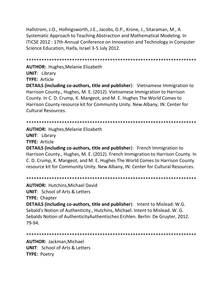Hallstrom, J.O., Hollingsworth, J.E., Jacobs, D.P., Krone, J., Sitaraman, M., A Systematic Approach to Teaching Abstraction and Mathematical Modeling. In ITiCSE 2012 : 17th Annual Conference on Innovation and Technology in Computer Science Education, Haifa, Israel 3-5 July 2012.

\*\*\*\*\*\*\*\*\*\*\*\*\*\*\*\*\*\*\*\*\*\*\*\*\*\*\*\*\*\*\*\*\*\*\*\*\*\*\*\*\*\*\*\*\*\*\*\*\*\*\*\*\*\*\*\*\*\*\*\*\*\*\*\*\*\*\* **AUTHOR:** Hughes,Melanie Elizabeth

**UNIT**: Library **TYPE:** Article

**DETAILS (including co-authors, title and publisher**): Vietnamese Immigration to Harrison County., Hughes, M. E. (2012). Vietnamese Immigration to Harrison County. In C. D. Crump, K. Mangeot, and M. E. Hughes The World Comes to Harrison County resource kit for Community Unity. New Albany, IN: Center for Cultural Resources.

```
*******************************************************************
```
**AUTHOR:** Hughes,Melanie Elizabeth **UNIT**: Library **TYPE:** Article

**DETAILS (including co-authors, title and publisher**): French Immigration to Harrison County., Hughes, M. E. (2012). French Immigration to Harrison County. In C. D. Crump, K. Mangeot, and M. E. Hughes The World Comes to Harrison County resource kit for Community Unity. New Albany, IN: Center for Cultural Resources.

\*\*\*\*\*\*\*\*\*\*\*\*\*\*\*\*\*\*\*\*\*\*\*\*\*\*\*\*\*\*\*\*\*\*\*\*\*\*\*\*\*\*\*\*\*\*\*\*\*\*\*\*\*\*\*\*\*\*\*\*\*\*\*\*\*\*\*

**AUTHOR:** Hutchins,Michael David

**UNIT**: School of Arts & Letters

**TYPE:** Chapter

**DETAILS (including co-authors, title and publisher**): Intent to Mislead: W.G. Sebald's Notion of Authenticity., Hutchins, Michael. Intent to Mislead. W. G. Sebalds Notion of AuthenticityAuthentisches Erzhlen. Berlin: De Gruyter, 2012. 79-94.

```
*******************************************************************
```
**AUTHOR:** Jackman,Michael **UNIT**: School of Arts & Letters **TYPE:** Poetry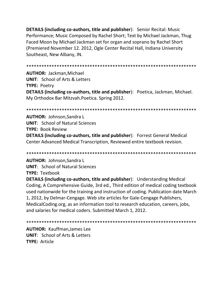**DETAILS (including co-authors, title and publisher):** Senior Recital: Music Performance; Music Composed by Rachel Short; Text by Michael Jackman, Thug Faced Moon by Michael Jackman set for organ and soprano by Rachel Short (Premiered November 12, 2012, Ogle Center Recital Hall, Indiana University Southeast, New Albany, IN.

**AUTHOR: Jackman, Michael UNIT: School of Arts & Letters TYPE: Poetry** DETAILS (including co-authors, title and publisher): Poetica, Jackman, Michael. My Orthodox Bar Mitzvah. Poetica. Spring 2012.

**AUTHOR: Johnson, Sandra L UNIT: School of Natural Sciences TYPE: Book Review** DETAILS (including co-authors, title and publisher): Forrest General Medical Center Advanced Medical Transcription, Reviewed entire textbook revision.

**AUTHOR: Johnson, Sandra L UNIT: School of Natural Sciences TYPE: Textbook** 

**DETAILS (including co-authors, title and publisher):** Understanding Medical Coding, A Comprehensive Guide, 3rd ed., Third edition of medical coding textbook used nationwide for the training and instruction of coding. Publication date March 1, 2012, by Delmar-Cengage. Web site articles for Gale-Cengage Publishers, MedicalCoding.org, as an information tool to research education, careers, jobs, and salaries for medical coders. Submitted March 1, 2012.

**AUTHOR: Kauffman.James Lee UNIT:** School of Arts & Letters **TYPE: Article**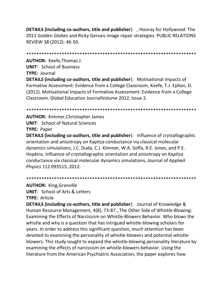**DETAILS (including co-authors, title and publisher):** , Hooray for Hollywood: The 2011 Golden Globes and Ricky Gervais image repair strategies. PUBLIC RELATIONS REVIEW 38 (2012): 46-50.

**AUTHOR: Keefe, Thomas J. UNIT:** School of Business

TYPE: Journal

**DETAILS (including co-authors, title and publisher):** Motivational Impacts of Formative Assessment: Evidence from a College Classroom, Keefe, T.J. Eplion, D. (2012). Motivational Impacts of Formative Assessment: Evidence from a College Classroom. Global Education Journal Volume 2012, Issue 2.

**AUTHOR: Kimmer, Christopher James UNIT: School of Natural Sciences TYPE: Paper** 

**DETAILS (including co-authors, title and publisher):** Influence of crystallographic orientation and anisotropy on Kapitza conductance via classical molecular dynamics simulations, J.C. Duda, C.J. Kimmer, W.A. Soffa, R.E. Jones, and P.E. Hopkins, Influence of crystallographic orientation and anisotropy on Kapitza conductance via classical molecular dynamics simulations, Journal of Applied Physics 112 093515, 2012.

**AUTHOR: King, Granville** 

**UNIT:** School of Arts & Letters **TYPE: Article** 

**DETAILS (including co-authors, title and publisher):** Journal of Knowledge & Human Resource Management, 4(8), 73-87., The Other Side of Whistle-Blowing: Examining the Effects of Narcissism on Whistle-Blowers Behavior. Who blows the whistle and why is a question that has intrigued whistle-blowing scholars for years. In order to address this significant question, much attention has been devoted to examining the personality of whistle-blowers and potential whistleblowers. This study sought to expand the whistle-blowing personality literature by examining the effects of narcissism on whistle-blowers behavior. Using the literature from the American Psychiatric Association, the paper explores how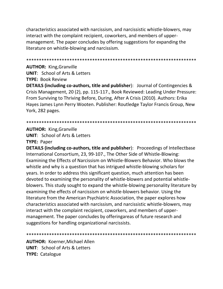characteristics associated with narcissism, and narcissistic whistle-blowers, may interact with the complaint recipient, coworkers, and members of uppermanagement. The paper concludes by offering suggestions for expanding the literature on whistle-blowing and narcissism.

### **AUTHOR: King, Granville**

**UNIT: School of Arts & Letters TYPE: Book Review** 

**DETAILS (including co-authors, title and publisher):** Journal of Contingencies & Crisis Management, 20 (2), pp. 115-117., Book Reviewed: Leading Under Pressure: From Surviving to Thriving Before, During, After A Crisis (2010). Authors: Erika Hayes James Lynn Perry Wooten. Publisher: Routledge Taylor Francis Group, New York, 282 pages.

#### 

### **AUTHOR: King, Granville**

**UNIT:** School of Arts & Letters **TYPE: Paper** 

**DETAILS (including co-authors, title and publisher):** Proceedings of Intellectbase International Consortium, 23, 99-107., The Other Side of Whistle-Blowing: Examining the Effects of Narcissism on Whistle-Blowers Behavior. Who blows the whistle and why is a question that has intrigued whistle-blowing scholars for years. In order to address this significant question, much attention has been devoted to examining the personality of whistle-blowers and potential whistleblowers. This study sought to expand the whistle-blowing personality literature by examining the effects of narcissism on whistle-blowers behavior. Using the literature from the American Psychiatric Association, the paper explores how characteristics associated with narcissism, and narcissistic whistle-blowers, may interact with the complaint recipient, coworkers, and members of uppermanagement. The paper concludes by offeringareas of future research and suggestions for handling organizational narcissists.

#### 

**AUTHOR: Koerner, Michael Allen UNIT:** School of Arts & Letters **TYPE: Catalogue**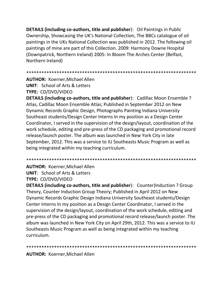**DETAILS (including co-authors, title and publisher**): Oil Paintings in Public Ownership, Showcasing the UK's National Collection, The BBCs catalogue of oil paintings in the UKs National Collection was published in 2012. The following oil paintings of mine are part of this Collection. 2009: Harmony Downe Hospital (Downpatrick, Northern Ireland) 2005: In Bloom The Arches Center (Belfast, Northern Ireland)

\*\*\*\*\*\*\*\*\*\*\*\*\*\*\*\*\*\*\*\*\*\*\*\*\*\*\*\*\*\*\*\*\*\*\*\*\*\*\*\*\*\*\*\*\*\*\*\*\*\*\*\*\*\*\*\*\*\*\*\*\*\*\*\*\*\*\*

**AUTHOR:** Koerner,Michael Allen **UNIT**: School of Arts & Letters **TYPE:** CD/DVD/VIDEO

**DETAILS (including co-authors, title and publisher**): Cadillac Moon Ensemble ? Atlas, Cadillac Moon Ensemble Atlas; Published in September 2012 on New Dynamic Records Graphic Design, Photographs Painting Indiana University Southeast students/Design Center Interns In my position as a Design Center Coordinator, I served in the supervision of the design/layout, coordination of the work schedule, editing and pre-press of the CD packaging and promotional record release/launch poster. The album was launched in New York City in late September, 2012. This was a service to IU Southeasts Music Program as well as being integrated within my teaching curriculum.

\*\*\*\*\*\*\*\*\*\*\*\*\*\*\*\*\*\*\*\*\*\*\*\*\*\*\*\*\*\*\*\*\*\*\*\*\*\*\*\*\*\*\*\*\*\*\*\*\*\*\*\*\*\*\*\*\*\*\*\*\*\*\*\*\*\*\*

**AUTHOR:** Koerner,Michael Allen **UNIT**: School of Arts & Letters **TYPE:** CD/DVD/VIDEO

**DETAILS (including co-authors, title and publisher**): Counter)Induction ? Group Theory, Counter Induction Group Theory; Published in April 2012 on New Dynamic Records Graphic Design Indiana University Southeast students/Design Center Interns In my position as a Design Center Coordinator, I served in the supervision of the design/layout, coordination of the work schedule, editing and pre-press of the CD packaging and promotional record release/launch poster. The album was launched in New York City on April 29th, 2012. This was a service to IU Southeasts Music Program as well as being integrated within my teaching curriculum.

\*\*\*\*\*\*\*\*\*\*\*\*\*\*\*\*\*\*\*\*\*\*\*\*\*\*\*\*\*\*\*\*\*\*\*\*\*\*\*\*\*\*\*\*\*\*\*\*\*\*\*\*\*\*\*\*\*\*\*\*\*\*\*\*\*\*\*

**AUTHOR:** Koerner,Michael Allen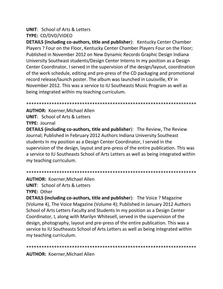# **UNIT**: School of Arts & Letters

**TYPE:** CD/DVD/VIDEO

**DETAILS (including co-authors, title and publisher**): Kentucky Center Chamber Players ? Four on the Floor, Kentucky Center Chamber Players Four on the Floor; Published in November 2012 on New Dynamic Records Graphic Design Indiana University Southeast students/Design Center Interns In my position as a Design Center Coordinator, I served in the supervision of the design/layout, coordination of the work schedule, editing and pre-press of the CD packaging and promotional record release/launch poster. The album was launched in Louisville, KY in November 2012. This was a service to IU Southeasts Music Program as well as being integrated within my teaching curriculum.

\*\*\*\*\*\*\*\*\*\*\*\*\*\*\*\*\*\*\*\*\*\*\*\*\*\*\*\*\*\*\*\*\*

**AUTHOR:** Koerner,Michael Allen **UNIT**: School of Arts & Letters **TYPE:** Journal

**DETAILS (including co-authors, title and publisher**): The Review, The Review Journal; Published in February 2012 Authors Indiana University Southeast students In my position as a Design Center Coordinator, I served in the supervision of the design, layout and pre-press of the entire publication. This was a service to IU Southeasts School of Arts Letters as well as being integrated within my teaching curriculum.

\*\*\*\*\*\*\*\*\*\*\*\*\*\*\*\*\*\*\*\*\*\*\*\*\*\*\*\*\*\*\*\*\*\*\*\*\*\*\*\*\*\*\*\*\*\*\*\*\*\*\*\*\*\*\*\*\*\*\*\*\*\*\*\*\*\*\*

**AUTHOR:** Koerner,Michael Allen

**UNIT**: School of Arts & Letters **TYPE:** Other

**DETAILS (including co-authors, title and publisher**): The Voice ? Magazine (Volume 4), The Voice Magazine (Volume 4); Published in January 2012 Authors School of Arts Letters Faculty and Students In my position as a Design Center Coordinator, I, along with Marilyn Whitesell, served in the supervision of the design, photography, layout and pre-press of the entire publication. This was a service to IU Southeasts School of Arts Letters as well as being integrated within my teaching curriculum.

\*\*\*\*\*\*\*\*\*\*\*\*\*\*\*\*\*\*\*\*\*\*\*\*\*\*\*\*\*\*\*\*\*\*\*\*\*\*\*\*\*\*\*\*\*\*\*\*\*\*\*\*\*\*\*\*\*\*\*\*\*\*\*\*\*\*\*

**AUTHOR:** Koerner,Michael Allen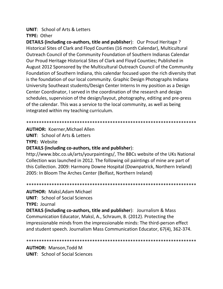## **UNIT:** School of Arts & Letters

### **TYPE: Other**

DETAILS (including co-authors, title and publisher): Our Proud Heritage ? Historical Sites of Clark and Floyd Counties (16 month Calendar), Multicultural Outreach Council of the Community Foundation of Southern Indianas Calendar Our Proud Heritage Historical Sites of Clark and Floyd Counties; Published in August 2012 Sponsored by the Multicultural Outreach Council of the Community Foundation of Southern Indiana, this calendar focused upon the rich diversity that is the foundation of our local community. Graphic Design Photographs Indiana University Southeast students/Design Center Interns In my position as a Design Center Coordinator, I served in the coordination of the research and design schedules, supervision of the design/layout, photography, editing and pre-press of the calendar. This was a service to the local community, as well as being integrated within my teaching curriculum.

#### 

**AUTHOR: Koerner Michael Allen** 

**UNIT:** School of Arts & Letters

**TYPE: Website** 

### **DETAILS (including co-authors, title and publisher):**

http://www.bbc.co.uk/arts/yourpaintings/, The BBCs website of the UKs National Collection was launched in 2012. The following oil paintings of mine are part of this Collection. 2009: Harmony Downe Hospital (Downpatrick, Northern Ireland) 2005: In Bloom The Arches Center (Belfast, Northern Ireland)

### 

**AUTHOR: Maksl, Adam Michael** 

**UNIT:** School of Social Sciences

**TYPE: Journal** 

**DETAILS (including co-authors, title and publisher):** Journalism & Mass Communication Educator, Maksl, A., Schraum, B. (2012). Protecting the impressionable minds from the impressionable minds: The third-person effect and student speech. Journalism Mass Communication Educator, 67(4), 362-374.

### 

**AUTHOR: Manson, Todd M UNIT:** School of Social Sciences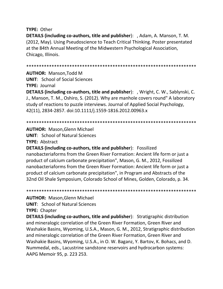**TYPE: Other** 

**DETAILS (including co-authors, title and publisher):** , Adam, A. Manson, T. M. (2012, May). Using Pseudoscience to Teach Critical Thinking. Poster presentated at the 84th Annual Meeting of the Midwestern Psychological Association, Chicago, Illinois.

**AUTHOR: Manson.Todd M** 

**UNIT:** School of Social Sciences **TYPE: Journal** 

**DETAILS (including co-authors, title and publisher):** , Wright, C. W., Sablynski, C. J., Manson, T. M., Oshiro, S. (2012). Why are manhole covers round" A laboratory study of reactions to puzzle interviews. Journal of Applied Social Psychology, 42(11), 2834-2857. doi:10.1111/j.1559-1816.2012.00963.x

**AUTHOR: Mason, Glenn Michael** 

**UNIT: School of Natural Sciences** 

**TYPE: Abstract** 

**DETAILS (including co-authors, title and publisher):** Fossilized nanobacteriaforms from the Green River Formation: Ancient life form or just a product of calcium carbonate precipitation", Mason, G. M., 2012, Fossilized nanobacteriaforms from the Green River Formation: Ancient life form or just a product of calcium carbonate precipitation", in Program and Abstracts of the 32nd Oil Shale Symposium, Colorado School of Mines, Golden, Colorado, p. 34.

**AUTHOR: Mason, Glenn Michael** 

**UNIT: School of Natural Sciences** 

**TYPE: Chapter** 

**DETAILS (including co-authors, title and publisher):** Stratigraphic distribution and mineralogic correlation of the Green River Formation, Green River and Washakie Basins, Wyoming, U.S.A., Mason, G. M., 2012, Stratigraphic distribution and mineralogic correlation of the Green River Formation, Green River and Washakie Basins, Wyoming, U.S.A., in O. W. Baganz, Y. Bartov, K. Bohacs, and D. Nummedal, eds., Lacustrine sandstone reservoirs and hydrocarbon systems: AAPG Memoir 95, p. 223 253.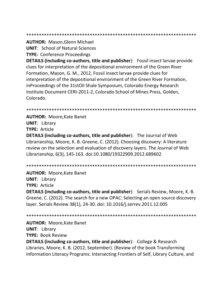**AUTHOR: Mason, Glenn Michael** 

**UNIT:** School of Natural Sciences

**TYPE: Conference Proceedings** 

**DETAILS (including co-authors, title and publisher):** Fossil insect larvae provide clues for interpretation of the depositional environment of the Green River Formation, Mason, G. M., 2012, Fossil insect larvae provide clues for interpretation of the depositional environment of the Green River Formation, inProceedings of the 31stOil Shale Symposium, Colorado Energy Research Institute Document CERI-2011-2, Colorado School of Mines Press, Golden, Colorado.

**AUTHOR: Moore, Kate Banet UNIT: Library** 

**TYPE: Article** 

**DETAILS (including co-authors, title and publisher):** The Journal of Web Librarianship, Moore, K. B. Greene, C. (2012). Choosing discovery: A literature review on the selection and evaluation of discovery layers. The Journal of Web Librarianship, 6(3), 145-163. doi:10.1080/19322909.2012.689602

**AUTHOR: Moore, Kate Banet UNIT: Library TYPE: Article DETAILS (including co-authors, title and publisher):** Serials Review, Moore, K. B. Greene, C. (2012). The search for a new OPAC: Selecting an open source discovery layer. Serials Review 38(1), 24-30. doi: 10.1016/j.serrev.2011.12.005

**AUTHOR: Moore, Kate Banet UNIT: Library TYPE: Book Review DETAILS (including co-authors, title and publisher):** College & Research Libraries, Moore, K. B. (2012, September). [Review of the book Transforming Information Literacy Programs: Intersecting Frontiers of Self, Library Culture, and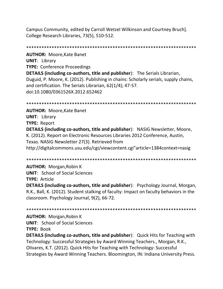Campus Community, edited by Carroll Wetzel Wilkinson and Courtney Bruch]. College Research Libraries, 73(5), 510-512.

**AUTHOR: Moore, Kate Banet UNIT: Library TYPE: Conference Proceedings DETAILS (including co-authors, title and publisher):** The Serials Librarian, Duguid, P. Moore, K. (2012). Publishing in chains: Scholarly serials, supply chains, and certification. The Serials Librarian, 62(1/4); 47-57. doi:10.1080/0361526X.2012.652462

**AUTHOR: Moore, Kate Banet UNIT: Library TYPE: Report** DETAILS (including co-authors, title and publisher): NASIG Newsletter, Moore, K. (2012). Report on Electronic Resources Libraries 2012 Conference, Austin, Texas. NASIG Newsletter 27(3). Retrieved from http://digitalcommons.usu.edu/cgi/viewcontent.cgi"article=1384context=nasig

**AUTHOR: Morgan, Robin K** 

**UNIT:** School of Social Sciences

**TYPE: Article** 

**DETAILS (including co-authors, title and publisher):** Psychology Journal, Morgan, R.K., Ball, K. (2012). Student stalking of faculty: Impact on faculty behaviors in the classroom. Psychology Journal, 9(2), 66-72.

**AUTHOR: Morgan, Robin K** 

**UNIT:** School of Social Sciences

**TYPE: Book** 

**DETAILS (including co-authors, title and publisher):** Quick Hits for Teaching with Technology: Successful Strategies by Award Winning Teachers., Morgan, R.K., Olivares, K.T. (2012). Quick Hits for Teaching with Technology: Successful Strategies by Award Winning Teachers. Bloomington, IN: Indiana University Press.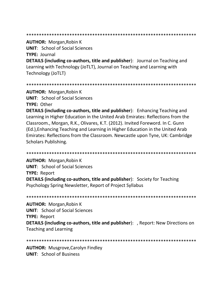#### 

**AUTHOR: Morgan, Robin K UNIT:** School of Social Sciences **TYPE: Journal DETAILS (including co-authors, title and publisher):** Journal on Teaching and Learning with Technology (JoTLT), Journal on Teaching and Learning with Technology (JoTLT)

**AUTHOR: Morgan, Robin K UNIT:** School of Social Sciences TYPE: Other

**DETAILS (including co-authors, title and publisher):** Enhancing Teaching and Learning in Higher Education in the United Arab Emirates: Reflections from the Classroom., Morgan, R.K., Olivares, K.T. (2012). Invited Foreword. In C. Gunn (Ed.), Enhancing Teaching and Learning in Higher Education in the United Arab Emirates: Reflections from the Classroom. Newcastle upon Tyne, UK: Cambridge **Scholars Publishing.** 

**AUTHOR: Morgan, Robin K UNIT:** School of Social Sciences **TYPE: Report DETAILS (including co-authors, title and publisher):** Society for Teaching Psychology Spring Newsletter, Report of Project Syllabus

**AUTHOR: Morgan, Robin K UNIT:** School of Social Sciences **TYPE: Report DETAILS (including co-authors, title and publisher):** , Report: New Directions on **Teaching and Learning** 

**AUTHOR: Musgrove, Carolyn Findley UNIT:** School of Business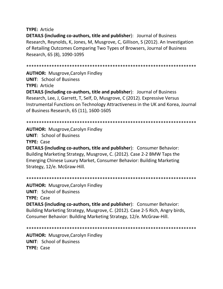**TYPE:** Article

**DETAILS (including co-authors, title and publisher**): Journal of Business Research, Reynolds, K, Jones, M, Musgrove, C, Gillison, S (2012). An Investigation of Retailing Outcomes Comparing Two Types of Browsers, Journal of Business Research, 65 (8), 1090-1095

\*\*\*\*\*\*\*\*\*\*\*\*\*\*\*\*\*\*\*\*\*\*\*\*\*\*\*\*\*\*\*\*\*\*\*\*\*\*\*\*\*\*\*\*\*\*\*\*\*\*\*\*\*\*\*\*\*\*\*\*\*\*\*\*\*\*\*

**AUTHOR:** Musgrove,Carolyn Findley **UNIT**: School of Business **TYPE:** Article

**DETAILS (including co-authors, title and publisher**): Journal of Business Research, Lee, J, Garrett, T, Self, D, Musgrove, C (2012). Expressive Versus Instrumental Functions on Technology Attractiveness in the UK and Korea, Journal of Business Research, 65 (11), 1600-1605

\*\*\*\*\*\*\*\*\*\*\*\*\*\*\*\*\*\*\*\*\*\*\*\*\*\*\*\*\*\*\*\*\*\*\*\*\*\*\*\*\*\*\*\*\*\*\*\*\*\*\*\*\*\*\*\*\*\*\*\*\*\*\*\*\*\*\*

**AUTHOR:** Musgrove,Carolyn Findley **UNIT**: School of Business **TYPE:** Case

**DETAILS (including co-authors, title and publisher**): Consumer Behavior: Building Marketing Strategy, Musgrove, C. (2012). Case 2-2 BMW Taps the Emerging Chinese Luxury Market, Consumer Behavior: Building Marketing Strategy, 12/e. McGraw-Hill.

\*\*\*\*\*\*\*\*\*\*\*\*\*\*\*\*\*\*\*\*\*\*\*\*\*\*\*\*\*\*\*\*\*\*\*\*\*\*\*\*\*\*\*\*\*\*\*\*\*\*\*\*\*\*\*\*\*\*\*\*\*\*\*\*\*\*\*

**AUTHOR:** Musgrove,Carolyn Findley **UNIT**: School of Business **TYPE:** Case **DETAILS (including co-authors, title and publisher**): Consumer Behavior: Building Marketing Strategy, Musgrove, C. (2012). Case 2-5 Rich, Angry birds, Consumer Behavior: Building Marketing Strategy, 12/e. McGraw-Hill.

\*\*\*\*\*\*\*\*\*\*\*\*\*\*\*\*\*\*\*\*\*\*\*\*\*\*\*\*\*\*\*\*\*\*\*\*\*\*\*\*\*\*\*\*\*\*\*\*\*\*\*\*\*\*\*\*\*\*\*\*\*\*\*\*\*\*\*

**AUTHOR:** Musgrove,Carolyn Findley **UNIT**: School of Business **TYPE:** Case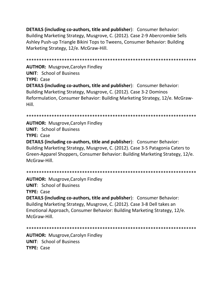**DETAILS (including co-authors, title and publisher**): Consumer Behavior: Building Marketing Strategy, Musgrove, C. (2012). Case 2-9 Abercrombie Sells Ashley Push-up Triangle Bikini Tops to Tweens, Consumer Behavior: Building Marketing Strategy, 12/e. McGraw-Hill.

\*\*\*\*\*\*\*\*\*\*\*\*\*\*\*\*\*\*\*\*\*\*\*\*\*\*\*\*\*\*\*\*\*\*\*\*\*\*\*\*\*\*\*\*\*\*\*\*\*\*\*\*\*\*\*\*\*\*\*\*\*\*\*\*\*\*\* **AUTHOR:** Musgrove,Carolyn Findley **UNIT**: School of Business **TYPE:** Case **DETAILS (including co-authors, title and publisher**): Consumer Behavior: Building Marketing Strategy, Musgrove, C. (2012). Case 3-2 Dominos Reformulation, Consumer Behavior: Building Marketing Strategy, 12/e. McGraw-Hill.

\*\*\*\*\*\*\*\*\*\*\*\*\*\*\*\*\*\*\*\*\*\*\*\*\*\*\*\*\*\*\*\*\*\*\*\*\*\*\*\*\*\*\*\*\*\*\*\*\*\*\*\*\*\*\*\*\*\*\*\*\*\*\*\*\*\*\*

**AUTHOR:** Musgrove,Carolyn Findley **UNIT**: School of Business **TYPE:** Case **DETAILS (including co-authors, title and publisher**): Consumer Behavior: Building Marketing Strategy, Musgrove, C. (2012). Case 3-5 Patagonia Caters to Green-Apparel Shoppers, Consumer Behavior: Building Marketing Strategy, 12/e. McGraw-Hill.

\*\*\*\*\*\*\*\*\*\*\*\*\*\*\*\*\*\*\*\*\*\*\*\*\*\*\*\*\*\*\*\*\*\*\*\*\*\*\*\*\*\*\*\*\*\*\*\*\*\*\*\*\*\*\*\*\*\*\*\*\*\*\*\*\*\*\*

**AUTHOR:** Musgrove,Carolyn Findley **UNIT**: School of Business **TYPE:** Case **DETAILS (including co-authors, title and publisher**): Consumer Behavior:

Building Marketing Strategy, Musgrove, C. (2012). Case 3-8 Dell takes an Emotional Approach, Consumer Behavior: Building Marketing Strategy, 12/e. McGraw-Hill.

\*\*\*\*\*\*\*\*\*\*\*\*\*\*\*\*\*\*\*\*\*\*\*\*\*\*\*\*\*\*\*\*\*\*\*\*\*\*\*\*\*\*\*\*\*\*\*\*\*\*\*\*\*\*\*\*\*\*\*\*\*\*\*\*\*\*\*

**AUTHOR:** Musgrove,Carolyn Findley **UNIT**: School of Business **TYPE:** Case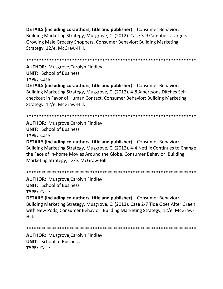**DETAILS (including co-authors, title and publisher**): Consumer Behavior: Building Marketing Strategy, Musgrove, C. (2012). Case 3-9 Campbells Targets Growing Male Grocery Shoppers, Consumer Behavior: Building Marketing Strategy, 12/e. McGraw-Hill.

\*\*\*\*\*\*\*\*\*\*\*\*\*\*\*\*\*\*\*\*\*\*\*\*\*\*\*\*\*\*\*\*\*\*\*\*\*\*\*\*\*\*\*\*\*\*\*\*\*\*\*\*\*\*\*\*\*\*\*\*\*\*\*\*\*\*\* **AUTHOR:** Musgrove,Carolyn Findley **UNIT**: School of Business **TYPE:** Case **DETAILS (including co-authors, title and publisher**): Consumer Behavior: Building Marketing Strategy, Musgrove, C. (2012). 4-8 Albertsons Ditches Selfcheckout in Favor of Human Contact, Consumer Behavior: Building Marketing Strategy, 12/e. McGraw-Hill.

\*\*\*\*\*\*\*\*\*\*\*\*\*\*\*\*\*\*\*\*\*\*\*\*\*\*\*\*\*\*\*\*\*\*\*\*\*\*\*\*\*\*\*\*\*\*\*\*\*\*\*\*\*\*\*\*\*\*\*\*\*\*\*\*\*\*\*

**AUTHOR:** Musgrove,Carolyn Findley **UNIT**: School of Business **TYPE:** Case

**DETAILS (including co-authors, title and publisher**): Consumer Behavior: Building Marketing Strategy, Musgrove, C. (2012). 4-4 Netflix Continues to Change the Face of In-home Movies Around the Globe, Consumer Behavior: Building Marketing Strategy, 12/e. McGraw-Hill.

\*\*\*\*\*\*\*\*\*\*\*\*\*\*\*\*\*\*\*\*\*\*\*\*\*\*\*\*\*\*\*\*\*\*\*\*\*\*\*\*\*\*\*\*\*\*\*\*\*\*\*\*\*\*\*\*\*\*\*\*\*\*\*\*\*\*\*

**AUTHOR:** Musgrove,Carolyn Findley **UNIT**: School of Business **TYPE:** Case

**DETAILS (including co-authors, title and publisher**): Consumer Behavior: Building Marketing Strategy, Musgrove, C. (2012). Case 2-7 Tide Goes After Green with New Pods, Consumer Behavior: Building Marketing Strategy, 12/e. McGraw-Hill.

\*\*\*\*\*\*\*\*\*\*\*\*\*\*\*\*\*\*\*\*\*\*\*\*\*\*\*\*\*\*\*\*\*\*\*\*\*\*\*\*\*\*\*\*\*\*\*\*\*\*\*\*\*\*\*\*\*\*\*\*\*\*\*\*\*\*\*

**AUTHOR:** Musgrove,Carolyn Findley **UNIT**: School of Business **TYPE:** Case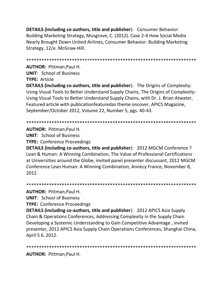**DETAILS (including co-authors, title and publisher):** Consumer Behavior: Building Marketing Strategy, Musgrove, C. (2012). Case 2-4 How Social Media Nearly Brought Down United Airlines, Consumer Behavior: Building Marketing Strategy, 12/e. McGraw-Hill.

**AUTHOR: Pittman.Paul H.** 

**UNIT:** School of Business

**TYPE: Article** 

**DETAILS (including co-authors, title and publisher):** The Origins of Complexity: Using Visual Tools to Better Understand Supply Chains, The Origins of Complexity: Using Visual Tools to Better Understand Supply Chains, with Dr. J. Brian Atwater, Featured article with publicationfeaturedas theme oncover, APICS Magazine, September/October 2012, Volume 22, Number 5, pgs. 40-43.

**AUTHOR: Pittman, Paul H.** 

**UNIT: School of Business** 

**TYPE: Conference Proceedings** 

DETAILS (including co-authors, title and publisher): 2012 MGCM Conference ? Lean & Human: A Winning Combination, The Value of Professional Certifications at Universities around the Globe, invited panel presenter discussant, 2012 MGCM Conference Lean Human: A Winning Combination, Annecy France, November 8, 2012.

**AUTHOR: Pittman, Paul H.** 

**UNIT: School of Business** 

**TYPE: Conference Proceedings** 

**DETAILS (including co-authors, title and publisher): 2012 APICS Asia Supply** Chain & Operations Conferences, Addressing Complexity in the Supply Chain Developing a Systemic Understanding to Gain Competitive Advantage, invited presenter, 2012 APICS Asia Supply Chain Operations Conferences, Shanghai China, April 5 6. 2012.

**AUTHOR: Pittman, Paul H.**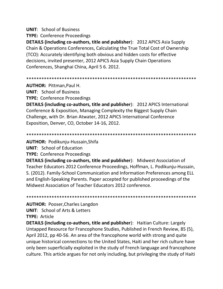### **UNIT: School of Business**

**TYPE:** Conference Proceedings

**DETAILS (including co-authors, title and publisher): 2012 APICS Asia Supply** Chain & Operations Conferences, Calculating the True Total Cost of Ownership (TCO): Accurately identifying both obvious and hidden costs for effective decisions, invited presenter, 2012 APICS Asia Supply Chain Operations Conferences, Shanghai China, April 5 6. 2012.

**AUTHOR: Pittman, Paul H.** 

**UNIT: School of Business** 

**TYPE:** Conference Proceedings

**DETAILS (including co-authors, title and publisher): 2012 APICS International** Conference & Exposition, Managing Complexity the Biggest Supply Chain Challenge, with Dr. Brian Atwater, 2012 APICS International Conference Exposition, Denver, CO, October 14-16, 2012.

**AUTHOR: Podikunju-Hussain, Shifa** 

**UNIT:** School of Education

**TYPE:** Conference Proceedings

**DETAILS (including co-authors, title and publisher):** Midwest Association of Teacher Educators 2012 Conference Proceedings, Hoffman, L. Podikunju-Hussain, S. (2012). Family-School Communication and Information Preferences among ELL and English-Speaking Parents. Paper accepted for published proceedings of the Midwest Association of Teacher Educators 2012 conference.

**AUTHOR: Pooser, Charles Langdon UNIT:** School of Arts & Letters **TYPE: Article** 

**DETAILS (including co-authors, title and publisher):** Haitian Culture: Largely Untapped Resource for Francophone Studies, Published in French Review, 85 (5), April 2012, pp 40-56. An area of the francophone world with strong and quite unique historical connections to the United States, Haiti and her rich culture have only been superficially exploited in the study of French language and francophone culture. This article argues for not only including, but privileging the study of Haiti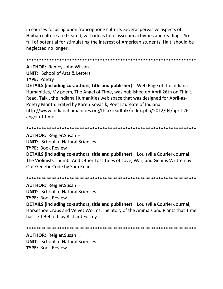in courses focusing upon francophone culture. Several pervasive aspects of Haitian culture are treated, with ideas for classroom activities and readings. So full of potential for stimulating the interest of American students, Haiti should be neglected no longer.

**AUTHOR: Ramey, John Wilson UNIT: School of Arts & Letters** 

**TYPE: Poetry** 

**DETAILS (including co-authors, title and publisher):** Web Page of the Indiana Humanities, My poem, The Angel of Time, was published on April 26th on Think. Read. Talk., the Indiana Humanities web space that was designed for April-as-Poetry Month. Edited by Karen Kovacik, Poet Laureate of Indiana. http://www.indianahumanities.org/thinkreadtalk/index.php/2012/04/april-26angel-of-time...

**AUTHOR: Reigler, Susan H. UNIT: School of Natural Sciences TYPE: Book Review DETAILS (including co-authors, title and publisher):** Louisville Courier-Journal, The Violinists Thumb: And Other Lost Tales of Love, War, and Genius Written by Our Genetic Code by Sam Kean

**AUTHOR: Reigler, Susan H.** 

**UNIT:** School of Natural Sciences

**TYPE: Book Review** 

**DETAILS (including co-authors, title and publisher):** Louisville Courier-Journal, Horseshoe Crabs and Velvet Worms: The Story of the Animals and Plants that Time has Left Behind. by Richard Fortey

**AUTHOR: Reigler, Susan H. UNIT: School of Natural Sciences** TYPF: Book Review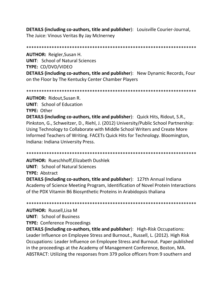DETAILS (including co-authors, title and publisher): Louisville Courier-Journal, The Juice: Vinous Veritas By Jay McInerney

**AUTHOR: Reigler, Susan H.** 

**UNIT: School of Natural Sciences TYPE: CD/DVD/VIDEO** 

**DETAILS (including co-authors, title and publisher):** New Dynamic Records, Four on the Floor by The Kentucky Center Chamber Players

**AUTHOR: Ridout, Susan R.** 

**UNIT:** School of Education

**TYPE: Other** 

**DETAILS (including co-authors, title and publisher):** Quick Hits, Ridout, S.R., Pinkston, G., Schweitzer, D., Riehl, J. (2012) University/Public School Partnership: Using Technology to Collaborate with Middle School Writers and Create More Informed Teachers of Writing. FACETs Quick Hits for Technology. Bloomington, Indiana: Indiana University Press.

**AUTHOR: Rueschhoff, Elizabeth Dushlek UNIT: School of Natural Sciences** 

**TYPE: Abstract** 

**DETAILS (including co-authors, title and publisher): 127th Annual Indiana** Academy of Science Meeting Program, Identification of Novel Protein Interactions of the PDX Vitamin B6 Biosynthetic Proteins in Arabidopsis thaliana

**AUTHOR: Russell, Lisa M** 

**UNIT: School of Business** 

**TYPE: Conference Proceedings** 

**DETAILS (including co-authors, title and publisher):** High-Risk Occupations: Leader Influence on Employee Stress and Burnout., Russell, L. (2012). High Risk Occupations: Leader Influence on Employee Stress and Burnout. Paper published in the proceedings at the Academy of Management Conference, Boston, MA. ABSTRACT: Utilizing the responses from 379 police officers from 9 southern and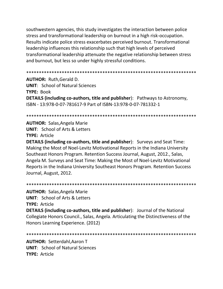southwestern agencies, this study investigates the interaction between police stress and transformational leadership on burnout in a high risk-occupation. Results indicate police stress exacerbates perceived burnout. Transformational leadership influences this relationship such that high levels of perceived transformational leadership attenuate the negative relationship between stress and burnout, but less so under highly stressful conditions.

#### 

**AUTHOR: Ruth, Gerald D. UNIT:** School of Natural Sciences **TYPE: Book DETAILS (including co-authors, title and publisher):** Pathways to Astronomy, ISBN - 13:978-0-07-781617-9 Part of ISBN-13:978-0-07-781332-1

#### 

### **AUTHOR:** Salas, Angela Marie

**UNIT:** School of Arts & Letters **TYPE: Article** 

**DETAILS (including co-authors, title and publisher):** Surveys and Seat Time: Making the Most of Noel-Levitz Motivational Reports in the Indiana University Southeast Honors Program. Retention Success Journal, August, 2012., Salas, Angela M. Surveys and Seat Time: Making the Most of Noel-Levitz Motivational Reports in the Indiana University Southeast Honors Program. Retention Success Journal, August, 2012.

#### 

**AUTHOR: Salas, Angela Marie UNIT:** School of Arts & Letters **TYPE: Article** 

**DETAILS (including co-authors, title and publisher):** Journal of the National Collegiate Honors Council., Salas, Angela. Articulating the Distinctiveness of the Honors Learning Experience. (2012)

#### 

**AUTHOR: Setterdahl, Aaron T UNIT:** School of Natural Sciences **TYPE: Article**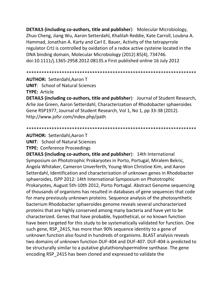**DETAILS (including co-authors, title and publisher**): Molecular Microbiology, Zhuo Cheng, Jiang Wu, Aaron Setterdahl, Khalilah Reddie, Kate Carroll, Loubna A. Hammad, Jonathan A. Karty and Carl E. Bauer, Activity of the tetrapyrrole regulator CrtJ is controlled by oxidation of a redox active cysteine located in the DNA binding domain, Molecular Microbiology (2012) 85(4), 734746. doi:10.1111/j.1365-2958.2012.08135.x First published online 16 July 2012

\*\*\*\*\*\*\*\*\*\*\*\*\*\*\*\*\*\*\*\*\*\*\*\*\*\*\*\*\*\*\*\*\*\*\*\*\*\*\*\*\*\*\*\*\*\*\*\*\*\*\*\*\*\*\*\*\*\*\*\*\*\*\*\*\*\*\*

**AUTHOR:** Setterdahl,Aaron T

**UNIT**: School of Natural Sciences

**TYPE:** Article

**DETAILS (including co-authors, title and publisher**): Journal of Student Research, Arlie Joe Green, Aaron Setterdahl, Characterization of Rhodobacter sphaeroides Gene RSP1977, Journal of Student Research, Vol 1, No 1, pp 33-38 (2012). http://www.jofsr.com/index.php/path

\*\*\*\*\*\*\*\*\*\*\*\*\*\*\*\*\*\*\*\*\*\*\*\*\*\*\*\*\*\*\*\*\*\*\*\*\*\*\*\*\*\*\*\*\*\*\*\*\*\*\*\*\*\*\*\*\*\*\*\*\*\*\*\*\*\*\*

**AUTHOR:** Setterdahl,Aaron T

**UNIT**: School of Natural Sciences

**TYPE:** Conference Proceedings

**DETAILS (including co-authors, title and publisher**): 14th International Symposium on Phototrophic Prokaryotes in Porto, Portugal, Miralem Bekric, Angela Whitaker, Cameron Unverferth, Young-Won Christine Kim, and Aaron Setterdahl, Identification and characterization of unknown genes in Rhodobacter sphaeroides, ISPP 2012: 14th International Symposium on Phototrophic Prokaryotes, August 5th-10th 2012, Porto Portugal. Abstract Genome sequencing of thousands of organisms has resulted in databases of gene sequences that code for many previously unknown proteins. Sequence analysis of the photosynthetic bacterium Rhodobacter sphaeroides genome reveals several uncharacterized proteins that are highly conserved among many bacteria and have yet to be characterized. Genes that have probable, hypothetical, or no known function have been targeted for this study to be systematically validated for function. One such gene, RSP\_2415, has more than 90% sequence identity to a gene of unknown function also found in hundreds of organisms. BLAST analysis reveals two domains of unknown function DUF-404 and DUF-407. DUF-404 is predicted to be structurally similar to a putative glutathionylspermidine synthase. The gene encoding RSP\_2415 has been cloned and expressed to validate the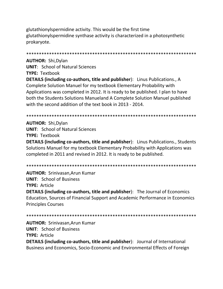glutathionylspermidine activity. This would be the first time glutathionylspermidine synthase activity is characterized in a photosynthetic prokaryote.

**AUTHOR: Shi, Dylan UNIT: School of Natural Sciences TYPE: Textbook DETAILS (including co-authors, title and publisher):** Linus Publications., A Complete Solution Manuel for my textbook Elementary Probability with Applications was completed in 2012. It is ready to be published. I plan to have both the Students Solutions Manueland A Complete Solution Manuel published with the second addition of the text book in 2013 - 2014.

**AUTHOR: Shi, Dylan UNIT:** School of Natural Sciences **TYPE: Textbook DETAILS (including co-authors, title and publisher):** Linus Publications., Students Solutions Manuel for my textbook Elementary Probability with Applications was completed in 2011 and revised in 2012. It is ready to be published.

**AUTHOR: Srinivasan.Arun Kumar UNIT: School of Business TYPE: Article DETAILS (including co-authors, title and publisher):** The Journal of Economics Education, Sources of Financial Support and Academic Performance in Economics **Principles Courses** 

**AUTHOR: Srinivasan, Arun Kumar UNIT: School of Business TYPE: Article DETAILS (including co-authors, title and publisher):** Journal of International Business and Economics, Socio-Economic and Environmental Effects of Foreign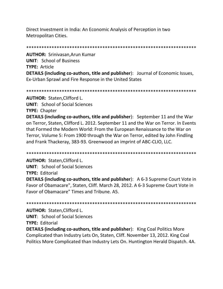Direct Investment in India: An Economic Analysis of Perception in two Metropolitan Cities.

**AUTHOR: Srinivasan, Arun Kumar UNIT: School of Business TYPE: Article DETAILS (including co-authors, title and publisher):** Journal of Economic Issues, Ex-Urban Sprawl and Fire Response in the United States

**AUTHOR: Staten, Clifford L.** 

**UNIT:** School of Social Sciences

**TYPE: Chapter** 

**DETAILS (including co-authors, title and publisher):** September 11 and the War on Terror, Staten, Clifford L. 2012. September 11 and the War on Terror. In Events that Formed the Modern World: From the European Renaissance to the War on Terror, Volume 5: From 1900 through the War on Terror, edited by John Findling and Frank Thackeray, 383-93. Greenwood an imprint of ABC-CLIO, LLC.

**AUTHOR: Staten, Clifford L.** 

**UNIT:** School of Social Sciences **TYPE: Editorial** 

**DETAILS (including co-authors, title and publisher):** A 6-3 Supreme Court Vote in Favor of Obamacare", Staten, Cliff. March 28, 2012. A 6-3 Supreme Court Vote in Favor of Obamacare" Times and Tribune, A5.

**AUTHOR: Staten, Clifford L.** 

**UNIT:** School of Social Sciences

**TYPE: Editorial** 

**DETAILS (including co-authors, title and publisher):** King Coal Politics More Complicated than Industry Lets On, Staten, Cliff. November 13, 2012. King Coal Politics More Complicated than Industry Lets On. Huntington Herald Dispatch. 4A.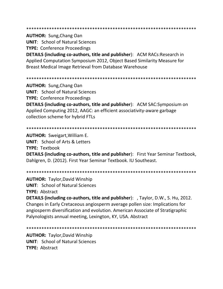**AUTHOR: Sung, Chang Oan** 

**UNIT: School of Natural Sciences** 

**TYPE: Conference Proceedings** 

**DETAILS (including co-authors, title and publisher):** ACM RACs:Research in Applied Computation Symposium 2012, Object Based Similarity Measure for **Breast Medical Image Retrieval from Database Warehouse** 

**AUTHOR:** Sung, Chang Oan **UNIT: School of Natural Sciences TYPE:** Conference Proceedings **DETAILS (including co-authors, title and publisher):** ACM SAC:Symposium on Applied Computing 2012, AAGC: an efficient associativity-aware garbage collection scheme for hybrid FTLs

### 

**AUTHOR:** Sweigart, William E.

**UNIT:** School of Arts & Letters **TYPE: Textbook** 

**DETAILS (including co-authors, title and publisher):** First Year Seminar Textbook, Dahlgren, D. (2012). First Year Seminar Textbook. IU Southeast.

**AUTHOR: Taylor, David Winship** 

**UNIT:** School of Natural Sciences

TYPE: Abstract

**DETAILS (including co-authors, title and publisher):** , Taylor, D.W., S. Hu, 2012. Changes in Early Cretaceous angiosperm average pollen size: Implications for angiosperm diversification and evolution. American Associate of Stratigraphic Palynologists annual meeting, Lexington, KY, USA. Abstract

**AUTHOR: Taylor, David Winship UNIT: School of Natural Sciences** TYPF: Ahstract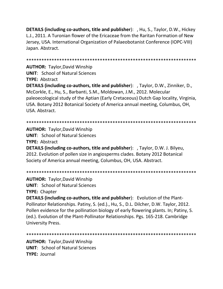**DETAILS (including co-authors, title and publisher):** , Hu, S., Taylor, D.W., Hickey L.J., 2011. A Turonian flower of the Ericaceae from the Raritan Formation of New Jersey, USA. International Organization of Palaeobotanist Conference (IOPC-VIII) Japan. Abstract.

**AUTHOR: Taylor, David Winship UNIT: School of Natural Sciences TYPE: Abstract DETAILS (including co-authors, title and publisher):** , Taylor, D.W., Zinniker, D., McCorkle, E., Hu, S., Barbanti, S.M., Moldowan, J.M., 2012. Molecular paleoecological study of the Aptian (Early Cretaceous) Dutch Gap locality, Virginia, USA. Botany 2012 Botanical Society of America annual meeting, Columbus, OH, USA. Abstract.

**AUTHOR: Taylor, David Winship UNIT: School of Natural Sciences TYPE: Abstract** DETAILS (including co-authors, title and publisher): , Taylor, D.W. J. Bilyeu, 2012. Evolution of pollen size in angiosperms clades. Botany 2012 Botanical Society of America annual meeting, Columbus, OH, USA. Abstract.

**AUTHOR: Taylor, David Winship UNIT:** School of Natural Sciences **TYPE: Chapter** 

**DETAILS (including co-authors, title and publisher):** Evolution of the Plant-Pollinator Relationships. Patiny, S. (ed.)., Hu, S., D.L. Dilcher, D.W. Taylor, 2012. Pollen evidence for the pollination biology of early flowering plants. In; Patiny, S. (ed.). Evolution of the Plant-Pollinator Relationships. Pgs. 165-218. Cambridge **University Press.** 

**AUTHOR: Taylor, David Winship UNIT: School of Natural Sciences TYPE: Journal**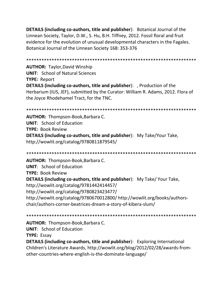**DETAILS (including co-authors, title and publisher**): Botanical Journal of the Linnean Society, Taylor, D.W., S. Hu, B.H. Tiffney, 2012. Fossil floral and fruit evidence for the evolution of unusual developmental characters in the Fagales. Botanical Journal of the Linnean Society 168: 353-376

\*\*\*\*\*\*\*\*\*\*\*\*\*\*\*\*\*\*\*\*\*\*\*\*\*\*\*\*\*\*\*\*\*\*\*\*\*\*\*\*\*\*\*\*\*\*\*\*\*\*\*\*\*\*\*\*\*\*\*\*\*\*\*\*\*\*\* **AUTHOR:** Taylor,David Winship **UNIT**: School of Natural Sciences **TYPE:** Report **DETAILS (including co-authors, title and publisher**): , Production of the Herbarium (IUS, JEF), submitted by the Curator: William R. Adams, 2012. Flora of the Joyce Rhodehamel Tract, for the TNC.

\*\*\*\*\*\*\*\*\*\*\*\*\*\*\*\*\*\*\*\*\*\*\*\*\*\*\*\*\*\*\*\*\*\*\*\*\*\*\*\*\*\*\*\*\*\*\*\*\*\*\*\*\*\*\*\*\*\*\*\*\*\*\*\*\*\*\*

**AUTHOR:** Thompson-Book,Barbara C. **UNIT**: School of Education **TYPE:** Book Review **DETAILS (including co-authors, title and publisher**): My Take/Your Take, http://wowlit.org/catalog/9780811879545/

\*\*\*\*\*\*\*\*\*\*\*\*\*\*\*\*\*\*\*\*\*\*\*\*\*\*\*\*\*\*\*\*\*\*\*\*\*\*\*\*\*\*\*\*\*\*\*\*\*\*\*\*\*\*\*\*\*\*\*\*\*\*\*\*\*\*\*

**AUTHOR:** Thompson-Book,Barbara C. **UNIT**: School of Education **TYPE:** Book Review **DETAILS (including co-authors, title and publisher**): My Take/ Your Take, http://wowlit.org/catalog/9781442414457/ http://wowlit.org/catalog/9780823423477/ http://wowlit.org/catalog/9780670012800/ http://wowlit.org/books/authorschair/authors-corner-beatrices-dream-a-story-of-kibera-slum/

\*\*\*\*\*\*\*\*\*\*\*\*\*\*\*\*\*\*\*\*\*\*\*\*\*\*\*\*\*\*\*\*\*\*\*\*\*\*\*\*\*\*\*\*\*\*\*\*\*\*\*\*\*\*\*\*\*\*\*\*\*\*\*\*\*\*\*

**AUTHOR:** Thompson-Book,Barbara C.

**UNIT**: School of Education

**TYPE:** Essay

**DETAILS (including co-authors, title and publisher**): Exploring International Children's Literature Awards, http://wowlit.org/blog/2012/02/28/awards-fromother-countries-where-english-is-the-dominate-language/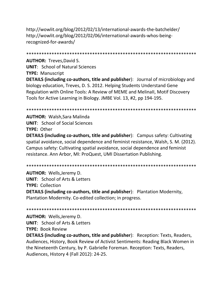http://wowlit.org/blog/2012/02/13/international-awards-the-batchelder/ http://wowlit.org/blog/2012/02/06/international-awards-whos-beingrecognized-for-awards/

\*\*\*\*\*\*\*\*\*\*\*\*\*\*\*\*\*\*\*\*\*\*\*\*\*\*\*\*\*\*\*\*\*\*\*\*\*\*\*\*\*\*\*\*\*\*\*\*\*\*\*\*\*\*\*\*\*\*\*\*\*\*\*\*\*\*\* **AUTHOR:** Treves,David S. **UNIT**: School of Natural Sciences **TYPE:** Manuscript **DETAILS (including co-authors, title and publisher**): Journal of microbiology and biology education, Treves, D. S. 2012. Helping Students Understand Gene Regulation with Online Tools: A Review of MEME and MelinaII, Motif Discovery Tools for Active Learning in Biology. JMBE Vol. 13, #2, pp 194-195.

\*\*\*\*\*\*\*\*\*\*\*\*\*\*\*\*\*\*\*\*\*\*\*\*\*\*\*\*\*\*\*\*\*\*\*\*\*\*\*\*\*\*\*\*\*\*\*\*\*\*\*\*\*\*\*\*\*\*\*\*\*\*\*\*\*\*\*

**AUTHOR:** Walsh,Sara Malinda **UNIT**: School of Social Sciences **TYPE:** Other

**DETAILS (including co-authors, title and publisher**): Campus safety: Cultivating spatial avoidance, social dependence and feminist resistance, Walsh, S. M. (2012). Campus safety: Cultivating spatial avoidance, social dependence and feminist resistance. Ann Arbor, MI: ProQuest, UMI Dissertation Publishing.

\*\*\*\*\*\*\*\*\*\*\*\*\*\*\*\*\*\*\*\*\*\*\*\*\*\*\*\*\*\*\*\*\*\*\*\*\*\*\*\*\*\*\*\*\*\*\*\*\*\*\*\*\*\*\*\*\*\*\*\*\*\*\*\*\*\*\*

**AUTHOR:** Wells,Jeremy D. **UNIT**: School of Arts & Letters **TYPE:** Collection **DETAILS (including co-authors, title and publisher**): Plantation Modernity, Plantation Modernity. Co-edited collection; in progress.

\*\*\*\*\*\*\*\*\*\*\*\*\*\*\*\*\*\*\*\*\*\*\*\*\*\*\*\*\*\*\*\*\*\*\*\*\*\*\*\*\*\*\*\*\*\*\*\*\*\*\*\*\*\*\*\*\*\*\*\*\*\*\*\*\*\*\*

**AUTHOR:** Wells,Jeremy D. **UNIT**: School of Arts & Letters **TYPE:** Book Review

**DETAILS (including co-authors, title and publisher**): Reception: Texts, Readers, Audiences, History, Book Review of Activist Sentiments: Reading Black Women in the Nineteenth Century, by P. Gabrielle Foreman. Reception: Texts, Readers, Audiences, History 4 (Fall 2012): 24-25.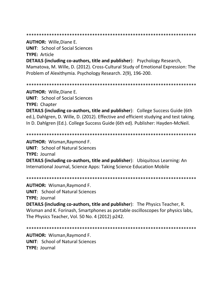#### 

**AUTHOR: Wille, Diane E.** 

**UNIT:** School of Social Sciences **TYPE: Article** 

**DETAILS (including co-authors, title and publisher):** Psychology Research, Mamatova, M. Wille, D. (2012). Cross-Cultural Study of Emotional Expression: The Problem of Alexithymia. Psychology Research. 2(9), 196-200.

**AUTHOR: Wille, Diane E. UNIT:** School of Social Sciences **TYPE: Chapter DETAILS (including co-authors, title and publisher):** College Success Guide (6th ed.), Dahlgren, D. Wille, D. (2012). Effective and efficient studying and test taking. In D. Dahlgren (Ed.). College Success Guide (6th ed). Publisher: Hayden-McNeil.

**AUTHOR: Wisman, Raymond F. UNIT: School of Natural Sciences TYPE: Journal** 

**DETAILS (including co-authors, title and publisher):** Ubiquitous Learning: An International Journal, Science Apps: Taking Science Education Mobile

**AUTHOR: Wisman, Raymond F.** 

**UNIT:** School of Natural Sciences

**TYPE: Journal** 

**DETAILS (including co-authors, title and publisher)**: The Physics Teacher, R. Wisman and K. Forinash, Smartphones as portable oscilloscopes for physics labs, The Physics Teacher, Vol. 50 No. 4 (2012) p242.

**AUTHOR: Wisman, Raymond F. UNIT: School of Natural Sciences** TYPF: lournal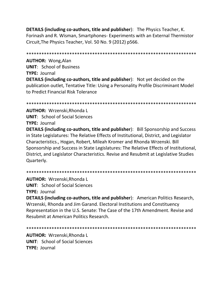**DETAILS (including co-authors, title and publisher):** The Physics Teacher, K. Forinash and R. Wisman, Smartphones- Experiments with an External Thermistor Circuit, The Physics Teacher, Vol. 50 No. 9 (2012) p566.

**AUTHOR: Wong, Alan UNIT:** School of Business TYPE: Journal **DETAILS (including co-authors, title and publisher):** Not yet decided on the publication outlet, Tentative Title: Using a Personality Profile Discriminant Model to Predict Financial Risk Tolerance

AUTHOR: Wrzenski, Rhonda L

**UNIT:** School of Social Sciences

**TYPE: Journal** 

**DETAILS (including co-authors, title and publisher):** Bill Sponsorship and Success in State Legislatures: The Relative Effects of Institutional, District, and Legislator Characteristics., Hogan, Robert, Mileah Kromer and Rhonda Wrzenski. Bill Sponsorship and Success in State Legislatures: The Relative Effects of Institutional, District, and Legislator Characteristics. Revise and Resubmit at Legislative Studies Quarterly.

**AUTHOR: Wrzenski, Rhonda L UNIT:** School of Social Sciences **TYPE: Journal** 

**DETAILS (including co-authors, title and publisher):** American Politics Research, Wrzenski, Rhonda and Jim Garand. Electoral Institutions and Constituency Representation in the U.S. Senate: The Case of the 17th Amendment. Revise and Resubmit at American Politics Research.

**AUTHOR: Wrzenski, Rhonda L UNIT:** School of Social Sciences **TYPE: Journal**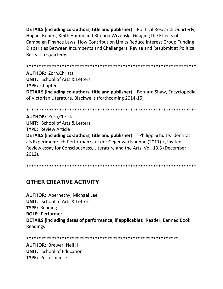**DETAILS (including co-authors, title and publisher):** Political Research Quarterly, Hogan, Robert, Keith Hamm and Rhonda Wrzenski. Guaging the Effects of Campaign Finance Laws: How Contribution Limits Reduce Interest Group Funding Disparities Between Incumbents and Challengers. Revise and Resubmit at Political Research Quarterly.

**AUTHOR: Zorn, Christa UNIT: School of Arts & Letters TYPE: Chapter DETAILS (including co-authors, title and publisher):** Bernard Shaw, Encyclopedia of Victorian Literature, Blackwells (forthcoming 2014-15)

**AUTHOR: Zorn, Christa UNIT:** School of Arts & Letters **TYPE: Review Article DETAILS (including co-authors, title and publisher):** ?Philipp Schulte. Identitat als Experiment: Ich-Performanz auf der Gegenwartsbuhne (2011).?, Invited Review essay for Consciousness, Literature and the Arts. Vol. 13.3 (December  $2012$ ).

## **OTHER CREATIVE ACTIVITY**

**AUTHOR: Abernethy, Michael Lee UNIT:** School of Arts & Letters **TYPE: Reading ROLE: Performer DETAILS (including dates of performance, if applicable)**: Reader, Banned Book Readings

**AUTHOR: Brewer, Neil H. UNIT:** School of Education TYPF: Performance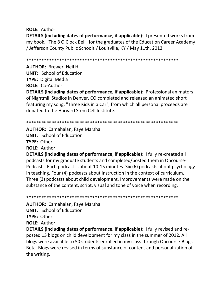**ROLE:** Author

**DETAILS (including dates of performance, if applicable)**: I presented works from my book, "The 8 O'Clock Bell" for the graduates of the Education Career Academy / Jefferson County Public Schools / Louisville, KY / May 11th, 2012

\*\*\*\*\*\*\*\*\*\*\*\*\*\*\*\*\*\*\*\*\*\*\*\*\*\*\*\*\*\*\*\*\*\*\*\*\*\*\*\*\*\*\*\*\*\*\*\*\*\*\*\*\*\*\*\*\*\*\*\*

**AUTHOR:** Brewer, Neil H. **UNIT**: School of Education **TYPE:** Digital Media **ROLE:** Co-Author

**DETAILS (including dates of performance, if applicable)**: Professional animators of Nightmill Studios in Denver, CO completed and released an animated short featuring my song, "Three Kids in a Car", from which all personal proceeds are donated to the Harvard Stem Cell Institute.

\*\*\*\*\*\*\*\*\*\*\*\*\*\*\*\*\*\*\*\*\*\*\*\*\*\*\*\*\*\*\*\*\*\*\*\*\*\*\*\*\*\*\*\*\*\*\*\*\*\*\*\*\*\*\*\*\*\*\*\*

**AUTHOR:** Camahalan, Faye Marsha **UNIT**: School of Education **TYPE:** Other **ROLE:** Author

**DETAILS (including dates of performance, if applicable)**: I fully re-created all podcasts for my graduate students and completed/posted them in Oncourse-Podcasts. Each podcast is about 10-15 minutes. Six (6) podcasts about psychology in teaching. Four (4) podcasts about instruction in the context of curriculum. Three (3) podcasts about child development. Improvements were made on the substance of the content, script, visual and tone of voice when recording.

\*\*\*\*\*\*\*\*\*\*\*\*\*\*\*\*\*\*\*\*\*\*\*\*\*\*\*\*\*\*\*\*\*\*\*\*\*\*\*\*\*\*\*\*\*\*\*\*\*\*\*\*\*\*\*\*\*\*\*\*

**AUTHOR:** Camahalan, Faye Marsha **UNIT**: School of Education **TYPE:** Other **ROLE:** Author

**DETAILS (including dates of performance, if applicable)**: I fully revised and reposted 13 blogs on child development for my class in the summer of 2012. All blogs were available to 50 students enrolled in my class through Oncourse-Blogs Beta. Blogs were revised in terms of substance of content and personalization of the writing.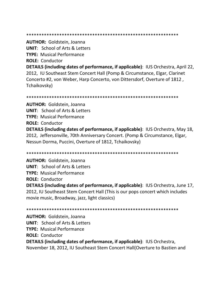\*\*\*\*\*\*\*\*\*\*\*\*\*\*\*\*\*\*\*\*\*\*\*\*\*\*\*\*\*\*\*\*\*\*\*\*\*\*\*\*\*\*\*\*\*\*\*\*\*\*\*\*\*\*\*\*\*\*\*\*

**AUTHOR:** Goldstein, Joanna

**UNIT**: School of Arts & Letters

**TYPE:** Musical Performance

**ROLE:** Conductor

**DETAILS (including dates of performance, if applicable)**: IUS Orchestra, April 22, 2012, IU Southeast Stem Concert Hall (Pomp & Circumstance, Elgar, Clarinet Concerto #2, von Weber, Harp Concerto, von Dittersdorf, Overture of 1812 , Tchaikovsky)

\*\*\*\*\*\*\*\*\*\*\*\*\*\*\*\*\*\*\*\*\*\*\*\*\*\*\*\*\*\*\*\*\*\*\*\*\*\*\*\*\*\*\*\*\*\*\*\*\*\*\*\*\*\*\*\*\*\*\*\*

**AUTHOR:** Goldstein, Joanna **UNIT**: School of Arts & Letters **TYPE:** Musical Performance **ROLE:** Conductor **DETAILS (including dates of performance, if applicable)**: IUS Orchestra, May 18, 2012, Jeffersonville, 70th Anniversary Concert. (Pomp & Circumstance, Elgar, Nessun Dorma, Puccini, Overture of 1812, Tchaikovsky)

\*\*\*\*\*\*\*\*\*\*\*\*\*\*\*\*\*\*\*\*\*\*\*\*\*\*\*\*\*\*\*\*\*\*\*\*\*\*\*\*\*\*\*\*\*\*\*\*\*\*\*\*\*\*\*\*\*\*\*\*

**AUTHOR:** Goldstein, Joanna **UNIT**: School of Arts & Letters **TYPE:** Musical Performance **ROLE:** Conductor **DETAILS (including dates of performance, if applicable)**: IUS Orchestra, June 17, 2012, IU Southeast Stem Concert Hall (This is our pops concert which includes movie music, Broadway, jazz, light classics)

\*\*\*\*\*\*\*\*\*\*\*\*\*\*\*\*\*\*\*\*\*\*\*\*\*\*\*\*\*\*\*\*\*\*\*\*\*\*\*\*\*\*\*\*\*\*\*\*\*\*\*\*\*\*\*\*\*\*\*\* **AUTHOR:** Goldstein, Joanna **UNIT**: School of Arts & Letters **TYPE:** Musical Performance **ROLE:** Conductor **DETAILS (including dates of performance, if applicable)**: IUS Orchestra, November 18, 2012, IU Southeast Stem Concert Hall(Overture to Bastien and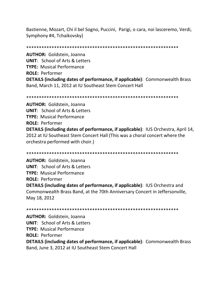Bastienne, Mozart, Chi il bel Sogno, Puccini, Parigi, o cara, noi lasceremo, Verdi, Symphony #4, Tchaikovsky)

\*\*\*\*\*\*\*\*\*\*\*\*\*\*\*\*\*\*\*\*\*\*\*\*\*\*\*\*\*\*\*\*\*\*\*\*\*\*\*\*\*\*\*\*\*\*\*\*\*\*\*\*\*\*\*\*\*\*\*\*

**AUTHOR:** Goldstein, Joanna **UNIT**: School of Arts & Letters **TYPE:** Musical Performance **ROLE:** Performer **DETAILS (including dates of performance, if applicable)**: Commonwealth Brass Band, March 11, 2012 at IU Southeast Stem Concert Hall

\*\*\*\*\*\*\*\*\*\*\*\*\*\*\*\*\*\*\*\*\*\*\*\*\*\*\*\*\*\*\*\*\*\*\*\*\*\*\*\*\*\*\*\*\*\*\*\*\*\*\*\*\*\*\*\*\*\*\*\*

**AUTHOR:** Goldstein, Joanna **UNIT**: School of Arts & Letters **TYPE:** Musical Performance **ROLE:** Performer **DETAILS (including dates of performance, if applicable)**: IUS Orchestra, April 14, 2012 at IU Southeast Stem Concert Hall (This was a choral concert where the orchestra performed with choir.)

\*\*\*\*\*\*\*\*\*\*\*\*\*\*\*\*\*\*\*\*\*\*\*\*\*\*\*\*\*\*\*\*\*\*\*\*\*\*\*\*\*\*\*\*\*\*\*\*\*\*\*\*\*\*\*\*\*\*\*\*

**AUTHOR:** Goldstein, Joanna **UNIT**: School of Arts & Letters **TYPE:** Musical Performance **ROLE:** Performer **DETAILS (including dates of performance, if applicable)**: IUS Orchestra and Commonwealth Brass Band, at the 70th Anniversary Concert in Jeffersonville, May 18, 2012

\*\*\*\*\*\*\*\*\*\*\*\*\*\*\*\*\*\*\*\*\*\*\*\*\*\*\*\*\*\*\*\*\*\*\*\*\*\*\*\*\*\*\*\*\*\*\*\*\*\*\*\*\*\*\*\*\*\*\*\*

**AUTHOR:** Goldstein, Joanna **UNIT**: School of Arts & Letters **TYPE:** Musical Performance **ROLE:** Performer **DETAILS (including dates of performance, if applicable)**: Commonwealth Brass Band, June 3, 2012 at IU Southeast Stem Concert Hall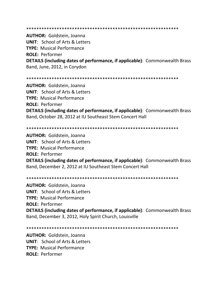#### \*\*\*\*\*\*\*\*\*\*\*\*\*\*\*\*\*\*\*\*\*\*\*\*\*\*\*\*\*\*\*\*\*\*\*\*\*\*\*\*\*\*\*\*\*\*\*\*\*\*\*\*\*\*\*\*\*\*\*\*

**AUTHOR:** Goldstein, Joanna **UNIT**: School of Arts & Letters **TYPE:** Musical Performance **ROLE:** Performer **DETAILS (including dates of performance, if applicable)**: Commonwealth Brass Band, June, 2012, in Corydon

\*\*\*\*\*\*\*\*\*\*\*\*\*\*\*\*\*\*\*\*\*\*\*\*\*\*\*\*\*\*\*\*\*\*\*\*\*\*\*\*\*\*\*\*\*\*\*\*\*\*\*\*\*\*\*\*\*\*\*\*

**AUTHOR:** Goldstein, Joanna **UNIT**: School of Arts & Letters **TYPE:** Musical Performance **ROLE:** Performer **DETAILS (including dates of performance, if applicable)**: Commonwealth Brass Band, October 28, 2012 at IU Southeast Stem Concert Hall

#### \*\*\*\*\*\*\*\*\*\*\*\*\*\*\*\*\*\*\*\*\*\*\*\*\*\*\*\*\*\*\*\*\*\*\*\*\*\*\*\*\*\*\*\*\*\*\*\*\*\*\*\*\*\*\*\*\*\*\*\*

**AUTHOR:** Goldstein, Joanna **UNIT**: School of Arts & Letters **TYPE:** Musical Performance **ROLE:** Performer **DETAILS (including dates of performance, if applicable)**: Commonwealth Brass Band, December 2, 2012 at IU Southeast Stem Concert Hall

\*\*\*\*\*\*\*\*\*\*\*\*\*\*\*\*\*\*\*\*\*\*\*\*\*\*\*\*\*\*\*\*\*\*\*\*\*\*\*\*\*\*\*\*\*\*\*\*\*\*\*\*\*\*\*\*\*\*\*\*

**AUTHOR:** Goldstein, Joanna **UNIT**: School of Arts & Letters **TYPE:** Musical Performance **ROLE:** Performer **DETAILS (including dates of performance, if applicable)**: Commonwealth Brass Band, December 3, 2012, Holy Spirit Church, Louisville

\*\*\*\*\*\*\*\*\*\*\*\*\*\*\*\*\*\*\*\*\*\*\*\*\*\*\*\*\*\*\*\*\*\*\*\*\*\*\*\*\*\*\*\*\*\*\*\*\*\*\*\*\*\*\*\*\*\*\*\*

**AUTHOR:** Goldstein, Joanna **UNIT**: School of Arts & Letters **TYPE:** Musical Performance **ROLE:** Performer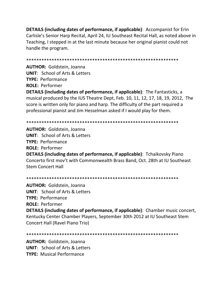**DETAILS (including dates of performance, if applicable)**: Accompanist for Erin Carlisle's Senior Harp Recital, April 24, IU Southeast Recital Hall, as noted above in Teaching, I stepped in at the last minute because her original pianist could not handle the program.

\*\*\*\*\*\*\*\*\*\*\*\*\*\*\*\*\*\*\*\*\*\*\*\*\*\*\*\*\*\*\*\*\*\*\*\*\*\*\*\*\*\*\*\*\*\*\*\*\*\*\*\*\*\*\*\*\*\*\*\* **AUTHOR:** Goldstein, Joanna **UNIT**: School of Arts & Letters **TYPE:** Performance **ROLE:** Performer **DETAILS (including dates of performance, if applicable)**: The Fantasticks, a musical produced by the IUS Theatre Dept, Feb. 10, 11, 12, 17, 18, 19, 2012, The score is written only for piano and harp. The difficulty of the part required a professional pianist and Jim Hesselman asked if I would play for them.

\*\*\*\*\*\*\*\*\*\*\*\*\*\*\*\*\*\*\*\*\*\*\*\*\*\*\*\*\*\*\*\*\*\*\*\*\*\*\*\*\*\*\*\*\*\*\*\*\*\*\*\*\*\*\*\*\*\*\*\*

**AUTHOR:** Goldstein, Joanna **UNIT**: School of Arts & Letters **TYPE:** Performance **ROLE:** Performer **DETAILS (including dates of performance, if applicable)**: Tchaikovsky Piano Concerto first mov't with Commonwealth Brass Band, Oct. 28th at IU Southeast Stem Concert Hall

\*\*\*\*\*\*\*\*\*\*\*\*\*\*\*\*\*\*\*\*\*\*\*\*\*\*\*\*\*\*\*\*\*\*\*\*\*\*\*\*\*\*\*\*\*\*\*\*\*\*\*\*\*\*\*\*\*\*\*\*

**AUTHOR:** Goldstein, Joanna **UNIT**: School of Arts & Letters **TYPE:** Performance **ROLE:** Performer **DETAILS (including dates of performance, if applicable)**: Chamber music concert, Kentucky Center Chamber Players, September 30th 2012 at IU Southeast Stem Concert Hall (Ravel Piano Trio)

\*\*\*\*\*\*\*\*\*\*\*\*\*\*\*\*\*\*\*\*\*\*\*\*\*\*\*\*\*\*\*\*\*\*\*\*\*\*\*\*\*\*\*\*\*\*\*\*\*\*\*\*\*\*\*\*\*\*\*\*

**AUTHOR:** Goldstein, Joanna **UNIT**: School of Arts & Letters **TYPE:** Musical Performance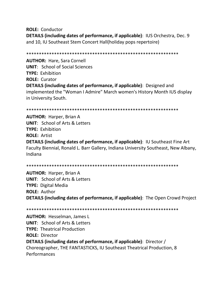**ROLE:** Conductor **DETAILS (including dates of performance, if applicable)**: IUS Orchestra, Dec. 9 and 10, IU Southeast Stem Concert Hall(holiday pops repertoire)

\*\*\*\*\*\*\*\*\*\*\*\*\*\*\*\*\*\*\*\*\*\*\*\*\*\*\*\*\*\*\*\*\*\*\*\*\*\*\*\*\*\*\*\*\*\*\*\*\*\*\*\*\*\*\*\*\*\*\*\* **AUTHOR:** Hare, Sara Cornell **UNIT**: School of Social Sciences **TYPE:** Exhibition **ROLE:** Curator **DETAILS (including dates of performance, if applicable)**: Designed and implemented the "Woman I Admire" March women's History Month IUS display in University South.

```
************************************************************
```
**AUTHOR:** Harper, Brian A **UNIT**: School of Arts & Letters **TYPE:** Exhibition **ROLE:** Artist **DETAILS (including dates of performance, if applicable)**: IU Southeast Fine Art Faculty Biennial, Ronald L. Barr Gallery, Indiana University Southeast, New Albany, Indiana

\*\*\*\*\*\*\*\*\*\*\*\*\*\*\*\*\*\*\*\*\*\*\*\*\*\*\*\*\*\*\*\*\*\*\*\*\*\*\*\*\*\*\*\*\*\*\*\*\*\*\*\*\*\*\*\*\*\*\*\*

**AUTHOR:** Harper, Brian A **UNIT**: School of Arts & Letters **TYPE:** Digital Media **ROLE:** Author **DETAILS (including dates of performance, if applicable)**: The Open Crowd Project

\*\*\*\*\*\*\*\*\*\*\*\*\*\*\*\*\*\*\*\*\*\*\*\*\*\*\*\*\*\*\*\*\*\*\*\*\*\*\*\*\*\*\*\*\*\*\*\*\*\*\*\*\*\*\*\*\*\*\*\*

**AUTHOR:** Hesselman, James L **UNIT**: School of Arts & Letters **TYPE:** Theatrical Production **ROLE:** Director **DETAILS (including dates of performance, if applicable)**: Director / Choreographer, THE FANTASTICKS, IU Southeast Theatrical Production, 8 Performances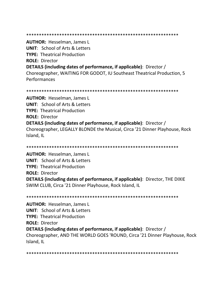## \*\*\*\*\*\*\*\*\*\*\*\*\*\*\*\*\*\*\*\*\*\*\*\*\*\*\*\*\*\*\*\*\*\*\*\*\*\*\*\*\*\*\*\*\*\*\*\*\*\*\*\*\*\*\*\*\*\*\*\*

**AUTHOR:** Hesselman, James L **UNIT**: School of Arts & Letters **TYPE:** Theatrical Production **ROLE:** Director **DETAILS (including dates of performance, if applicable)**: Director / Choreographer, WAITING FOR GODOT, IU Southeast Theatrical Production, 5 Performances

\*\*\*\*\*\*\*\*\*\*\*\*\*\*\*\*\*\*\*\*\*\*\*\*\*\*\*\*\*\*\*\*\*\*\*\*\*\*\*\*\*\*\*\*\*\*\*\*\*\*\*\*\*\*\*\*\*\*\*\*

**AUTHOR:** Hesselman, James L **UNIT**: School of Arts & Letters **TYPE:** Theatrical Production **ROLE:** Director **DETAILS (including dates of performance, if applicable)**: Director / Choreographer, LEGALLY BLONDE the Musical, Circa '21 Dinner Playhouse, Rock Island, IL

**AUTHOR:** Hesselman, James L **UNIT**: School of Arts & Letters **TYPE:** Theatrical Production **ROLE:** Director **DETAILS (including dates of performance, if applicable)**: Director, THE DIXIE SWIM CLUB, Circa '21 Dinner Playhouse, Rock Island, IL

\*\*\*\*\*\*\*\*\*\*\*\*\*\*\*\*\*\*\*\*\*\*\*\*\*\*\*\*\*\*\*\*\*\*\*\*\*\*\*\*\*\*\*\*\*\*\*\*\*\*\*\*\*\*\*\*\*\*\*\*

\*\*\*\*\*\*\*\*\*\*\*\*\*\*\*\*\*\*\*\*\*\*\*\*\*\*\*\*\*\*\*\*\*\*\*\*\*\*\*\*\*\*\*\*\*\*\*\*\*\*\*\*\*\*\*\*\*\*\*\*

**AUTHOR:** Hesselman, James L **UNIT**: School of Arts & Letters **TYPE:** Theatrical Production **ROLE:** Director **DETAILS (including dates of performance, if applicable)**: Director / Choreographer, AND THE WORLD GOES 'ROUND, Circa '21 Dinner Playhouse, Rock Island, IL

\*\*\*\*\*\*\*\*\*\*\*\*\*\*\*\*\*\*\*\*\*\*\*\*\*\*\*\*\*\*\*\*\*\*\*\*\*\*\*\*\*\*\*\*\*\*\*\*\*\*\*\*\*\*\*\*\*\*\*\*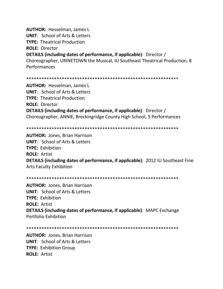**AUTHOR:** Hesselman, James L

**UNIT**: School of Arts & Letters

**TYPE:** Theatrical Production

**ROLE:** Director

**DETAILS (including dates of performance, if applicable)**: Director / Choreographer, URINETOWN the Musical, IU Southeast Theatrical Production, 8 Performances

\*\*\*\*\*\*\*\*\*\*\*\*\*\*\*\*\*\*\*\*\*\*\*\*\*\*\*\*\*\*\*\*\*\*\*\*\*\*\*\*\*\*\*\*\*\*\*\*\*\*\*\*\*\*\*\*\*\*\*\*

**AUTHOR:** Hesselman, James L **UNIT**: School of Arts & Letters **TYPE:** Theatrical Production **ROLE:** Director **DETAILS (including dates of performance, if applicable)**: Director / Choreographer, ANNIE, Breckingridge County High School, 5 Performances

\*\*\*\*\*\*\*\*\*\*\*\*\*\*\*\*\*\*\*\*\*\*\*\*\*\*\*\*\*\*\*\*\*\*\*\*\*\*\*\*\*\*\*\*\*\*\*\*\*\*\*\*\*\*\*\*\*\*\*\*

**AUTHOR:** Jones, Brian Harrison **UNIT**: School of Arts & Letters **TYPE:** Exhibition **ROLE:** Artist **DETAILS (including dates of performance, if applicable)**: 2012 IU Southeast Fine Arts Faculty Exhibition

\*\*\*\*\*\*\*\*\*\*\*\*\*\*\*\*\*\*\*\*\*\*\*\*\*\*\*\*\*\*\*\*\*\*\*\*\*\*\*\*\*\*\*\*\*\*\*\*\*\*\*\*\*\*\*\*\*\*\*\*

**AUTHOR:** Jones, Brian Harrison **UNIT**: School of Arts & Letters **TYPE:** Exhibition **ROLE:** Artist **DETAILS (including dates of performance, if applicable)**: MAPC Exchange Portfolio Exhibition

\*\*\*\*\*\*\*\*\*\*\*\*\*\*\*\*\*\*\*\*\*\*\*\*\*\*\*\*\*\*\*\*\*\*\*\*\*\*\*\*\*\*\*\*\*\*\*\*\*\*\*\*\*\*\*\*\*\*\*\*

**AUTHOR:** Jones, Brian Harrison **UNIT**: School of Arts & Letters **TYPE:** Exhibition Group **ROLE:** Artist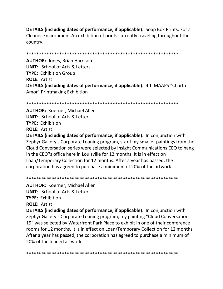**DETAILS (including dates of performance, if applicable)**: Soap Box Prints: For a Cleaner Environment. An exhibition of prints currently traveling throughout the country.

**AUTHOR: Jones, Brian Harrison UNIT: School of Arts & Letters TYPE: Exhibition Group ROLE: Artist DETAILS (including dates of performance, if applicable)**: 4th MAAPS "Charta Amor" Printmaking Exhibition

**AUTHOR: Koerner, Michael Allen UNIT:** School of Arts & Letters **TYPE: Exhibition ROLE: Artist** 

**DETAILS (including dates of performance, if applicable)**: In conjunction with Zephyr Gallery's Corporate Loaning program, six of my smaller paintings from the Cloud Conversation series were selected by Insight Communications CEO to hang in the CEO?s office here in Louisville for 12 months. It is in effect on Loan/Temporary Collection for 12 months. After a year has passed, the corporation has agreed to purchase a minimum of 20% of the artwork.

**AUTHOR: Koerner, Michael Allen UNIT:** School of Arts & Letters **TYPE: Exhibition ROLE: Artist DETAILS (including dates of performance, if applicable)**: In conjunction with Zephyr Gallery's Corporate Loaning program, my painting "Cloud Conversation 19" was selected by Waterfront Park Place to exhibit in one of their conference rooms for 12 months. It is in effect on Loan/Temporary Collection for 12 months. After a year has passed, the corporation has agreed to purchase a minimum of 20% of the loaned artwork.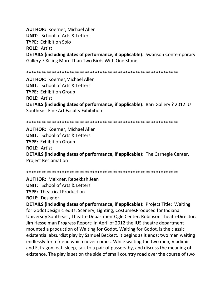**AUTHOR:** Koerner, Michael Allen **UNIT**: School of Arts & Letters **TYPE:** Exhibition Solo **ROLE:** Artist **DETAILS (including dates of performance, if applicable)**: Swanson Contemporary Gallery ? Killing More Than Two Birds With One Stone

\*\*\*\*\*\*\*\*\*\*\*\*\*\*\*\*\*\*\*\*\*\*\*\*\*\*\*\*\*\*\*\*\*\*\*\*\*\*\*\*\*\*\*\*\*\*\*\*\*\*\*\*\*\*\*\*\*\*\*\*

**AUTHOR:** Koerner,Michael Allen **UNIT**: School of Arts & Letters **TYPE:** Exhibition Group **ROLE:** Artist **DETAILS (including dates of performance, if applicable)**: Barr Gallery ? 2012 IU Southeast Fine Art Faculty Exhibition

\*\*\*\*\*\*\*\*\*\*\*\*\*\*\*\*\*\*\*\*\*\*\*\*\*\*\*\*\*\*\*\*\*\*\*\*\*\*\*\*\*\*\*\*\*\*\*\*\*\*\*\*\*\*\*\*\*\*\*\*

**AUTHOR:** Koerner, Michael Allen **UNIT**: School of Arts & Letters **TYPE:** Exhibition Group **ROLE:** Artist **DETAILS (including dates of performance, if applicable)**: The Carnegie Center, Project Reclamation

\*\*\*\*\*\*\*\*\*\*\*\*\*\*\*\*\*\*\*\*\*\*\*\*\*\*\*\*\*\*\*\*\*\*\*\*\*\*\*\*\*\*\*\*\*\*\*\*\*\*\*\*\*\*\*\*\*\*\*\*

**AUTHOR:** Meixner, Rebekkah Jean

**UNIT**: School of Arts & Letters

**TYPE:** Theatrical Production

**ROLE:** Designer

**DETAILS (including dates of performance, if applicable)**: Project Title: Waiting for GodotDesign credits: Scenery, Lighting, CostumesProduced for Indiana University Southeast, Theatre DepartmentOgle Center; Robinson TheatreDirector: Jim Hesselman Progress Report: In April of 2012 the IUS theatre department mounted a production of Waiting for Godot. Waiting for Godot, is the classic existential absurdist play by Samuel Beckett. It begins as it ends; two men waiting endlessly for a friend which never comes. While waiting the two men, Vladimir and Estragon, eat, sleep, talk to a pair of passers-by, and discuss the meaning of existence. The play is set on the side of small country road over the course of two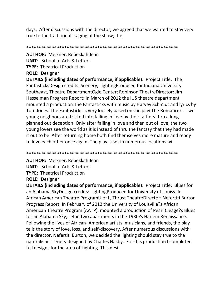days. After discussions with the director, we agreed that we wanted to stay very true to the traditional staging of the show; the

\*\*\*\*\*\*\*\*\*\*\*\*\*\*\*\*\*\*\*\*\*\*\*\*\*\*\*\*\*\*\*\*\*\*\*\*\*\*\*\*\*\*\*\*\*\*\*\*\*\*\*\*\*\*\*\*\*\*\*\*

**AUTHOR:** Meixner, Rebekkah Jean **UNIT**: School of Arts & Letters **TYPE:** Theatrical Production **ROLE:** Designer

**DETAILS (including dates of performance, if applicable)**: Project Title: The FantasticksDesign credits: Scenery, LightingProduced for Indiana University Southeast, Theatre DepartmentOgle Center; Robinson TheatreDirector: Jim Hesselman Progress Report: In March of 2012 the IUS theatre department mounted a production The Fantasticks with music by Harvey Schmidt and lyrics by Tom Jones. The Fantasticks is very loosely based on the play The Romancers. Two young neighbors are tricked into falling in love by their fathers thru a long planned out deception. Only after failing in love and then out of love, the two young lovers see the world as it is instead of thru the fantasy that they had made it out to be. After returning home both find themselves more mature and ready to love each other once again. The play is set in numerous locations wi

\*\*\*\*\*\*\*\*\*\*\*\*\*\*\*\*\*\*\*\*\*\*\*\*\*\*\*\*\*\*\*\*\*\*\*\*\*\*\*\*\*\*\*\*\*\*\*\*\*\*\*\*\*\*\*\*\*\*\*\*

**AUTHOR:** Meixner, Rebekkah Jean **UNIT**: School of Arts & Letters **TYPE:** Theatrical Production **ROLE:** Designer

**DETAILS (including dates of performance, if applicable)**: Project Title: Blues for an Alabama SkyDesign credits: LightingProduced for University of Louisville, African American Theatre ProgramU of L, Thrust TheatreDirector: Nefertiti Burton Progress Report: In February of 2012 the University of Louisville?s African American Theatre Program (AATP), mounted a production of Pearl Cleage?s Blues for an Alabama Sky; set in two apartments in the 1930?s Harlem Renaissance. Following the lives of African- American artists, musicians, and friends, the play tells the story of love, loss, and self-discovery. After numerous discussions with the director, Nefertiti Burton, we decided the lighting should stay true to the naturalistic scenery designed by Charles Nasby. For this production I completed full designs for the area of Lighting. This desi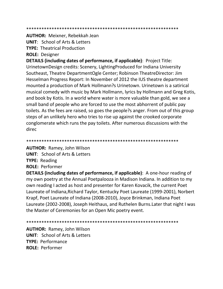**AUTHOR: Meixner, Rebekkah Jean** 

**UNIT:** School of Arts & Letters

**TYPE: Theatrical Production** 

**ROLE: Designer** 

**DETAILS (including dates of performance, if applicable)**: Project Title: UrinetownDesign credits: Scenery, LightingProduced for Indiana University Southeast, Theatre DepartmentOgle Center; Robinson TheatreDirector: Jim Hesselman Progress Report: In November of 2012 the IUS theatre department mounted a production of Mark Hollmann?s Urinetown. Urinetown is a satirical musical comedy with music by Mark Hollmann, lyrics by Hollmann and Greg Kotis, and book by Kotis. In a world where water is more valuable than gold, we see a small band of people who are forced to use the most abhorrent of public pay toilets. As the fees are raised, so goes the people?s anger. From out of this group steps of an unlikely hero who tries to rise up against the crooked corporate conglomerate which runs the pay toilets. After numerous discussions with the direc

**AUTHOR: Ramey, John Wilson UNIT: School of Arts & Letters TYPE: Reading ROLE: Performer** 

**DETAILS (including dates of performance, if applicable)**: A one-hour reading of my own poetry at the Annual Poetpalooza in Madison Indiana. In addition to my own reading I acted as host and presenter for Karen Kovacik, the current Poet Laureate of Indiana, Richard Taylor, Kentucky Poet Laureate (1999-2001), Norbert Krapf, Poet Laureate of Indiana (2008-2010), Joyce Brinkman, Indiana Poet Laureate (2002-2008), Joseph Heithaus, and Ruthelen Burns. Later that night I was the Master of Ceremonies for an Open Mic poetry event.

**AUTHOR: Ramey, John Wilson UNIT:** School of Arts & Letters **TYPE: Performance ROLE: Performer**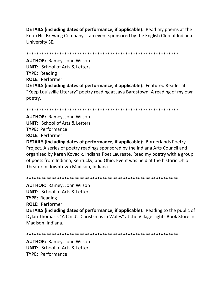**DETAILS (including dates of performance, if applicable)**: Read my poems at the Knob Hill Brewing Company -- an event sponsored by the English Club of Indiana University SE.

**AUTHOR: Ramey, John Wilson UNIT: School of Arts & Letters TYPE: Reading ROLE: Performer DETAILS (including dates of performance, if applicable)**: Featured Reader at "Keep Louisville Literary" poetry reading at Java Bardstown. A reading of my own poetry.

**AUTHOR: Ramey, John Wilson UNIT:** School of Arts & Letters **TYPE: Performance ROLE: Performer** 

**DETAILS (including dates of performance, if applicable)**: Borderlands Poetry Project. A series of poetry readings sponsored by the Indiana Arts Council and organized by Karen Kovacik, Indiana Poet Laureate. Read my poetry with a group of poets from Indiana, Kentucky, and Ohio. Event was held at the historic Ohio Theater in downtown Madison, Indiana.

**AUTHOR: Ramey, John Wilson UNIT:** School of Arts & Letters **TYPE: Reading ROLE: Performer DETAILS (including dates of performance, if applicable)**: Reading to the public of Dylan Thomas's "A Child's Christsmas in Wales" at the Village Lights Book Store in Madison, Indiana.

**AUTHOR: Ramey, John Wilson UNIT:** School of Arts & Letters **TYPE: Performance**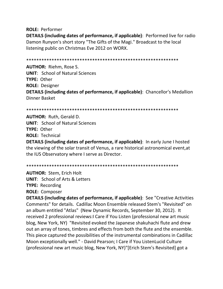**ROLE:** Performer

**DETAILS (including dates of performance, if applicable)**: Performed live for radio Damon Runyon's short story "The Gifts of the Magi." Broadcast to the local listening public on Christmas Eve 2012 on WORX.

\*\*\*\*\*\*\*\*\*\*\*\*\*\*\*\*\*\*\*\*\*\*\*\*\*\*\*\*\*\*\*\*\*\*\*\*\*\*\*\*\*\*\*\*\*\*\*\*\*\*\*\*\*\*\*\*\*\*\*\*

**AUTHOR:** Riehm, Rose S. **UNIT**: School of Natural Sciences **TYPE:** Other **ROLE:** Designer **DETAILS (including dates of performance, if applicable)**: Chancellor's Medallion Dinner Basket

\*\*\*\*\*\*\*\*\*\*\*\*\*\*\*\*\*\*\*\*\*\*\*\*\*\*\*\*\*\*\*\*\*\*\*\*\*\*\*\*\*\*\*\*\*\*\*\*\*\*\*\*\*\*\*\*\*\*\*\*

**AUTHOR:** Ruth, Gerald D. **UNIT**: School of Natural Sciences **TYPE:** Other **ROLE:** Technical

**DETAILS (including dates of performance, if applicable)**: In early June I hosted the viewing of the solar transit of Venus, a rare historical astronomical event,at the IUS Observatory where I serve as Director.

\*\*\*\*\*\*\*\*\*\*\*\*\*\*\*\*\*\*\*\*\*\*\*\*\*\*\*\*\*\*\*\*\*\*\*\*\*\*\*\*\*\*\*\*\*\*\*\*\*\*\*\*\*\*\*\*\*\*\*\*

**AUTHOR:** Stem, Erich Holt **UNIT**: School of Arts & Letters **TYPE:** Recording **ROLE:** Composer

**DETAILS (including dates of performance, if applicable)**: See "Creative Activities Comments" for details. Cadillac Moon Ensemble released Stem's "Revisited" on an album entitled "Atlas" (New Dynamic Records, September 30, 2012). It received 2 professional reviews:I Care if You Listen (professional new art music blog, New York, NY) "Revisited evoked the Japanese shakuhachi flute and drew out an array of tones, timbres and effects from both the flute and the ensemble. This piece captured the possibilities of the instrumental combinations in Cadillac Moon exceptionally well." - David Pearson; I Care if You ListenLucid Culture (professional new art music blog, New York, NY)"[Erich Stem's Revisited] got a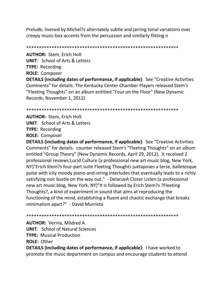Prelude, livened by Michel?s alternately subtle and jarring tonal variations over creepy music-box accents from the percussion and similarly flitting n

**AUTHOR: Stem, Erich Holt UNIT:** School of Arts & Letters **TYPE: Recording ROLE: Composer** 

**DETAILS (including dates of performance, if applicable)**: See "Creative Activities Comments" for details. The Kentucky Center Chamber Players released Stem's "Fleeting Thoughts" on an album entitled "Four on the Floor" (New Dynamic Records, November 1, 2012)

**AUTHOR: Stem, Erich Holt UNIT:** School of Arts & Letters **TYPE: Recording ROLE: Composer** 

**DETAILS (including dates of performance, if applicable)**: See "Creative Activities Comments" for details. counter released Stem's "Fleeting Thoughts" on an album entitled "Group Theory" (New Dynamic Records, April 29, 2012). It received 2 professional reviews: Lucid Culture (a professional new art music blog, New York, NY)"Erich Stem?s four-part suite Fleeting Thoughts juxtaposes a terse, balletesque pulse with icily moody piano-and-string interludes that eventually leads to a richly satisfying noir bustle on the way out." - DelarueA Closer Listen (a professional new art music blog, New York, NY)"It is followed by Erich Stem?s ? Fleeting Thoughts?, a kind of experiment in sound that aims at reproducing the functioning of the mind, establishing a fluent and chaotic exchange that breaks minimalism apart?" - David Murrieta

**AUTHOR: Vernia, Mildred A.** 

**UNIT: School of Natural Sciences** 

**TYPE:** Musical Production

**ROLE: Other** 

**DETAILS (including dates of performance, if applicable)**: I have worked to promote the music department on campus and encourage students to attend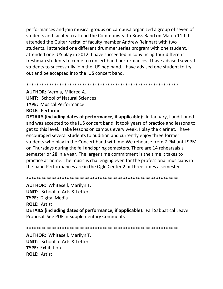performances and join musical groups on campus. I organized a group of seven of students and faculty to attend the Commonwealth Brass Band on March 11th. attended the Guitar recital of faculty member Andrew Reinhart with two students. I attended one different drummer series program with one student. I attended one IUS play in 2012. I have succeeded in convincing four different freshman students to come to concert band performances. I have advised several students to successfully join the IUS pep band. I have advised one student to try out and be accepted into the IUS concert band.

**AUTHOR:** Vernia, Mildred A.

**UNIT: School of Natural Sciences** 

**TYPE:** Musical Performance

**ROLE: Performer** 

**DETAILS (including dates of performance, if applicable)**: In January, I auditioned and was accepted to the IUS concert band. It took years of practice and lessons to get to this level. I take lessons on campus every week. I play the clarinet. I have encouraged several students to audition and currently enjoy three former students who play in the Concert band with me. We rehearse from 7 PM until 9PM on Thursdays during the fall and spring semesters. There are 14 rehearsals a semester or 28 in a year. The larger time commitment is the time it takes to practice at home. The music is challenging even for the professional musicians in the band. Performances are in the Ogle Center 2 or three times a semester.

**AUTHOR: Whitesell, Marilyn T. UNIT:** School of Arts & Letters **TYPE:** Digital Media **ROLE: Artist DETAILS (including dates of performance, if applicable)**: Fall Sabbatical Leave Proposal. See PDF in Supplementary Comments

**AUTHOR: Whitesell, Marilyn T. UNIT: School of Arts & Letters** TYPF: Exhibition **ROLE: Artist**